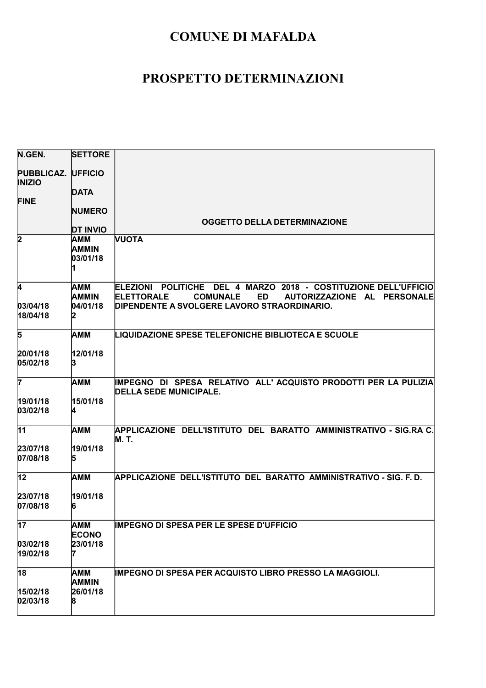| N.GEN.                                     | <b>SETTORE</b>                  |                                                                                                                                 |
|--------------------------------------------|---------------------------------|---------------------------------------------------------------------------------------------------------------------------------|
| <b>PUBBLICAZ. UFFICIO</b><br><b>INIZIO</b> |                                 |                                                                                                                                 |
|                                            | <b>DATA</b>                     |                                                                                                                                 |
| <b>FINE</b>                                |                                 |                                                                                                                                 |
|                                            | <b>NUMERO</b>                   | <b>OGGETTO DELLA DETERMINAZIONE</b>                                                                                             |
|                                            | <b>DT INVIO</b>                 |                                                                                                                                 |
| $\overline{2}$                             | AMM<br><b>AMMIN</b><br>03/01/18 | <b>NUOTA</b>                                                                                                                    |
| 4                                          | <b>AMM</b>                      | ELEZIONI POLITICHE DEL 4 MARZO 2018 - COSTITUZIONE DELL'UFFICIO                                                                 |
| 03/04/18 <br>18/04/18                      | <b>AMMIN</b><br>04/01/18<br>12  | <b>ELETTORALE</b><br><b>COMUNALE</b><br><b>ED</b><br>AUTORIZZAZIONE AL PERSONALE<br>DIPENDENTE A SVOLGERE LAVORO STRAORDINARIO. |
| 5                                          | <b>AMM</b>                      | <b>LIQUIDAZIONE SPESE TELEFONICHE BIBLIOTECA E SCUOLE</b>                                                                       |
| 20/01/18<br>05/02/18                       | 12/01/18<br>13                  |                                                                                                                                 |
| 7                                          | <b>AMM</b>                      | IMPEGNO DI SPESA RELATIVO ALL'ACQUISTO PRODOTTI PER LA PULIZIA<br><b>DELLA SEDE MUNICIPALE.</b>                                 |
| 19/01/18<br>03/02/18                       | 15/01/18                        |                                                                                                                                 |
| $\overline{11}$                            | AMM                             | APPLICAZIONE DELL'ISTITUTO DEL BARATTO AMMINISTRATIVO - SIG.RA C.<br>M. T.                                                      |
| 23/07/18                                   | 19/01/18                        |                                                                                                                                 |
| 07/08/18                                   | 15                              |                                                                                                                                 |
| 12                                         | AMM                             | APPLICAZIONE DELL'ISTITUTO DEL BARATTO AMMINISTRATIVO - SIG. F. D.                                                              |
| 23/07/18<br>07/08/18                       | 19/01/18<br>16                  |                                                                                                                                 |
| $\overline{17}$                            | AMM<br><b>ECONO</b>             | <b>IMPEGNO DI SPESA PER LE SPESE D'UFFICIO</b>                                                                                  |
| 03/02/18<br>19/02/18                       | 23/01/18                        |                                                                                                                                 |
| $\overline{18}$                            | <b>AMM</b><br><b>AMMIN</b>      | <b>IMPEGNO DI SPESA PER ACQUISTO LIBRO PRESSO LA MAGGIOLI.</b>                                                                  |
| 15/02/18                                   | 26/01/18                        |                                                                                                                                 |
| 02/03/18                                   | 18                              |                                                                                                                                 |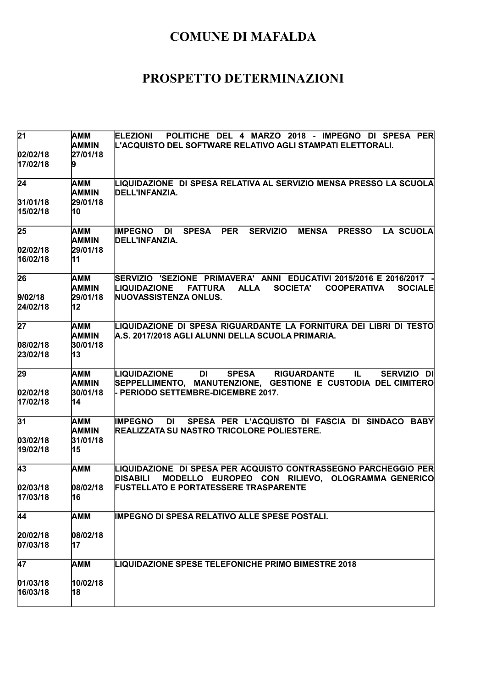| 21                          | AMM<br>AMMIN                          | <b>ELEZIONI</b><br>POLITICHE DEL 4 MARZO 2018 - IMPEGNO DI SPESA PER<br>L'ACQUISTO DEL SOFTWARE RELATIVO AGLI STAMPATI ELETTORALI.                                                                            |
|-----------------------------|---------------------------------------|---------------------------------------------------------------------------------------------------------------------------------------------------------------------------------------------------------------|
| 02/02/18<br>17/02/18        | 27/01/18                              |                                                                                                                                                                                                               |
| $\overline{24}$             | AMM<br><b>AMMIN</b>                   | LIQUIDAZIONE  DI SPESA RELATIVA AL SERVIZIO MENSA PRESSO LA SCUOLA<br>DELL'INFANZIA.                                                                                                                          |
| 31/01/18<br>15/02/18        | 29/01/18<br>10                        |                                                                                                                                                                                                               |
| $\overline{25}$<br>02/02/18 | AMM<br><b>AMMIN</b><br>29/01/18       | <b>PER</b><br><b>SERVIZIO</b><br>LA SCUOLA<br><b>IMPEGNO</b><br><b>SPESA</b><br><b>MENSA</b><br><b>PRESSO</b><br>DI<br>DELL'INFANZIA.                                                                         |
| 16/02/18                    | 11                                    |                                                                                                                                                                                                               |
| 26<br>9/02/18<br>24/02/18   | AMM<br>AMMIN<br>29/01/18<br>12        | SERVIZIO 'SEZIONE PRIMAVERA' ANNI EDUCATIVI 2015/2016 E 2016/2017<br><b>LIQUIDAZIONE</b><br><b>ALLA</b><br><b>SOCIETA'</b><br><b>COOPERATIVA</b><br><b>SOCIALE</b><br><b>FATTURA</b><br>NUOVASSISTENZA ONLUS. |
| $\overline{27}$             |                                       |                                                                                                                                                                                                               |
| 08/02/18<br>23/02/18        | AMM<br><b>AMMIN</b><br>30/01/18<br>13 | LIQUIDAZIONE DI SPESA RIGUARDANTE LA FORNITURA DEI LIBRI DI TESTO<br>A.S. 2017/2018 AGLI ALUNNI DELLA SCUOLA PRIMARIA.                                                                                        |
| 29<br>02/02/18<br>17/02/18  | AMM<br>AMMIN<br>30/01/18<br>14        | <b>DI</b><br><b>SPESA</b><br><b>RIGUARDANTE</b><br>IL.<br>LIQUIDAZIONE<br>SERVIZIO DI<br>SEPPELLIMENTO, MANUTENZIONE, GESTIONE E CUSTODIA DEL CIMITERO<br>- PERIODO SETTEMBRE-DICEMBRE 2017.                  |
| 31<br> 03/02/18             | AMM<br><b>AMMIN</b><br>31/01/18       | SPESA PER L'ACQUISTO DI FASCIA DI SINDACO BABY<br><b>IMPEGNO</b><br>DI<br>REALIZZATA SU NASTRO TRICOLORE POLIESTERE.                                                                                          |
| 19/02/18                    | 15                                    |                                                                                                                                                                                                               |
| 43                          | АММ                                   | LIQUIDAZIONE DI SPESA PER ACQUISTO CONTRASSEGNO PARCHEGGIO PER<br><b>DISABILI</b><br>MODELLO EUROPEO CON RILIEVO, OLOGRAMMA GENERICO                                                                          |
| 02/03/18<br>17/03/18        | 08/02/18<br>16                        | <b>FUSTELLATO E PORTATESSERE TRASPARENTE</b>                                                                                                                                                                  |
| 44                          | AMM                                   | IMPEGNO DI SPESA RELATIVO ALLE SPESE POSTALI.                                                                                                                                                                 |
| 20/02/18<br>07/03/18        | 08/02/18<br>17                        |                                                                                                                                                                                                               |
| $\overline{47}$             | AMM                                   | <b>LIQUIDAZIONE SPESE TELEFONICHE PRIMO BIMESTRE 2018</b>                                                                                                                                                     |
| 01/03/18<br>16/03/18        | 10/02/18<br>18                        |                                                                                                                                                                                                               |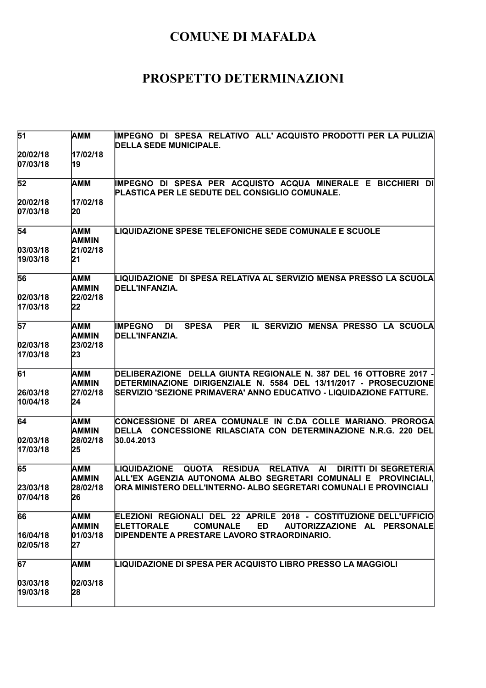| 51                           | AMM                                   | IMPEGNO DI SPESA RELATIVO ALL'ACQUISTO PRODOTTI PER LA PULIZIA<br><b>DELLA SEDE MUNICIPALE.</b>                                                                                                                                                                    |
|------------------------------|---------------------------------------|--------------------------------------------------------------------------------------------------------------------------------------------------------------------------------------------------------------------------------------------------------------------|
| 20/02/18<br>07/03/18         | 17/02/18<br>19                        |                                                                                                                                                                                                                                                                    |
| 52                           | AMM                                   | IMPEGNO DI SPESA PER ACQUISTO ACQUA MINERALE E BICCHIERI DI<br>PLASTICA PER LE SEDUTE DEL CONSIGLIO COMUNALE.                                                                                                                                                      |
| 20/02/18<br>07/03/18         | 17/02/18<br>20                        |                                                                                                                                                                                                                                                                    |
| 54                           | АММ<br><b>AMMIN</b>                   | <b>LIQUIDAZIONE SPESE TELEFONICHE SEDE COMUNALE E SCUOLE</b>                                                                                                                                                                                                       |
| 03/03/18 <br>19/03/18        | 21/02/18<br>21                        |                                                                                                                                                                                                                                                                    |
| 56<br> 02/03/18 <br>17/03/18 | AMM<br><b>AMMIN</b><br>22/02/18<br>22 | LIQUIDAZIONE DI SPESA RELATIVA AL SERVIZIO MENSA PRESSO LA SCUOLA<br>DELL'INFANZIA.                                                                                                                                                                                |
| 57<br>02/03/18<br>17/03/18   | AMM<br>AMMIN<br>23/02/18<br>23        | <b>IMPEGNO</b><br><b>SPESA</b><br><b>PER</b><br>IL SERVIZIO MENSA PRESSO LA SCUOLA<br>DI<br>DELL'INFANZIA.                                                                                                                                                         |
| 61<br>26/03/18<br>10/04/18   | AMM<br><b>AMMIN</b><br>27/02/18<br>24 | DELIBERAZIONE DELLA GIUNTA REGIONALE N. 387 DEL 16 OTTOBRE 2017 -<br>DETERMINAZIONE DIRIGENZIALE N. 5584 DEL 13/11/2017 - PROSECUZIONE<br>SERVIZIO 'SEZIONE PRIMAVERA' ANNO EDUCATIVO - LIQUIDAZIONE FATTURE.                                                      |
| 64<br> 02/03/18 <br>17/03/18 | AMM<br><b>AMMIN</b><br>28/02/18<br>25 | CONCESSIONE DI AREA COMUNALE IN C.DA COLLE MARIANO. PROROGA<br>DELLA CONCESSIONE RILASCIATA CON DETERMINAZIONE N.R.G. 220 DEL<br>30.04.2013                                                                                                                        |
| 65<br>23/03/18<br>07/04/18   | AMM<br>AMMIN<br>28/02/18<br>Zб        | <b>QUOTA</b><br><b>RESIDUA</b><br><b>RELATIVA</b><br>$\mathsf{A}$<br>LIQUIDAZIONE<br><b>DIRITTI DI SEGRETERIA</b><br>ALL'EX AGENZIA AUTONOMA ALBO SEGRETARI COMUNALI E<br><b>PROVINCIALI.</b><br>ORA MINISTERO DELL'INTERNO- ALBO SEGRETARI COMUNALI E PROVINCIALI |
| 66<br>16/04/18<br>02/05/18   | AMM<br><b>AMMIN</b><br>01/03/18<br>27 | ELEZIONI REGIONALI DEL 22 APRILE 2018 - COSTITUZIONE DELL'UFFICIO<br><b>ED</b><br><b>ELETTORALE</b><br><b>COMUNALE</b><br>AUTORIZZAZIONE AL PERSONALE<br>DIPENDENTE A PRESTARE LAVORO STRAORDINARIO.                                                               |
| 67<br> 03/03/18 <br>19/03/18 | AMM<br>02/03/18<br>28                 | LIQUIDAZIONE DI SPESA PER ACQUISTO LIBRO PRESSO LA MAGGIOLI                                                                                                                                                                                                        |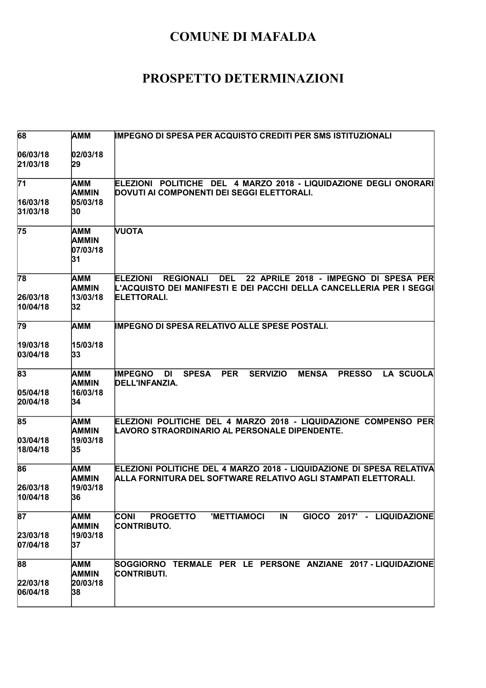| 68                                      | <b>AMM</b>                                   | <b>IMPEGNO DI SPESA PER ACQUISTO CREDITI PER SMS ISTITUZIONALI</b>                                                                                                                      |
|-----------------------------------------|----------------------------------------------|-----------------------------------------------------------------------------------------------------------------------------------------------------------------------------------------|
| 06/03/18<br>21/03/18                    | 02/03/18<br>29                               |                                                                                                                                                                                         |
| $\overline{71}$<br>16/03/18<br>31/03/18 | AMM<br><b>AMMIN</b><br>05/03/18<br>30        | ELEZIONI POLITICHE DEL 4 MARZO 2018 - LIQUIDAZIONE DEGLI ONORARI<br>DOVUTI AI COMPONENTI DEI SEGGI ELETTORALI.                                                                          |
| 75                                      | AMM<br><b>AMMIN</b><br>07/03/18<br>31        | <b>NUOTA</b>                                                                                                                                                                            |
| 78<br>26/03/18<br>10/04/18              | AMM<br><b>AMMIN</b><br>13/03/18<br>32        | <b>REGIONALI</b><br><b>DEL</b><br>22 APRILE 2018 - IMPEGNO DI SPESA PER<br><b>ELEZIONI</b><br>L'ACQUISTO DEI MANIFESTI E DEI PACCHI DELLA CANCELLERIA PER I SEGGI<br><b>ELETTORALI.</b> |
| 79                                      | AMM                                          | <b>IMPEGNO DI SPESA RELATIVO ALLE SPESE POSTALI.</b>                                                                                                                                    |
| 19/03/18<br>03/04/18                    | 15/03/18<br>33                               |                                                                                                                                                                                         |
| 83<br>05/04/18<br>20/04/18              | AMM<br><b>AMMIN</b><br>16/03/18<br>34        | <b>PER</b><br><b>SERVIZIO</b><br><b>LA SCUOLA</b><br><b>IMPEGNO</b><br><b>SPESA</b><br><b>MENSA</b><br><b>PRESSO</b><br>DI<br>DELL'INFANZIA.                                            |
| 85<br> 03/04/18 <br>18/04/18            | AMM<br><b>AMMIN</b><br>19/03/18<br>35        | ELEZIONI POLITICHE DEL 4 MARZO 2018 - LIQUIDAZIONE COMPENSO PER<br>LAVORO STRAORDINARIO AL PERSONALE DIPENDENTE.                                                                        |
| 86<br>26/03/18<br>10/04/18              | AMM<br><b>AMMIN</b><br>19/03/18<br>36        | ELEZIONI POLITICHE DEL 4 MARZO 2018 - LIQUIDAZIONE DI SPESA RELATIVA<br>ALLA FORNITURA DEL SOFTWARE RELATIVO AGLI STAMPATI ELETTORALI.                                                  |
| 87<br>23/03/18<br>07/04/18              | <b>AMM</b><br><b>AMMIN</b><br>19/03/18<br>37 | IN<br>GIOCO 2017' - LIQUIDAZIONE<br><b>CONI</b><br><b>PROGETTO</b><br><b>'METTIAMOCI</b><br><b>CONTRIBUTO.</b>                                                                          |
| 88<br>22/03/18<br>06/04/18              | <b>AMM</b><br><b>AMMIN</b><br>20/03/18<br>38 | SOGGIORNO TERMALE PER LE PERSONE ANZIANE 2017 - LIQUIDAZIONE<br><b>CONTRIBUTI.</b>                                                                                                      |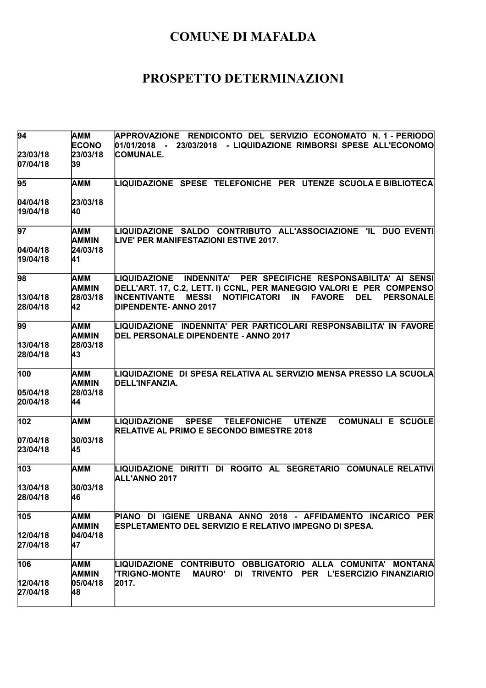| <b>AMM</b>          | APPROVAZIONE RENDICONTO DEL SERVIZIO ECONOMATO N.1 - PERIODO<br>01/01/2018<br>23/03/2018 - LIQUIDAZIONE RIMBORSI SPESE ALL'ECONOMO                                                          |
|---------------------|---------------------------------------------------------------------------------------------------------------------------------------------------------------------------------------------|
|                     | <b>COMUNALE.</b>                                                                                                                                                                            |
| 39                  |                                                                                                                                                                                             |
| AMM                 | LIQUIDAZIONE SPESE TELEFONICHE PER UTENZE SCUOLA E BIBLIOTECA                                                                                                                               |
| 23/03/18            |                                                                                                                                                                                             |
| 40                  |                                                                                                                                                                                             |
| AMM<br><b>AMMIN</b> | LIQUIDAZIONE SALDO CONTRIBUTO ALL'ASSOCIAZIONE 'IL DUO EVENTI<br>LIVE' PER MANIFESTAZIONI ESTIVE 2017.                                                                                      |
| 24/03/18<br>41      |                                                                                                                                                                                             |
| AMM                 | INDENNITA' PER SPECIFICHE RESPONSABILITA' AI SENSI<br>LIQUIDAZIONE                                                                                                                          |
|                     | DELL'ART. 17, C.2, LETT. I) CCNL, PER MANEGGIO VALORI E PER COMPENSO<br><b>INCENTIVANTE</b><br><b>NOTIFICATORI</b><br><b>FAVORE</b><br><b>MESSI</b><br>IN<br><b>DEL</b><br><b>PERSONALE</b> |
| 42                  | <b>DIPENDENTE- ANNO 2017</b>                                                                                                                                                                |
| AMM                 | LIQUIDAZIONE INDENNITA' PER PARTICOLARI RESPONSABILITA' IN FAVORE<br>DEL PERSONALE DIPENDENTE - ANNO 2017                                                                                   |
|                     |                                                                                                                                                                                             |
| 43                  |                                                                                                                                                                                             |
| AMM                 | LIQUIDAZIONE  DI SPESA RELATIVA AL SERVIZIO MENSA PRESSO LA SCUOLA<br>DELL'INFANZIA.                                                                                                        |
| 28/03/18            |                                                                                                                                                                                             |
| 44                  |                                                                                                                                                                                             |
| AMM                 | <b>COMUNALI E SCUOLE</b><br><b>SPESE</b><br><b>TELEFONICHE</b><br><b>UTENZE</b><br>LIQUIDAZIONE<br><b>RELATIVE AL PRIMO E SECONDO BIMESTRE 2018</b>                                         |
| 30/03/18            |                                                                                                                                                                                             |
| 45                  |                                                                                                                                                                                             |
| <b>AMM</b>          | LIQUIDAZIONE DIRITTI DI ROGITO AL SEGRETARIO COMUNALE RELATIVI<br>ALL'ANNO 2017                                                                                                             |
| 30/03/18            |                                                                                                                                                                                             |
| 46                  |                                                                                                                                                                                             |
| AMM                 | PIANO DI IGIENE URBANA ANNO 2018 - AFFIDAMENTO INCARICO PER<br><b>ESPLETAMENTO DEL SERVIZIO E RELATIVO IMPEGNO DI SPESA.</b>                                                                |
|                     |                                                                                                                                                                                             |
| 47                  |                                                                                                                                                                                             |
| <b>AMM</b>          | LIQUIDAZIONE CONTRIBUTO OBBLIGATORIO ALLA COMUNITA' MONTANA                                                                                                                                 |
|                     | <b>'TRIGNO-MONTE</b><br>MAURO' DI TRIVENTO PER L'ESERCIZIO FINANZIARIO                                                                                                                      |
| 48                  | 2017.                                                                                                                                                                                       |
|                     | <b>ECONO</b><br>23/03/18<br><b>AMMIN</b><br>28/03/18<br>AMMIN<br>28/03/18<br><b>AMMIN</b><br>AMMIN<br>04/04/18<br><b>AMMIN</b><br>05/04/18                                                  |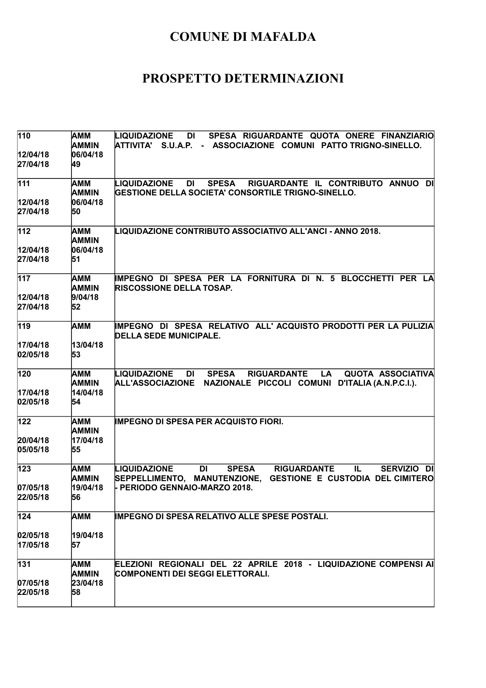| 110                   | AMM<br>AMMIN        | LIQUIDAZIONE<br>DI<br>SPESA RIGUARDANTE QUOTA ONERE FINANZIARIO<br>ATTIVITA' S.U.A.P. - ASSOCIAZIONE COMUNI PATTO_TRIGNO-SINELLO.                                        |
|-----------------------|---------------------|--------------------------------------------------------------------------------------------------------------------------------------------------------------------------|
| 12/04/18<br>27/04/18  | 06/04/18<br>49      |                                                                                                                                                                          |
| 111                   | AMM<br><b>AMMIN</b> | RIGUARDANTE IL CONTRIBUTO ANNUO DI<br>LIQUIDAZIONE<br>DI<br><b>SPESA</b><br>GESTIONE DELLA SOCIETA' CONSORTILE TRIGNO-SINELLO.                                           |
| 12/04/18<br>27/04/18  | 06/04/18<br>50      |                                                                                                                                                                          |
| 112                   | AMM<br><b>AMMIN</b> | LIQUIDAZIONE CONTRIBUTO ASSOCIATIVO ALL'ANCI - ANNO 2018.                                                                                                                |
| 12/04/18<br>27/04/18  | 06/04/18<br>51      |                                                                                                                                                                          |
| 117                   | AMM<br><b>AMMIN</b> | IMPEGNO DI SPESA PER LA FORNITURA DI N. 5 BLOCCHETTI PER LA<br><b>RISCOSSIONE DELLA TOSAP.</b>                                                                           |
| 12/04/18<br>27/04/18  | 9/04/18<br>52       |                                                                                                                                                                          |
| 119                   | AMM                 | IMPEGNO DI SPESA RELATIVO ALL'ACQUISTO PRODOTTI PER LA PULIZIA<br><b>DELLA SEDE MUNICIPALE.</b>                                                                          |
| 17/04/18<br>02/05/18  | 13/04/18<br>53      |                                                                                                                                                                          |
| 120                   | AMM<br><b>AMMIN</b> | LIQUIDAZIONE<br><b>SPESA</b><br><b>RIGUARDANTE</b><br>LA<br><b>QUOTA ASSOCIATIVA</b><br>DI<br>NAZIONALE PICCOLI COMUNI D'ITALIA (A.N.P.C.I.).<br><b>ALL'ASSOCIAZIONE</b> |
| 17/04/18<br>02/05/18  | 14/04/18<br>54      |                                                                                                                                                                          |
| 122                   | AMM<br><b>AMMIN</b> | <b>IMPEGNO DI SPESA PER ACQUISTO FIORI.</b>                                                                                                                              |
| 20/04/18<br>05/05/18  | 17/04/18<br>55      |                                                                                                                                                                          |
| 123                   | AMM<br>AMMIN        | <b>SPESA</b><br>LIQUIDAZIONE<br><b>DI</b><br><b>RIGUARDANTE</b><br>IL<br>SERVIZIO DI<br>SEPPELLIMENTO, MANUTENZIONE,<br><b>GESTIONE E CUSTODIA DEL CIMITERO</b>          |
| 07/05/18<br>22/05/18  | 19/04/18<br>56      | - PERIODO GENNAIO-MARZO 2018.                                                                                                                                            |
| 124                   | AMM                 | <b>IMPEGNO DI SPESA RELATIVO ALLE SPESE POSTALI.</b>                                                                                                                     |
| 02/05/18<br>17/05/18  | 19/04/18<br>57      |                                                                                                                                                                          |
| 131                   | AMM<br><b>AMMIN</b> | ELEZIONI REGIONALI DEL 22 APRILE 2018 - LIQUIDAZIONE COMPENSI AI<br>COMPONENTI DEI SEGGI ELETTORALI.                                                                     |
| 07/05/18 <br>22/05/18 | 23/04/18<br>58      |                                                                                                                                                                          |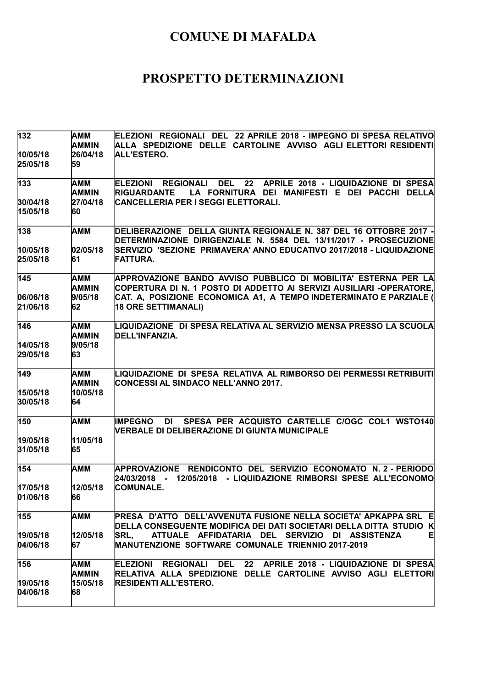| AMM<br><b>AMMIN</b><br>26/04/18 | ELEZIONI REGIONALI DEL 22 APRILE 2018 - IMPEGNO DI SPESA RELATIVO<br>ALLA SPEDIZIONE DELLE CARTOLINE AVVISO AGLI ELETTORI RESIDENTI<br>ALL'ESTERO.                    |
|---------------------------------|-----------------------------------------------------------------------------------------------------------------------------------------------------------------------|
|                                 |                                                                                                                                                                       |
| AMM<br>AMMIN                    | <b>DEL</b><br>22<br><b>ELEZIONI</b><br><b>REGIONALI</b><br>APRILE 2018 - LIQUIDAZIONE DI SPESA<br><b>RIGUARDANTE</b><br>LA FORNITURA DEI MANIFESTI E DEI PACCHI DELLA |
| 27/04/18                        | CANCELLERIA PER I SEGGI ELETTORALI.                                                                                                                                   |
| 60                              |                                                                                                                                                                       |
| <b>AMM</b>                      | DELIBERAZIONE DELLA GIUNTA REGIONALE N. 387 DEL 16 OTTOBRE 2017 -<br>DETERMINAZIONE DIRIGENZIALE N. 5584 DEL 13/11/2017 - PROSECUZIONE                                |
| 02/05/18                        | SERVIZIO 'SEZIONE PRIMAVERA' ANNO EDUCATIVO 2017/2018 - LIQUIDAZIONE                                                                                                  |
| 61                              | <b>FATTURA.</b>                                                                                                                                                       |
| AMM                             | APPROVAZIONE BANDO AVVISO PUBBLICO DI MOBILITA' ESTERNA PER LA                                                                                                        |
|                                 | COPERTURA DI N. 1 POSTO DI ADDETTO AI SERVIZI AUSILIARI -OPERATORE,                                                                                                   |
|                                 | CAT. A, POSIZIONE ECONOMICA A1, A TEMPO INDETERMINATO E PARZIALE (                                                                                                    |
|                                 | 18 ORE SETTIMANALI)                                                                                                                                                   |
| AMM                             | LIQUIDAZIONE  DI SPESA RELATIVA AL SERVIZIO MENSA PRESSO LA SCUOLA<br>DELL'INFANZIA.                                                                                  |
|                                 |                                                                                                                                                                       |
| 63                              |                                                                                                                                                                       |
| AMM                             | LIQUIDAZIONE DI SPESA RELATIVA AL RIMBORSO DEI PERMESSI RETRIBUITI                                                                                                    |
|                                 | <b>CONCESSI AL SINDACO NELL'ANNO 2017.</b>                                                                                                                            |
| 64                              |                                                                                                                                                                       |
| AMM                             | SPESA PER ACQUISTO CARTELLE C/OGC COL1 WST0140<br><b>IMPEGNO</b><br>DI<br><b>NERBALE DI DELIBERAZIONE DI GIUNTA MUNICIPALE</b>                                        |
|                                 |                                                                                                                                                                       |
| 65                              |                                                                                                                                                                       |
| AMM                             | APPROVAZIONE RENDICONTO DEL SERVIZIO ECONOMATO N. 2 - PERIODO<br>- 12/05/2018 - LIQUIDAZIONE RIMBORSI SPESE ALL'ECONOMO<br>24/03/2018                                 |
|                                 | <b>COMUNALE.</b>                                                                                                                                                      |
| 66                              |                                                                                                                                                                       |
| AMM                             | PRESA D'ATTO DELL'AVVENUTA FUSIONE NELLA SOCIETA' APKAPPA SRL E<br>DELLA CONSEGUENTE MODIFICA DEI DATI SOCIETARI DELLA DITTA STUDIO K                                 |
|                                 | ATTUALE AFFIDATARIA DEL SERVIZIO DI ASSISTENZA<br>티<br><b>SRL.</b>                                                                                                    |
| 67                              | MANUTENZIONE SOFTWARE COMUNALE TRIENNIO 2017-2019                                                                                                                     |
| AMM                             | ELEZIONI REGIONALI DEL 22 APRILE 2018 - LIQUIDAZIONE DI SPESA                                                                                                         |
| AMMIN                           | RELATIVA ALLA SPEDIZIONE DELLE CARTOLINE AVVISO AGLI ELETTORI                                                                                                         |
| 68                              | <b>RESIDENTI ALL'ESTERO.</b>                                                                                                                                          |
|                                 | 59<br><b>AMMIN</b><br>9/05/18<br>62<br><b>AMMIN</b><br>9/05/18<br><b>AMMIN</b><br>10/05/18<br>11/05/18<br>12/05/18<br>12/05/18<br>15/05/18                            |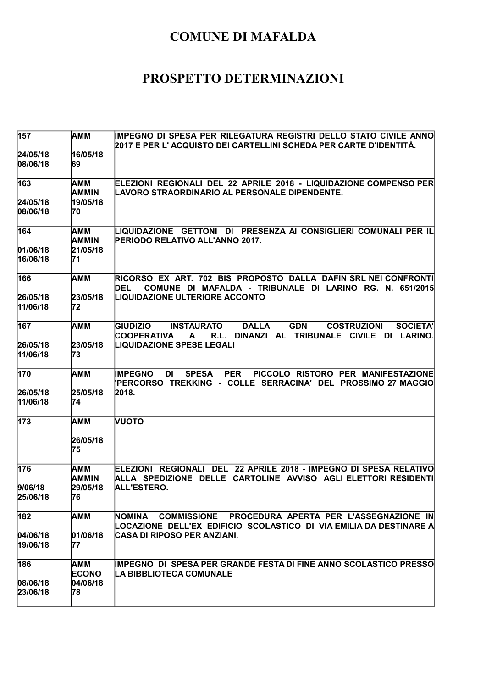| 157                  | AMM            | IMPEGNO DI SPESA PER RILEGATURA REGISTRI DELLO STATO CIVILE ANNO                                     |
|----------------------|----------------|------------------------------------------------------------------------------------------------------|
|                      |                | 2017 E PER L' ACQUISTO DEI CARTELLINI SCHEDA PER CARTE D'IDENTITÀ.                                   |
| 24/05/18<br>08/06/18 | 16/05/18<br>69 |                                                                                                      |
|                      |                |                                                                                                      |
| 163                  | AMM            | ELEZIONI REGIONALI DEL 22 APRILE 2018 - LIQUIDAZIONE COMPENSO PER                                    |
|                      | <b>AMMIN</b>   | LAVORO STRAORDINARIO AL PERSONALE DIPENDENTE.                                                        |
| 24/05/18             | 19/05/18       |                                                                                                      |
| 08/06/18             | 70             |                                                                                                      |
| 164                  | AMM            | LIQUIDAZIONE   GETTONI   DI   PRESENZA AI CONSIGLIERI COMUNALI PER IL                                |
|                      | <b>AMMIN</b>   | PERIODO RELATIVO ALL'ANNO 2017.                                                                      |
| 01/06/18             | 21/05/18       |                                                                                                      |
| 16/06/18             | 71             |                                                                                                      |
| 166                  | AMM            | RICORSO EX ART. 702 BIS PROPOSTO DALLA DAFIN SRL NEI CONFRONTI                                       |
|                      |                | COMUNE DI MAFALDA - TRIBUNALE DI LARINO RG. N. 651/2015<br>DEL                                       |
| 26/05/18             | 23/05/18       | <b>LIQUIDAZIONE ULTERIORE ACCONTO</b>                                                                |
| 11/06/18             | 72             |                                                                                                      |
| 167                  | АММ            | <b>DALLA</b><br><b>GDN</b><br><b>COSTRUZIONI</b><br><b>SOCIETA'</b><br>GIUDIZIO<br><b>INSTAURATO</b> |
|                      |                | <b>COOPERATIVA</b><br>DINANZI AL TRIBUNALE CIVILE DI LARINO.<br>R.L.<br>A                            |
| 26/05/18             | 23/05/18       | <b>LIQUIDAZIONE SPESE LEGALI</b>                                                                     |
| 11/06/18             | 73             |                                                                                                      |
| 170                  | AMM            | PICCOLO RISTORO PER MANIFESTAZIONE<br><b>IMPEGNO</b><br><b>SPESA</b><br><b>PER</b><br>DI             |
|                      |                | 'PERCORSO TREKKING - COLLE SERRACINA' DEL PROSSIMO 27 MAGGIO                                         |
| 26/05/18             | 25/05/18       | 2018.                                                                                                |
| 11/06/18             | 74             |                                                                                                      |
| 173                  | AMM            | <b>NUOTO</b>                                                                                         |
|                      | 26/05/18       |                                                                                                      |
|                      | 75             |                                                                                                      |
| 176                  | AMM            | ELEZIONI  REGIONALI  DEL  22 APRILE 2018 - IMPEGNO DI SPESA RELATIVO                                 |
|                      | AMMIN          | ALLA SPEDIZIONE DELLE CARTOLINE AVVISO AGLI ELETTORI RESIDENTI                                       |
| 9/06/18              | 29/05/18       | ALL'ESTERO.                                                                                          |
| 25/06/18             | 76             |                                                                                                      |
| 182                  | <b>AMM</b>     | COMMISSIONE PROCEDURA APERTA PER L'ASSEGNAZIONE IN<br>NOMINA                                         |
|                      |                | LOCAZIONE DELL'EX EDIFICIO SCOLASTICO DI VIA EMILIA DA DESTINARE A                                   |
| 04/06/18             | 01/06/18       | CASA DI RIPOSO PER ANZIANI.                                                                          |
| 19/06/18             | 77             |                                                                                                      |
| 186                  | AMM            | <b>IMPEGNO DI SPESA PER GRANDE FESTA DI FINE ANNO SCOLASTICO PRESSO</b>                              |
|                      | <b>ECONO</b>   | LA BIBBLIOTECA COMUNALE                                                                              |
| 08/06/18             | 04/06/18       |                                                                                                      |
| 23/06/18             | 78             |                                                                                                      |
|                      |                |                                                                                                      |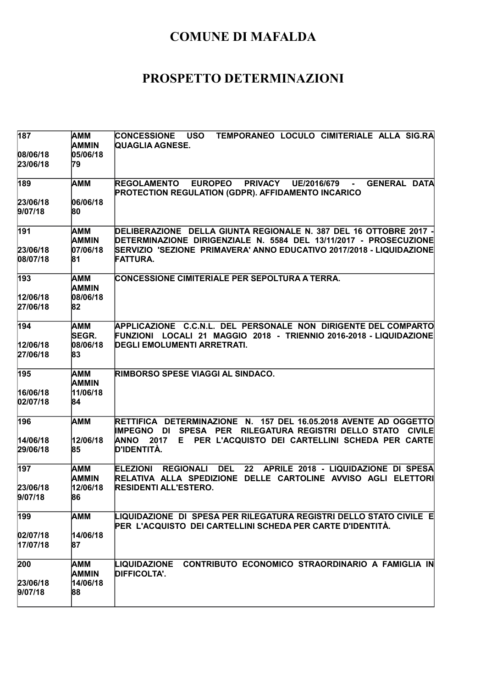| 187                   | AMM<br>AMMIN        | TEMPORANEO LOCULO CIMITERIALE ALLA SIG.RA<br><b>CONCESSIONE</b><br><b>USO</b><br><b>QUAGLIA AGNESE.</b>                                                         |
|-----------------------|---------------------|-----------------------------------------------------------------------------------------------------------------------------------------------------------------|
| 08/06/18<br>23/06/18  | 05/06/18<br>79      |                                                                                                                                                                 |
| 189                   | <b>AMM</b>          | <b>EUROPEO</b><br><b>PRIVACY</b><br><b>GENERAL DATA</b><br><b>REGOLAMENTO</b><br>UE/2016/679<br>PROTECTION REGULATION (GDPR). AFFIDAMENTO INCARICO              |
| 23/06/18<br>9/07/18   | 06/06/18<br>80      |                                                                                                                                                                 |
| 191                   | AMM<br><b>AMMIN</b> | DELIBERAZIONE DELLA GIUNTA REGIONALE N. 387 DEL 16 OTTOBRE 2017 -<br>DETERMINAZIONE DIRIGENZIALE N. 5584 DEL 13/11/2017 - PROSECUZIONE                          |
| 23/06/18<br>08/07/18  | 07/06/18<br>81      | SERVIZIO 'SEZIONE PRIMAVERA' ANNO EDUCATIVO 2017/2018 - LIQUIDAZIONE<br><b>FATTURA.</b>                                                                         |
| 193                   | AMM<br><b>AMMIN</b> | CONCESSIONE CIMITERIALE PER SEPOLTURA A TERRA.                                                                                                                  |
| 12/06/18<br>27/06/18  | 08/06/18<br>82      |                                                                                                                                                                 |
| 194                   | АММ<br>SEGR.        | APPLICAZIONE C.C.N.L. DEL PERSONALE NON DIRIGENTE DEL COMPARTO<br>FUNZIONI LOCALI 21 MAGGIO 2018 - TRIENNIO 2016-2018 - LIQUIDAZIONE                            |
| 12/06/18<br>27/06/18  | 08/06/18<br>83      | DEGLI EMOLUMENTI ARRETRATI.                                                                                                                                     |
| 195                   | AMM<br><b>AMMIN</b> | <b>RIMBORSO SPESE VIAGGI AL SINDACO.</b>                                                                                                                        |
| 16/06/18<br>02/07/18  | 11/06/18<br>84      |                                                                                                                                                                 |
| 196                   | <b>AMM</b>          | RETTIFICA DETERMINAZIONE N. 157 DEL 16.05.2018 AVENTE AD OGGETTO<br><b>IMPEGNO</b><br>SPESA PER RILEGATURA REGISTRI DELLO STATO<br><b>CIVILE</b><br>DI          |
| 14/06/18<br>29/06/18  | 12/06/18<br>85      | <b>ANNO</b><br>2017<br>PER L'ACQUISTO DEI CARTELLINI SCHEDA PER CARTE<br>E.<br>D'IDENTITÀ.                                                                      |
| 197                   | AMM<br>AMMIN        | <b>REGIONALI</b><br><b>DEL</b><br>22<br>APRILE 2018 - LIQUIDAZIONE DI SPESA<br><b>ELEZIONI</b><br>RELATIVA ALLA SPEDIZIONE DELLE CARTOLINE AVVISO AGLI ELETTORI |
| 23/06/18<br>9/07/18   | 12/06/18<br>86      | <b>RESIDENTI ALL'ESTERO.</b>                                                                                                                                    |
| 199                   | AMM                 | LIQUIDAZIONE  DI  SPESA PER RILEGATURA REGISTRI DELLO STATO CIVILE  E<br>PER L'ACQUISTO DEI CARTELLINI SCHEDA PER CARTE D'IDENTITÀ.                             |
| 02/07/18 <br>17/07/18 | 14/06/18<br>87      |                                                                                                                                                                 |
| 200                   | AMM<br><b>AMMIN</b> | CONTRIBUTO ECONOMICO STRAORDINARIO A FAMIGLIA IN<br>LIQUIDAZIONE<br><b>DIFFICOLTA'.</b>                                                                         |
| 23/06/18<br>9/07/18   | 14/06/18<br>88      |                                                                                                                                                                 |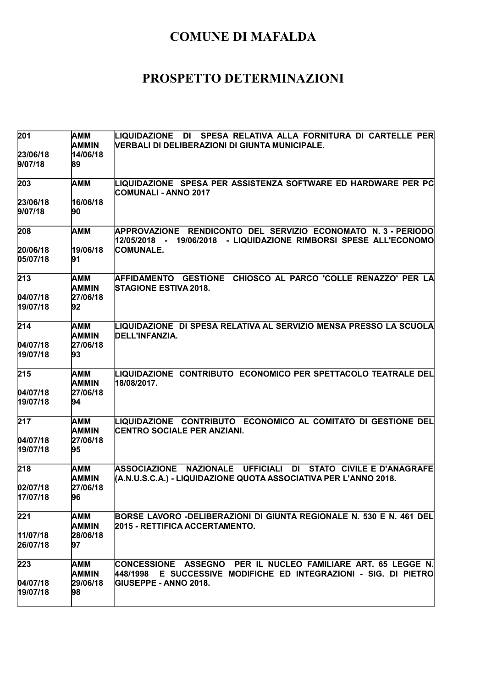| 201                  | AMM                        | DI SPESA RELATIVA ALLA FORNITURA DI CARTELLE PER<br>LIQUIDAZIONE                                                                                                |
|----------------------|----------------------------|-----------------------------------------------------------------------------------------------------------------------------------------------------------------|
|                      | <b>AMMIN</b>               | VERBALI DI DELIBERAZIONI DI GIUNTA MUNICIPALE.                                                                                                                  |
| 23/06/18<br>9/07/18  | 14/06/18<br>89             |                                                                                                                                                                 |
|                      |                            |                                                                                                                                                                 |
| 203                  | <b>AMM</b>                 | LIQUIDAZIONE SPESA PER ASSISTENZA SOFTWARE ED HARDWARE PER PC<br><b>COMUNALI - ANNO 2017</b>                                                                    |
| 23/06/18             | 16/06/18                   |                                                                                                                                                                 |
| 9/07/18              | 90                         |                                                                                                                                                                 |
| 208                  | <b>AMM</b>                 | APPROVAZIONE RENDICONTO DEL SERVIZIO ECONOMATO N. 3 - PERIODO<br>19/06/2018 - LIQUIDAZIONE RIMBORSI SPESE ALL'ECONOMO<br>12/05/2018 -                           |
| 20/06/18             | 19/06/18                   | <b>COMUNALE.</b>                                                                                                                                                |
| 05/07/18             | 91                         |                                                                                                                                                                 |
| 213                  | AMM<br><b>AMMIN</b>        | AFFIDAMENTO GESTIONE CHIOSCO AL PARCO 'COLLE RENAZZO' PER LA<br><b>STAGIONE ESTIVA 2018.</b>                                                                    |
| 04/07/18             | 27/06/18                   |                                                                                                                                                                 |
| 19/07/18             | 92                         |                                                                                                                                                                 |
| 214                  | <b>AMM</b>                 | LIQUIDAZIONE DI SPESA RELATIVA AL SERVIZIO MENSA PRESSO LA SCUOLA                                                                                               |
| 04/07/18             | <b>AMMIN</b><br>27/06/18   | DELL'INFANZIA.                                                                                                                                                  |
| 19/07/18             | 93                         |                                                                                                                                                                 |
|                      |                            |                                                                                                                                                                 |
| 215                  | AMM<br><b>AMMIN</b>        | LIQUIDAZIONE CONTRIBUTO ECONOMICO PER SPETTACOLO TEATRALE DEL<br>18/08/2017.                                                                                    |
| 04/07/18             | 27/06/18                   |                                                                                                                                                                 |
| 19/07/18             | 94                         |                                                                                                                                                                 |
| 217                  | <b>AMM</b><br><b>AMMIN</b> | LIQUIDAZIONE CONTRIBUTO ECONOMICO AL COMITATO DI GESTIONE DEL                                                                                                   |
| 04/07/18             | 27/06/18                   | <b>CENTRO SOCIALE PER ANZIANI.</b>                                                                                                                              |
| 19/07/18             | 95                         |                                                                                                                                                                 |
|                      |                            |                                                                                                                                                                 |
| 218                  | AMM<br>AMMIN               | <b>ASSOCIAZIONE</b><br><b>NAZIONALE</b><br><b>UFFICIALI</b><br>DI STATO CIVILE E D'ANAGRAFE<br>(A.N.U.S.C.A.) - LIQUIDAZIONE QUOTA ASSOCIATIVA PER L'ANNO 2018. |
| 02/07/18             | 27/06/18                   |                                                                                                                                                                 |
| 17/07/18             | 96                         |                                                                                                                                                                 |
| 221                  | AMM                        | BORSE LAVORO -DELIBERAZIONI DI GIUNTA REGIONALE N. 530 E N. 461 DEL                                                                                             |
|                      | <b>AMMIN</b>               | 2015 - RETTIFICA ACCERTAMENTO.                                                                                                                                  |
| 11/07/18<br>26/07/18 | 28/06/18<br>97             |                                                                                                                                                                 |
|                      |                            |                                                                                                                                                                 |
| 223                  | AMM                        | CONCESSIONE ASSEGNO PER IL NUCLEO FAMILIARE ART. 65 LEGGE N.                                                                                                    |
|                      | <b>AMMIN</b>               | E SUCCESSIVE MODIFICHE ED INTEGRAZIONI - SIG. DI PIETRO<br>448/1998                                                                                             |
| 04/07/18<br>19/07/18 | 29/06/18<br>98             | <b>IGIUSEPPE - ANNO 2018.</b>                                                                                                                                   |
|                      |                            |                                                                                                                                                                 |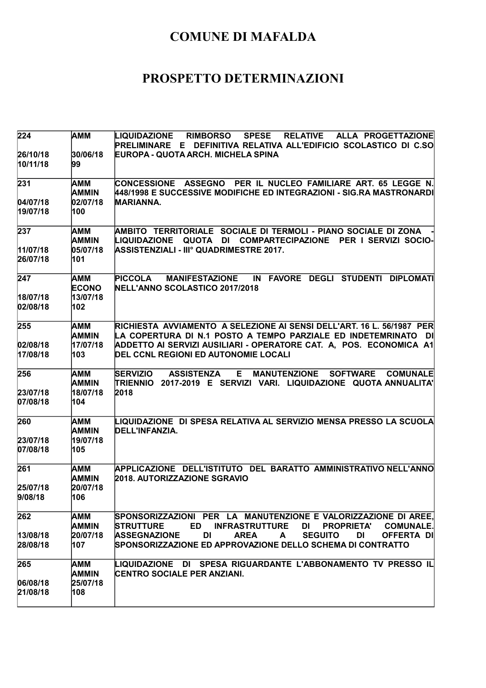| 224                         | <b>AMM</b>                                    | LIQUIDAZIONE<br><b>RIMBORSO</b><br><b>SPESE</b><br><b>RELATIVE</b><br>ALLA PROGETTAZIONE<br>PRELIMINARE E DEFINITIVA RELATIVA ALL'EDIFICIO SCOLASTICO DI C.SO                       |
|-----------------------------|-----------------------------------------------|-------------------------------------------------------------------------------------------------------------------------------------------------------------------------------------|
| 26/10/18<br>10/11/18        | 30/06/18<br>99                                | <b>EUROPA - QUOTA ARCH. MICHELA SPINA</b>                                                                                                                                           |
| 231                         | AMM<br><b>AMMIN</b>                           | CONCESSIONE ASSEGNO PER IL NUCLEO FAMILIARE ART. 65 LEGGE N.<br>448/1998 E SUCCESSIVE MODIFICHE ED INTEGRAZIONI - SIG.RA MASTRONARDI                                                |
| 04/07/18<br>19/07/18        | 02/07/18<br>100                               | <b>MARIANNA.</b>                                                                                                                                                                    |
| 237<br>11/07/18<br>26/07/18 | <b>AMM</b><br><b>AMMIN</b><br>05/07/18<br>101 | AMBITO TERRITORIALE SOCIALE DI TERMOLI - PIANO SOCIALE DI ZONA<br><b>LIQUIDAZIONE</b><br>QUOTA DI COMPARTECIPAZIONE PER I SERVIZI SOCIO-<br>ASSISTENZIALI - IIIº QUADRIMESTRE 2017. |
|                             |                                               |                                                                                                                                                                                     |
| 247<br>18/07/18             | AMM<br><b>ECONO</b><br>13/07/18               | IN FAVORE DEGLI STUDENTI DIPLOMATI<br>PICCOLA<br><b>MANIFESTAZIONE</b><br>NELL'ANNO SCOLASTICO 2017/2018                                                                            |
| 02/08/18                    | 102                                           |                                                                                                                                                                                     |
| 255                         | AMM<br>AMMIN                                  | RICHIESTA AVVIAMENTO A SELEZIONE AI SENSI DELL'ART. 16 L. 56/1987 PER<br>LA COPERTURA DI N.1 POSTO A TEMPO PARZIALE ED INDETEMRINATO DI                                             |
| 02/08/18<br>17/08/18        | 17/07/18<br>103                               | ADDETTO AI SERVIZI AUSILIARI - OPERATORE CAT. A, POS. ECONOMICA A1<br><b>DEL CCNL REGIONI ED AUTONOMIE LOCALI</b>                                                                   |
| 256                         | AMM<br><b>AMMIN</b>                           | <b>SERVIZIO</b><br><b>ASSISTENZA</b><br>Е<br><b>MANUTENZIONE</b><br><b>SOFTWARE</b><br><b>COMUNALE</b><br>TRIENNIO 2017-2019 E SERVIZI VARI. LIQUIDAZIONE QUOTAANNUALITA'           |
| 23/07/18<br>07/08/18        | 18/07/18<br>104                               | 2018                                                                                                                                                                                |
| 260                         | AMM<br><b>AMMIN</b>                           | LIQUIDAZIONE DI SPESA RELATIVA AL SERVIZIO MENSA PRESSO LA SCUOLA<br>DELL'INFANZIA.                                                                                                 |
| 23/07/18<br>07/08/18        | 19/07/18<br>105                               |                                                                                                                                                                                     |
| 261                         | AMM<br><b>AMMIN</b>                           | APPLICAZIONE DELL'ISTITUTO DEL BARATTO AMMINISTRATIVO NELL'ANNO<br><b>2018. AUTORIZZAZIONE SGRAVIO</b>                                                                              |
| 25/07/18<br>9/08/18         | 20/07/18<br>106                               |                                                                                                                                                                                     |
| 262                         | <b>AMM</b><br>AMMIN                           | SPONSORIZZAZIONI PER LA MANUTENZIONE E VALORIZZAZIONE DI AREE,<br><b>STRUTTURE</b><br><b>ED</b><br><b>INFRASTRUTTURE</b><br>DI<br><b>PROPRIETA'</b><br><b>COMUNALE.</b>             |
| 13/08/18<br>28/08/18        | 20/07/18<br>107                               | <b>SEGUITO</b><br><b>ASSEGNAZIONE</b><br>DI<br><b>AREA</b><br>DI<br><b>OFFERTA DI</b><br>$\mathsf{A}$<br>SPONSORIZZAZIONE ED APPROVAZIONE DELLO SCHEMA DI CONTRATTO                 |
| 265                         | <b>AMM</b><br><b>AMMIN</b>                    | LIQUIDAZIONE DI SPESA RIGUARDANTE L'ABBONAMENTO TV PRESSO IL<br><b>CENTRO SOCIALE PER ANZIANI.</b>                                                                                  |
| 06/08/18<br>21/08/18        | 25/07/18<br>108                               |                                                                                                                                                                                     |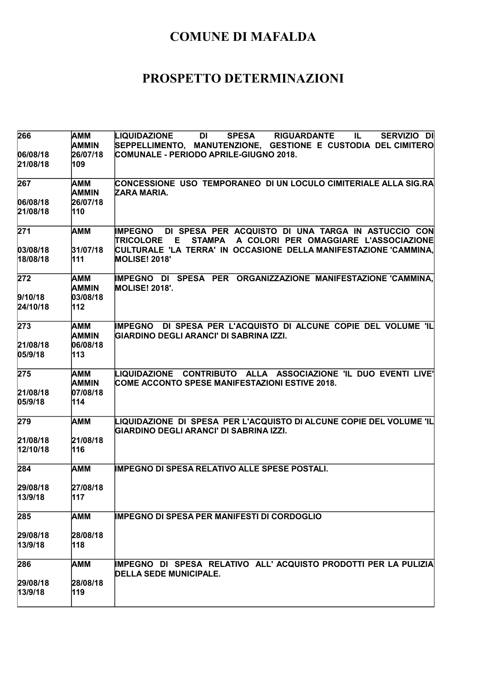| 266      | AMM          | <b>LIQUIDAZIONE</b><br>DI<br><b>SPESA</b><br><b>RIGUARDANTE</b><br>SERVIZIO DI<br>IL.           |
|----------|--------------|-------------------------------------------------------------------------------------------------|
|          | <b>AMMIN</b> | SEPPELLIMENTO, MANUTENZIONE, GESTIONE E CUSTODIA DEL CIMITERO                                   |
| 06/08/18 | 26/07/18     | COMUNALE - PERIODO APRILE-GIUGNO 2018.                                                          |
| 21/08/18 | 109          |                                                                                                 |
| 267      | AMM          | CONCESSIONE USO TEMPORANEO DI UN LOCULO CIMITERIALE ALLA SIG.RA                                 |
|          | <b>AMMIN</b> | ZARA MARIA.                                                                                     |
| 06/08/18 | 26/07/18     |                                                                                                 |
| 21/08/18 | 110          |                                                                                                 |
| 271      | <b>AMM</b>   | IMPEGNO DI SPESA PER ACQUISTO DI UNA TARGA IN ASTUCCIO CON                                      |
|          |              | <b>TRICOLORE</b><br>E<br>STAMPA A COLORI PER OMAGGIARE L'ASSOCIAZIONE                           |
| 03/08/18 | 31/07/18     | CULTURALE 'LA TERRA' IN OCCASIONE DELLA MANIFESTAZIONE 'CAMMINA,                                |
| 18/08/18 | 111          | <b>MOLISE! 2018'</b>                                                                            |
| 272      | AMM          | IMPEGNO DI SPESA PER ORGANIZZAZIONE MANIFESTAZIONE 'CAMMINA,                                    |
|          | <b>AMMIN</b> | <b>MOLISE! 2018'.</b>                                                                           |
| 9/10/18  | 03/08/18     |                                                                                                 |
| 24/10/18 | 112          |                                                                                                 |
| 273      | AMM          | IMPEGNO DI SPESA PER L'ACQUISTO DI ALCUNE COPIE DEL VOLUME 'IL                                  |
|          | <b>AMMIN</b> | GIARDINO DEGLI ARANCI' DI SABRINA IZZI.                                                         |
| 21/08/18 | 06/08/18     |                                                                                                 |
| 05/9/18  | 113          |                                                                                                 |
| 275      | <b>AMM</b>   | LIQUIDAZIONE CONTRIBUTO ALLA ASSOCIAZIONE 'IL DUO EVENTI LIVE'                                  |
|          | <b>AMMIN</b> | COME ACCONTO SPESE MANIFESTAZIONI ESTIVE 2018.                                                  |
| 21/08/18 | 07/08/18     |                                                                                                 |
| 05/9/18  | 114          |                                                                                                 |
| 279      | AMM          | LIQUIDAZIONE  DI  SPESA  PER L'ACQUISTO DI ALCUNE COPIE DEL VOLUME 'IL                          |
|          |              | GIARDINO DEGLI ARANCI' DI SABRINA IZZI.                                                         |
| 21/08/18 | 21/08/18     |                                                                                                 |
| 12/10/18 | 116          |                                                                                                 |
| 284      | <b>AMM</b>   | <b>IMPEGNO DI SPESA RELATIVO ALLE SPESE POSTALI.</b>                                            |
| 29/08/18 | 27/08/18     |                                                                                                 |
| 13/9/18  | 117          |                                                                                                 |
|          |              |                                                                                                 |
| 285      | AMM          | <b>IMPEGNO DI SPESA PER MANIFESTI DI CORDOGLIO</b>                                              |
| 29/08/18 | 28/08/18     |                                                                                                 |
| 13/9/18  | 118          |                                                                                                 |
|          |              |                                                                                                 |
| 286      | <b>AMM</b>   | IMPEGNO DI SPESA RELATIVO ALL'ACQUISTO PRODOTTI PER LA PULIZIA<br><b>DELLA SEDE MUNICIPALE.</b> |
| 29/08/18 | 28/08/18     |                                                                                                 |
| 13/9/18  | 119          |                                                                                                 |
|          |              |                                                                                                 |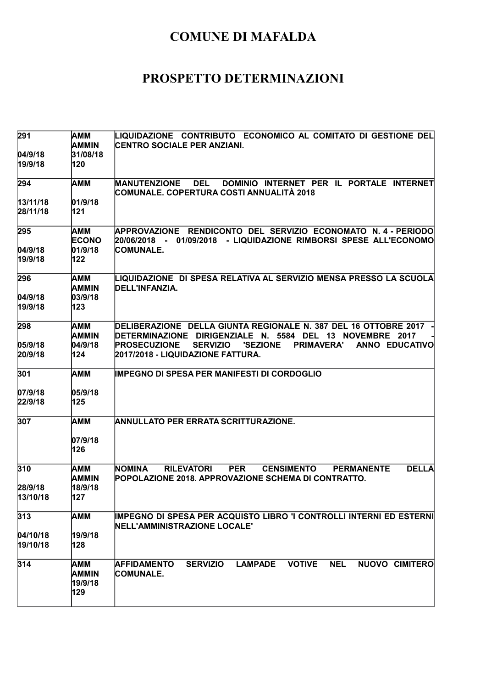| 291      | AMM          | LIQUIDAZIONE CONTRIBUTO ECONOMICO AL COMITATO DI GESTIONE DEL                                                   |
|----------|--------------|-----------------------------------------------------------------------------------------------------------------|
|          | AMMIN        | <b>CENTRO SOCIALE PER ANZIANI.</b>                                                                              |
| 04/9/18  | 31/08/18     |                                                                                                                 |
| 19/9/18  | 120          |                                                                                                                 |
| 294      | AMM          | DOMINIO INTERNET PER IL PORTALE INTERNET<br><b>MANUTENZIONE</b><br><b>DEL</b>                                   |
|          |              | ∣COMUNALE. COPERTURA COSTI ANNUALITÀ 2018                                                                       |
| 13/11/18 | 01/9/18      |                                                                                                                 |
| 28/11/18 | 121          |                                                                                                                 |
| 295      | AMM          | APPROVAZIONE RENDICONTO DEL SERVIZIO ECONOMATO N.4-PERIODO                                                      |
|          | <b>ECONO</b> | 20/06/2018 -<br>01/09/2018 - LIQUIDAZIONE RIMBORSI SPESE ALL'ECONOMO                                            |
| 04/9/18  | 01/9/18      | <b>COMUNALE.</b>                                                                                                |
| 19/9/18  | 122          |                                                                                                                 |
| 296      | AMM          | LIQUIDAZIONE  DI SPESA RELATIVA AL SERVIZIO MENSA PRESSO LA SCUOLA                                              |
|          | <b>AMMIN</b> | DELL'INFANZIA.                                                                                                  |
| 04/9/18  | 03/9/18      |                                                                                                                 |
| 19/9/18  | 123          |                                                                                                                 |
| 298      | AMM          | DELIBERAZIONE DELLA GIUNTA REGIONALE N. 387 DEL 16 OTTOBRE 2017                                                 |
|          | <b>AMMIN</b> | DETERMINAZIONE DIRIGENZIALE N. 5584 DEL 13 NOVEMBRE 2017                                                        |
| 05/9/18  | 04/9/18      | <b>PRIMAVERA'</b><br><b>ANNO EDUCATIVO</b><br><b>PROSECUZIONE</b><br><b>SERVIZIO</b><br><b>'SEZIONE</b>         |
| 20/9/18  | 124          | 2017/2018 - LIQUIDAZIONE FATTURA.                                                                               |
| 301      | AMM          | <b>IMPEGNO DI SPESA PER MANIFESTI DI CORDOGLIO</b>                                                              |
| 07/9/18  | 05/9/18      |                                                                                                                 |
| 22/9/18  | 125          |                                                                                                                 |
|          |              |                                                                                                                 |
| 307      | AMM          | ANNULLATO PER ERRATA SCRITTURAZIONE.                                                                            |
|          | 07/9/18      |                                                                                                                 |
|          | 126          |                                                                                                                 |
| 310      | AMM          | <b>DELLA</b><br><b>NOMINA</b><br><b>RILEVATORI</b><br><b>PER</b><br><b>CENSIMENTO</b><br><b>PERMANENTE</b>      |
|          | AMMIN        | POPOLAZIONE 2018. APPROVAZIONE SCHEMA DI CONTRATTO.                                                             |
| 28/9/18  | 18/9/18      |                                                                                                                 |
| 13/10/18 | 127          |                                                                                                                 |
| 313      | AMM          | IMPEGNO DI SPESA PER ACQUISTO LIBRO 'I CONTROLLI INTERNI ED ESTERNI                                             |
|          |              | <b>INELL'AMMINISTRAZIONE LOCALE'</b>                                                                            |
| 04/10/18 | 19/9/18      |                                                                                                                 |
| 19/10/18 | 128          |                                                                                                                 |
| 314      | AMM          | <b>NEL</b><br><b>AFFIDAMENTO</b><br><b>SERVIZIO</b><br><b>LAMPADE</b><br><b>VOTIVE</b><br><b>NUOVO CIMITERO</b> |
|          | <b>AMMIN</b> | COMUNALE.                                                                                                       |
|          | 19/9/18      |                                                                                                                 |
|          | 129          |                                                                                                                 |
|          |              |                                                                                                                 |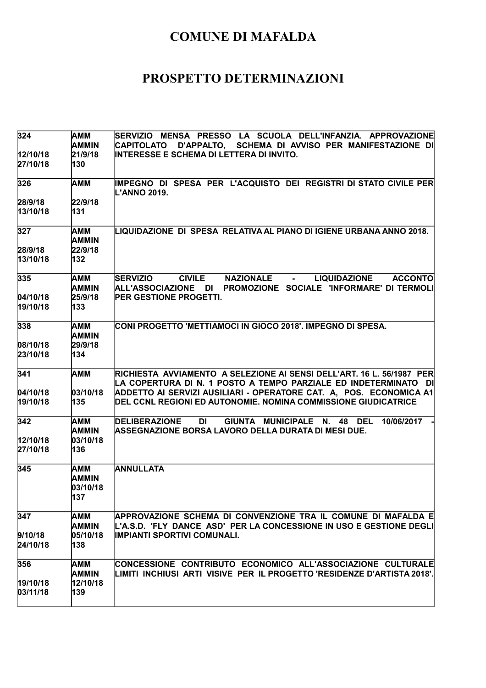| 324                  | AMM<br><b>AMMIN</b>        | SERVIZIO MENSA PRESSO LA SCUOLA DELL'INFANZIA. APPROVAZIONE<br>D'APPALTO, SCHEMA DI AVVISO PER MANIFESTAZIONE DI<br><b>CAPITOLATO</b> |
|----------------------|----------------------------|---------------------------------------------------------------------------------------------------------------------------------------|
| 12/10/18             | 21/9/18                    | INTERESSE E SCHEMA DI LETTERA DI INVITO.                                                                                              |
| 27/10/18             | 130                        |                                                                                                                                       |
| 326                  | <b>AMM</b>                 | IMPEGNO DI SPESA PER L'ACQUISTO DEI REGISTRI DI STATO CIVILE PER<br>L'ANNO 2019.                                                      |
| 28/9/18              | 22/9/18                    |                                                                                                                                       |
| 13/10/18             | 131                        |                                                                                                                                       |
| 327                  | AMM<br><b>AMMIN</b>        | LIQUIDAZIONE DI SPESA RELATIVA AL PIANO DI IGIENE URBANA ANNO 2018.                                                                   |
| 28/9/18              | 22/9/18                    |                                                                                                                                       |
| 13/10/18             | 132                        |                                                                                                                                       |
| 335                  | AMM                        | <b>SERVIZIO</b><br><b>CIVILE</b><br><b>NAZIONALE</b><br><b>LIQUIDAZIONE</b><br><b>ACCONTO</b><br>$\sim 100$                           |
|                      | <b>AMMIN</b>               | PROMOZIONE SOCIALE 'INFORMARE' DI TERMOLI<br>ALL'ASSOCIAZIONE DI                                                                      |
| 04/10/18<br>19/10/18 | 25/9/18                    | <b>PER GESTIONE PROGETTI.</b>                                                                                                         |
|                      | 133                        |                                                                                                                                       |
| 338                  | <b>AMM</b><br><b>AMMIN</b> | CONI PROGETTO 'METTIAMOCI IN GIOCO 2018'. IMPEGNO DI SPESA.                                                                           |
| 08/10/18             | 29/9/18                    |                                                                                                                                       |
| 23/10/18             | 134                        |                                                                                                                                       |
| 341                  | AMM                        | RICHIESTA AVVIAMENTO A SELEZIONE AI SENSI DELL'ART. 16 L. 56/1987 PER                                                                 |
|                      |                            | LA COPERTURA DI N. 1 POSTO A TEMPO PARZIALE ED INDETERMINATO DI                                                                       |
| 04/10/18             | 03/10/18                   | ADDETTO AI SERVIZI AUSILIARI - OPERATORE CAT. A, POS. ECONOMICA A1                                                                    |
| 19/10/18             | 135                        | DEL CCNL REGIONI ED AUTONOMIE. NOMINA COMMISSIONE GIUDICATRICE                                                                        |
| 342                  | <b>AMM</b><br>AMMIN        | <b>DELIBERAZIONE</b><br>GIUNTA MUNICIPALE N. 48 DEL<br>DI<br>10/06/2017<br>ASSEGNAZIONE BORSA LAVORO DELLA DURATA DI MESI DUE.        |
| 12/10/18             | 03/10/18                   |                                                                                                                                       |
| 27/10/18             | 136                        |                                                                                                                                       |
| 345                  | AMM<br><b>AMMIN</b>        | <b>ANNULLATA</b>                                                                                                                      |
|                      | 03/10/18<br>137            |                                                                                                                                       |
| 347                  | AMM                        | APPROVAZIONE SCHEMA DI CONVENZIONE TRA IL COMUNE DI MAFALDA E                                                                         |
|                      | AMMIN                      | L'A.S.D. 'FLY DANCE ASD' PER LA CONCESSIONE IN USO E GESTIONE DEGLI                                                                   |
| 9/10/18              | 05/10/18                   | <b>IMPIANTI SPORTIVI COMUNALI.</b>                                                                                                    |
| 24/10/18             | 138                        |                                                                                                                                       |
| 356                  | AMM                        | CONCESSIONE CONTRIBUTO ECONOMICO ALL'ASSOCIAZIONE CULTURALE                                                                           |
|                      | <b>AMMIN</b>               | LIMITI INCHIUSI ARTI VISIVE PER IL PROGETTO 'RESIDENZE D'ARTISTA 2018'.                                                               |
| 19/10/18             | 12/10/18                   |                                                                                                                                       |
| 03/11/18             | 139                        |                                                                                                                                       |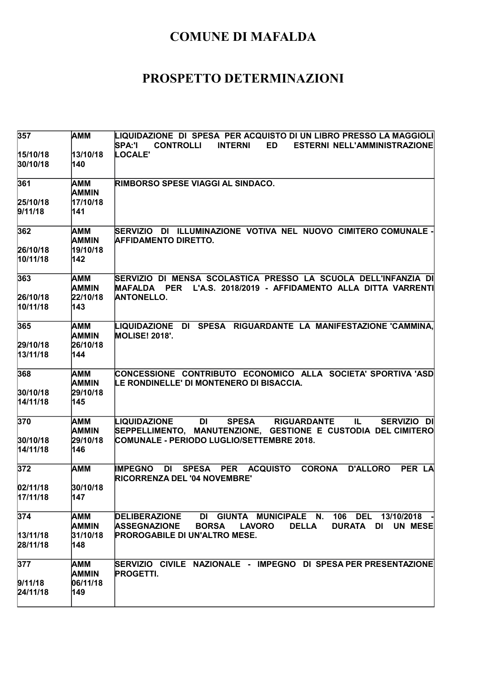| 357                  | AMM                             | LIQUIDAZIONE DI SPESA PER ACQUISTO DI UN LIBRO PRESSO LA MAGGIOLI<br><b>SPA:'I</b><br><b>CONTROLLI</b><br><b>INTERNI</b><br><b>ED</b><br><b>ESTERNI NELL'AMMINISTRAZIONE</b> |
|----------------------|---------------------------------|------------------------------------------------------------------------------------------------------------------------------------------------------------------------------|
| 15/10/18<br>30/10/18 | 13/10/18<br>140                 | LOCALE'                                                                                                                                                                      |
| 361                  | AMM<br><b>AMMIN</b>             | RIMBORSO SPESE VIAGGI AL SINDACO.                                                                                                                                            |
| 25/10/18<br>9/11/18  | 17/10/18<br>141                 |                                                                                                                                                                              |
| 362<br>26/10/18      | AMM<br><b>AMMIN</b><br>19/10/18 | SERVIZIO DI ILLUMINAZIONE VOTIVA NEL NUOVO CIMITERO COMUNALE -<br><b>AFFIDAMENTO DIRETTO.</b>                                                                                |
| 10/11/18             | 142                             |                                                                                                                                                                              |
| 363<br>26/10/18      | AMM<br><b>AMMIN</b><br>22/10/18 | SERVIZIO DI MENSA SCOLASTICA PRESSO LA SCUOLA DELL'INFANZIA DI<br>L'A.S. 2018/2019 - AFFIDAMENTO ALLA DITTA VARRENTI<br><b>MAFALDA PER</b><br><b>ANTONELLO.</b>              |
| 10/11/18             | 143                             |                                                                                                                                                                              |
| 365                  | AMM<br><b>AMMIN</b>             | LIQUIDAZIONE DI SPESA RIGUARDANTE LA MANIFESTAZIONE CAMMINA,<br><b>MOLISE! 2018'.</b>                                                                                        |
| 29/10/18<br>13/11/18 | 26/10/18<br>144                 |                                                                                                                                                                              |
| 368<br>30/10/18      | AMM<br><b>AMMIN</b><br>29/10/18 | CONCESSIONE CONTRIBUTO ECONOMICO ALLA SOCIETA' SPORTIVA 'ASD<br>LE RONDINELLE' DI MONTENERO DI BISACCIA.                                                                     |
| 14/11/18             | 145                             |                                                                                                                                                                              |
| 370                  | AMM<br><b>AMMIN</b>             | LIQUIDAZIONE<br>DI<br><b>SPESA</b><br><b>RIGUARDANTE</b><br>SERVIZIO DI<br>IL.<br>SEPPELLIMENTO, MANUTENZIONE, GESTIONE E CUSTODIA DEL CIMITERO                              |
| 30/10/18<br>14/11/18 | 29/10/18<br>146                 | COMUNALE - PERIODO LUGLIO/SETTEMBRE 2018.                                                                                                                                    |
| 372                  | <b>AMM</b>                      | <b>CORONA</b><br><b>IMPEGNO</b><br>DI<br><b>SPESA</b><br><b>PER</b><br><b>ACQUISTO</b><br><b>D'ALLORO</b><br>PER LA<br>RICORRENZA DEL '04 NOVEMBRE'                          |
| 02/11/18<br>17/11/18 | 30/10/18<br>147                 |                                                                                                                                                                              |
| 374                  | AMM<br><b>AMMIN</b>             | DI GIUNTA MUNICIPALE N. 106 DEL 13/10/2018<br><b>DELIBERAZIONE</b><br><b>ASSEGNAZIONE</b><br><b>BORSA</b><br><b>LAVORO</b><br><b>DELLA</b><br>DURATA DI<br><b>UN MESE</b>    |
| 13/11/18<br>28/11/18 | 31/10/18<br>148                 | <b>PROROGABILE DI UN'ALTRO MESE.</b>                                                                                                                                         |
| 377                  | AMM<br><b>AMMIN</b>             | SERVIZIO CIVILE NAZIONALE - IMPEGNO DI SPESA PER PRESENTAZIONE<br><b>PROGETTI.</b>                                                                                           |
| 9/11/18<br>24/11/18  | 06/11/18<br>149                 |                                                                                                                                                                              |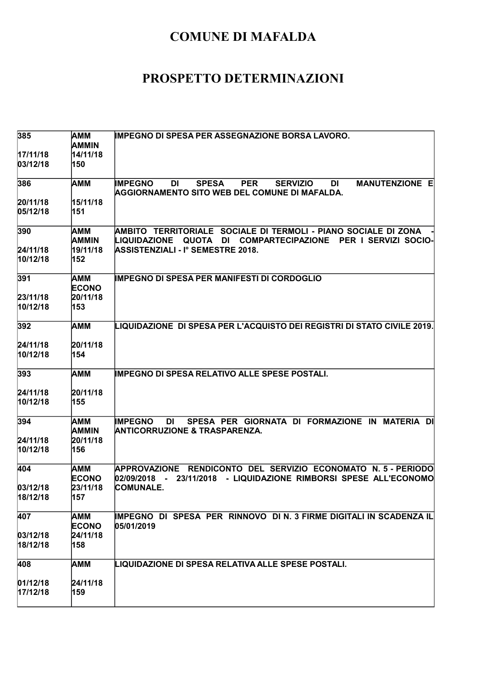| 385                  | AMM<br><b>AMMIN</b> | <b>IMPEGNO DI SPESA PER ASSEGNAZIONE BORSA LAVORO.</b>                                                                                                              |
|----------------------|---------------------|---------------------------------------------------------------------------------------------------------------------------------------------------------------------|
| 17/11/18             | 14/11/18            |                                                                                                                                                                     |
| 03/12/18             | 150                 |                                                                                                                                                                     |
| 386                  | AMM                 | <b>MANUTENZIONE E</b><br><b>IMPEGNO</b><br><b>SPESA</b><br><b>PER</b><br>DI<br><b>SERVIZIO</b><br><b>DI</b><br><b>AGGIORNAMENTO SITO WEB DEL COMUNE DI MAFALDA.</b> |
| 20/11/18             | 15/11/18            |                                                                                                                                                                     |
| 05/12/18             | 151                 |                                                                                                                                                                     |
| 390                  | AMM<br>AMMIN        | AMBITO TERRITORIALE SOCIALE DI TERMOLI - PIANO SOCIALE DI ZONA<br><b>LIQUIDAZIONE</b><br>QUOTA DI COMPARTECIPAZIONE<br><b>PER I SERVIZI SOCIO-</b>                  |
| 24/11/18             | 19/11/18            | <b>ASSISTENZIALI - I° SEMESTRE 2018.</b>                                                                                                                            |
| 10/12/18             | 152                 |                                                                                                                                                                     |
| 391                  | AMM<br><b>ECONO</b> | IMPEGNO DI SPESA PER MANIFESTI DI CORDOGLIO                                                                                                                         |
| 23/11/18             | 20/11/18            |                                                                                                                                                                     |
| 10/12/18             | 153                 |                                                                                                                                                                     |
| 392                  | AMM                 | LIQUIDAZIONE DI SPESA PER L'ACQUISTO DEI REGISTRI DI STATO CIVILE 2019.                                                                                             |
| 24/11/18             | 20/11/18            |                                                                                                                                                                     |
| 10/12/18             | 154                 |                                                                                                                                                                     |
|                      |                     |                                                                                                                                                                     |
| 393                  | AMM                 | <b>IMPEGNO DI SPESA RELATIVO ALLE SPESE POSTALI.</b>                                                                                                                |
| 24/11/18             | 20/11/18            |                                                                                                                                                                     |
| 10/12/18             | 155                 |                                                                                                                                                                     |
| 394                  | АММ<br><b>AMMIN</b> | SPESA PER GIORNATA DI FORMAZIONE IN MATERIA DI<br><b>IMPEGNO</b><br>DI<br><b>ANTICORRUZIONE &amp; TRASPARENZA.</b>                                                  |
| 24/11/18             | 20/11/18            |                                                                                                                                                                     |
| 10/12/18             | 156                 |                                                                                                                                                                     |
| 404                  | AMM<br><b>ECONO</b> | <b>APPROVAZIONE</b><br>RENDICONTO DEL SERVIZIO ECONOMATO N. 5 - PERIODO<br>- LIQUIDAZIONE RIMBORSI SPESE ALL'ECONOMO<br>02/09/2018<br>23/11/2018<br>$\sim$ 10 $\pm$ |
| 03/12/18             | 23/11/18            | <b>COMUNALE.</b>                                                                                                                                                    |
| 18/12/18             | 157                 |                                                                                                                                                                     |
| 407                  | AMM<br><b>ECONO</b> | IMPEGNO DI SPESA PER RINNOVO DIN. 3 FIRME DIGITALI IN SCADENZA IL<br>05/01/2019                                                                                     |
| 03/12/18             | 24/11/18            |                                                                                                                                                                     |
| 18/12/18             | 158                 |                                                                                                                                                                     |
| 408                  | AMM                 | LIQUIDAZIONE DI SPESA RELATIVA ALLE SPESE POSTALI.                                                                                                                  |
|                      | 24/11/18            |                                                                                                                                                                     |
| 01/12/18<br>17/12/18 | 159                 |                                                                                                                                                                     |
|                      |                     |                                                                                                                                                                     |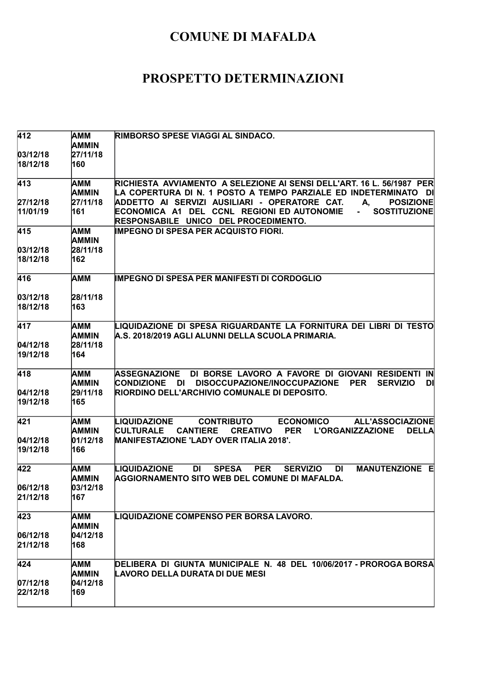| 412              | AMM<br>AMMIN        | RIMBORSO SPESE VIAGGI AL SINDACO.                                                                                                                                                                   |
|------------------|---------------------|-----------------------------------------------------------------------------------------------------------------------------------------------------------------------------------------------------|
| 03/12/18         | 27/11/18            |                                                                                                                                                                                                     |
| 18/12/18         | 160                 |                                                                                                                                                                                                     |
| 413              | AMM<br><b>AMMIN</b> | RICHIESTA AVVIAMENTO A SELEZIONE AI SENSI DELL'ART. 16 L. 56/1987 PER<br>LA COPERTURA DI N. 1 POSTO A TEMPO PARZIALE ED INDETERMINATO DI                                                            |
| 27/12/18         | 27/11/18            | ADDETTO AI SERVIZI AUSILIARI - OPERATORE CAT.<br>А.<br><b>POSIZIONE</b>                                                                                                                             |
| 11/01/19         | 161                 | ECONOMICA A1 DEL CCNL REGIONI ED AUTONOMIE<br><b>SOSTITUZIONE</b><br>$\blacksquare$<br>RESPONSABILE UNICO DEL PROCEDIMENTO.                                                                         |
| 415              | AMM<br>AMMIN        | <b>IMPEGNO DI SPESA PER ACQUISTO FIORI.</b>                                                                                                                                                         |
| 03/12/18         | 28/11/18            |                                                                                                                                                                                                     |
| 18/12/18         | 162                 |                                                                                                                                                                                                     |
| 416              | АММ                 | <b>IMPEGNO DI SPESA PER MANIFESTI DI CORDOGLIO</b>                                                                                                                                                  |
| 03/12/18         | 28/11/18            |                                                                                                                                                                                                     |
| 18/12/18         | 163                 |                                                                                                                                                                                                     |
| $\overline{4}17$ | AMM<br><b>AMMIN</b> | LIQUIDAZIONE DI SPESA RIGUARDANTE LA FORNITURA DEI LIBRI DI TESTO<br>A.S. 2018/2019 AGLI ALUNNI DELLA SCUOLA PRIMARIA.                                                                              |
| 04/12/18         | 28/11/18            |                                                                                                                                                                                                     |
| 19/12/18         | 164                 |                                                                                                                                                                                                     |
| 418              | AMM<br><b>AMMIN</b> | <b>ASSEGNAZIONE</b><br>DI BORSE LAVORO A FAVORE DI GIOVANI RESIDENTI IN<br><b>CONDIZIONE</b><br>DI<br>DISOCCUPAZIONE/INOCCUPAZIONE<br><b>SERVIZIO</b><br><b>PER</b><br>DI                           |
| 04/12/18         | 29/11/18            | RIORDINO DELL'ARCHIVIO COMUNALE DI DEPOSITO.                                                                                                                                                        |
| 19/12/18         | 165                 |                                                                                                                                                                                                     |
| 421              | AMM<br>AMMIN        | <b>CONTRIBUTO</b><br><b>ECONOMICO</b><br><b>ALL'ASSOCIAZIONE</b><br>LIQUIDAZIONE<br><b>CULTURALE</b><br><b>CANTIERE</b><br><b>CREATIVO</b><br><b>PER</b><br><b>L'ORGANIZZAZIONE</b><br><b>DELLA</b> |
| 04/12/18         | 01/12/18            | <b>MANIFESTAZIONE 'LADY OVER ITALIA 2018'.</b>                                                                                                                                                      |
| 19/12/18         | 166                 |                                                                                                                                                                                                     |
| 422              | AMM<br><b>AMMIN</b> | LIQUIDAZIONE<br><b>PER</b><br><b>DI</b><br><b>MANUTENZIONE E</b><br>DI<br><b>SPESA</b><br><b>SERVIZIO</b><br>AGGIORNAMENTO SITO WEB DEL COMUNE DI MAFALDA.                                          |
| 06/12/18         | 03/12/18            |                                                                                                                                                                                                     |
| 21/12/18         | 167                 |                                                                                                                                                                                                     |
| 423              | AMM<br><b>AMMIN</b> | LIQUIDAZIONE COMPENSO PER BORSA LAVORO.                                                                                                                                                             |
| 06/12/18         | 04/12/18            |                                                                                                                                                                                                     |
| 21/12/18         | 168                 |                                                                                                                                                                                                     |
| 424              | AMM                 | DELIBERA DI GIUNTA MUNICIPALE N. 48 DEL 10/06/2017 - PROROGA BORSA                                                                                                                                  |
|                  | <b>AMMIN</b>        | LAVORO DELLA DURATA DI DUE MESI                                                                                                                                                                     |
| 07/12/18         | 04/12/18            |                                                                                                                                                                                                     |
| 22/12/18         | 169                 |                                                                                                                                                                                                     |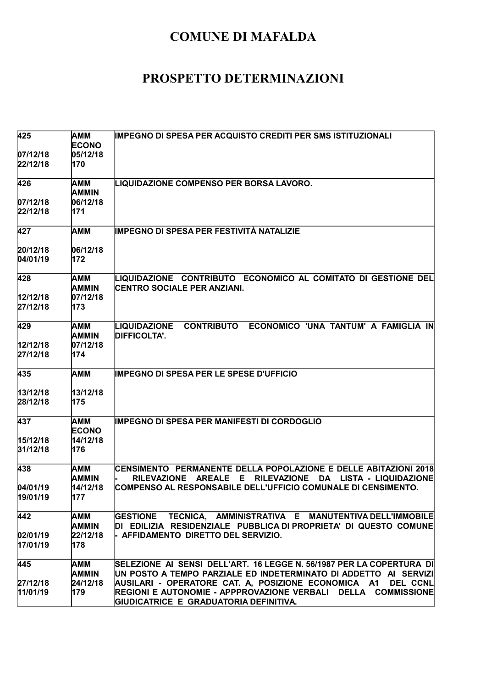| 425                   | AMM<br><b>ECONO</b>      | <b>IMPEGNO DI SPESA PER ACQUISTO CREDITI PER SMS ISTITUZIONALI</b>                                                                                              |
|-----------------------|--------------------------|-----------------------------------------------------------------------------------------------------------------------------------------------------------------|
| 07/12/18 <br>22/12/18 | 05/12/18<br>170          |                                                                                                                                                                 |
| 426                   | AMM<br>AMMIN             | LIQUIDAZIONE COMPENSO PER BORSA LAVORO.                                                                                                                         |
| 07/12/18              | 06/12/18                 |                                                                                                                                                                 |
| 22/12/18              | 171                      |                                                                                                                                                                 |
| 427                   | AMM                      | IMPEGNO DI SPESA PER FESTIVITÀ NATALIZIE                                                                                                                        |
| 20/12/18              | 06/12/18                 |                                                                                                                                                                 |
| 04/01/19              | 172                      |                                                                                                                                                                 |
| 428                   | AMM<br>AMMIN             | LIQUIDAZIONE CONTRIBUTO ECONOMICO AL COMITATO DI GESTIONE DEL<br>CENTRO SOCIALE PER ANZIANI.                                                                    |
| 12/12/18              | 07/12/18                 |                                                                                                                                                                 |
| 27/12/18              | 173                      |                                                                                                                                                                 |
| 429                   | AMM<br>AMMIN             | <b>CONTRIBUTO</b><br>ECONOMICO 'UNA TANTUM' A FAMIGLIA IN<br><b>LIQUIDAZIONE</b><br><b>DIFFICOLTA'.</b>                                                         |
| 12/12/18              | 07/12/18                 |                                                                                                                                                                 |
| 27/12/18              | 174                      |                                                                                                                                                                 |
| 435                   | AMM                      | <b>IMPEGNO DI SPESA PER LE SPESE D'UFFICIO</b>                                                                                                                  |
| 13/12/18              | 13/12/18                 |                                                                                                                                                                 |
| 28/12/18              | 175                      |                                                                                                                                                                 |
| 437                   | AMM<br><b>ECONO</b>      | <b>IMPEGNO DI SPESA PER MANIFESTI DI CORDOGLIO</b>                                                                                                              |
| 15/12/18              | 14/12/18                 |                                                                                                                                                                 |
| 31/12/18              | 176                      |                                                                                                                                                                 |
| 438                   | AMM<br>AMMIN             | CENSIMENTO PERMANENTE DELLA POPOLAZIONE E DELLE ABITAZIONI 2018<br><b>RILEVAZIONE</b><br><b>AREALE</b><br><b>RILEVAZIONE</b><br>DA<br>LISTA - LIQUIDAZIONE<br>Е |
| 04/01/19              | 14/12/18                 | COMPENSO AL RESPONSABILE DELL'UFFICIO COMUNALE DI CENSIMENTO.                                                                                                   |
| 19/01/19              | 177                      |                                                                                                                                                                 |
| 442                   | AMM                      | GESTIONE TECNICA, AMMINISTRATIVA E MANUTENTIVA DELL'IMMOBILE                                                                                                    |
| 02/01/19              | <b>AMMIN</b><br>22/12/18 | DI EDILIZIA RESIDENZIALE PUBBLICA DI PROPRIETA' DI QUESTO COMUNE<br>- AFFIDAMENTO DIRETTO DEL SERVIZIO.                                                         |
| 17/01/19              | 178                      |                                                                                                                                                                 |
| 445                   | AMM                      | SELEZIONE AI SENSI DELL'ART. 16 LEGGE N. 56/1987 PER LA COPERTURA DI                                                                                            |
|                       | <b>AMMIN</b>             | UN POSTO A TEMPO PARZIALE ED INDETERMINATO DI ADDETTO AI SERVIZI                                                                                                |
| 27/12/18              | 24/12/18                 | AUSILARI - OPERATORE CAT. A, POSIZIONE ECONOMICA A1<br><b>DEL CCNL</b>                                                                                          |
| 11/01/19              | 179                      | REGIONI E AUTONOMIE - APPPROVAZIONE VERBALI DELLA COMMISSIONE<br>GIUDICATRICE E GRADUATORIA DEFINITIVA.                                                         |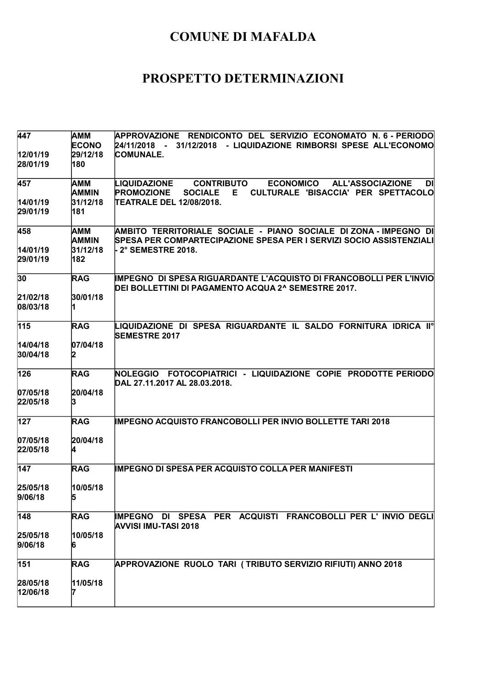| 447                 | AMM<br><b>ECONO</b>        | APPROVAZIONE RENDICONTO DEL SERVIZIO ECONOMATO N. 6 - PERIODO<br>- 31/12/2018 - LIQUIDAZIONE RIMBORSI SPESE ALL'ECONOMO<br>24/11/2018                                      |
|---------------------|----------------------------|----------------------------------------------------------------------------------------------------------------------------------------------------------------------------|
| 12/01/19            | 29/12/18                   | <b>COMUNALE.</b>                                                                                                                                                           |
| 28/01/19            | 180                        |                                                                                                                                                                            |
| 457                 | AMM<br><b>AMMIN</b>        | <b>ALL'ASSOCIAZIONE</b><br>LIQUIDAZIONE<br><b>CONTRIBUTO</b><br><b>ECONOMICO</b><br>DI<br><b>PROMOZIONE</b><br><b>SOCIALE</b><br>E.<br>CULTURALE 'BISACCIA' PER SPETTACOLO |
| 14/01/19            | 31/12/18                   | TEATRALE DEL 12/08/2018.                                                                                                                                                   |
| 29/01/19            | 181                        |                                                                                                                                                                            |
| 458                 | <b>AMM</b><br><b>AMMIN</b> | AMBITO TERRITORIALE SOCIALE - PIANO SOCIALE DI ZONA - IMPEGNO DI<br>SPESA PER COMPARTECIPAZIONE SPESA PER I SERVIZI SOCIO ASSISTENZIALI                                    |
| 14/01/19            | 31/12/18                   | ⊦ 2° SEMESTRE 2018.                                                                                                                                                        |
| 29/01/19            | 182                        |                                                                                                                                                                            |
| 30                  | <b>RAG</b>                 | IMPEGNO DI SPESA RIGUARDANTE L'ACQUISTO DI FRANCOBOLLI PER L'INVIO<br>DEI BOLLETTINI DI PAGAMENTO ACQUA 2^ SEMESTRE 2017.                                                  |
| 21/02/18            | 30/01/18                   |                                                                                                                                                                            |
| 08/03/18            |                            |                                                                                                                                                                            |
| 115                 | <b>RAG</b>                 | $\blacksquare$ liquidazione di spesa riguardante il saldo fornitura idrica II°<br><b>SEMESTRE 2017</b>                                                                     |
| 14/04/18            | 07/04/18                   |                                                                                                                                                                            |
| 30/04/18            | 12                         |                                                                                                                                                                            |
| 126                 | <b>RAG</b>                 | NOLEGGIO FOTOCOPIATRICI - LIQUIDAZIONE COPIE PRODOTTE PERIODO<br>DAL 27.11.2017 AL 28.03.2018.                                                                             |
| 07/05/18            | 20/04/18                   |                                                                                                                                                                            |
| 22/05/18            | 13                         |                                                                                                                                                                            |
| 127                 | <b>RAG</b>                 | <b>IMPEGNO ACQUISTO FRANCOBOLLI PER INVIO BOLLETTE TARI 2018</b>                                                                                                           |
| 07/05/18            | 20/04/18                   |                                                                                                                                                                            |
| 22/05/18            |                            |                                                                                                                                                                            |
| 147                 | <b>RAG</b>                 | <b>IMPEGNO DI SPESA PER ACQUISTO COLLA PER MANIFESTI</b>                                                                                                                   |
|                     | 10/05/18                   |                                                                                                                                                                            |
| 25/05/18<br>9/06/18 | p                          |                                                                                                                                                                            |
| 148                 | <b>RAG</b>                 | IMPEGNO DI SPESA PER ACQUISTI FRANCOBOLLI PER L' INVIO DEGLI                                                                                                               |
|                     | 10/05/18                   | <b>AVVISI IMU-TASI 2018</b>                                                                                                                                                |
| 25/05/18<br>9/06/18 | 16                         |                                                                                                                                                                            |
| 151                 | <b>RAG</b>                 | APPROVAZIONE RUOLO TARI (TRIBUTO SERVIZIO RIFIUTI) ANNO 2018                                                                                                               |
| 28/05/18            | 11/05/18                   |                                                                                                                                                                            |
| 12/06/18            |                            |                                                                                                                                                                            |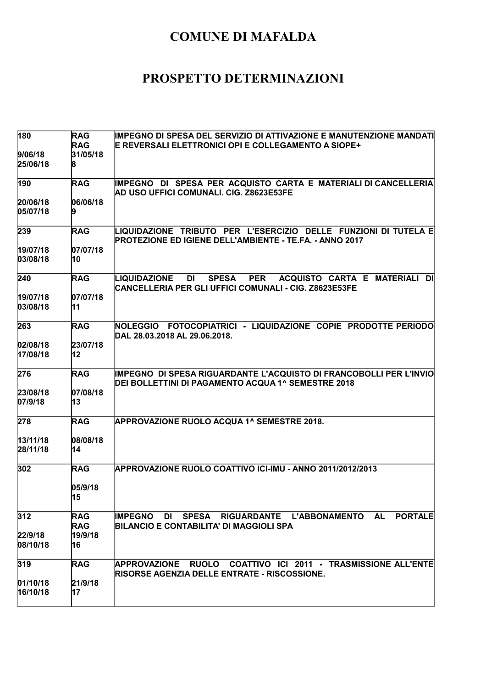| 180                  | <b>RAG</b>               | IMPEGNO DI SPESA DEL SERVIZIO DI ATTIVAZIONE E MANUTENZIONE MANDATI                                                                                |
|----------------------|--------------------------|----------------------------------------------------------------------------------------------------------------------------------------------------|
| 9/06/18<br>25/06/18  | <b>RAG</b><br>31/05/18   | E REVERSALI ELETTRONICI OPI E COLLEGAMENTO A SIOPE+                                                                                                |
|                      |                          |                                                                                                                                                    |
| 190                  | <b>RAG</b>               | IMPEGNO DI SPESA PER ACQUISTO CARTA E MATERIALI DI CANCELLERIA<br>AD USO UFFICI COMUNALI. CIG. Z8623E53FE                                          |
| 20/06/18<br>05/07/18 | 06/06/18                 |                                                                                                                                                    |
| 239                  | <b>RAG</b>               | LIQUIDAZIONE TRIBUTO PER L'ESERCIZIO DELLE FUNZIONI DI TUTELA E<br><b>PROTEZIONE ED IGIENE DELL'AMBIENTE - TE.FA. - ANNO 2017</b>                  |
| 19/07/18<br>03/08/18 | 07/07/18<br>10           |                                                                                                                                                    |
| 240                  | <b>RAG</b>               | DI<br><b>SPESA</b><br><b>PER</b><br>ACQUISTO CARTA E MATERIALI<br>DI<br>LIQUIDAZIONE<br>CANCELLERIA PER GLI UFFICI COMUNALI - CIG. Z8623E53FE      |
| 19/07/18<br>03/08/18 | 07/07/18<br>11           |                                                                                                                                                    |
| 263                  | <b>RAG</b>               | NOLEGGIO FOTOCOPIATRICI - LIQUIDAZIONE COPIE PRODOTTE PERIODO<br>DAL 28.03.2018 AL 29.06.2018.                                                     |
| 02/08/18<br>17/08/18 | 23/07/18<br>12           |                                                                                                                                                    |
| 276                  | <b>RAG</b>               | IMPEGNO DI SPESA RIGUARDANTE L'ACQUISTO DI FRANCOBOLLI PER L'INVIO<br>DEI BOLLETTINI DI PAGAMENTO ACQUA 1^ SEMESTRE 2018                           |
| 23/08/18<br>07/9/18  | 07/08/18<br>13           |                                                                                                                                                    |
| 278                  | <b>RAG</b>               | <b>APPROVAZIONE RUOLO ACQUA 1^ SEMESTRE 2018.</b>                                                                                                  |
| 13/11/18<br>28/11/18 | 08/08/18<br>14           |                                                                                                                                                    |
| 302                  | <b>RAG</b>               | APPROVAZIONE RUOLO COATTIVO ICI-IMU - ANNO 2011/2012/2013                                                                                          |
|                      | 05/9/18<br> 15           |                                                                                                                                                    |
| 312                  | <b>RAG</b><br><b>RAG</b> | <b>IMPEGNO</b><br><b>SPESA</b><br>RIGUARDANTE L'ABBONAMENTO<br><b>PORTALE</b><br>DI<br><b>AL</b><br><b>BILANCIO E CONTABILITA' DI MAGGIOLI SPA</b> |
| 22/9/18<br>08/10/18  | 19/9/18<br>16            |                                                                                                                                                    |
| 319                  | <b>RAG</b>               | RUOLO COATTIVO ICI 2011 - TRASMISSIONE ALL'ENTE<br><b>APPROVAZIONE</b><br><b>RISORSE AGENZIA DELLE ENTRATE - RISCOSSIONE.</b>                      |
| 01/10/18<br>16/10/18 | 21/9/18<br>17            |                                                                                                                                                    |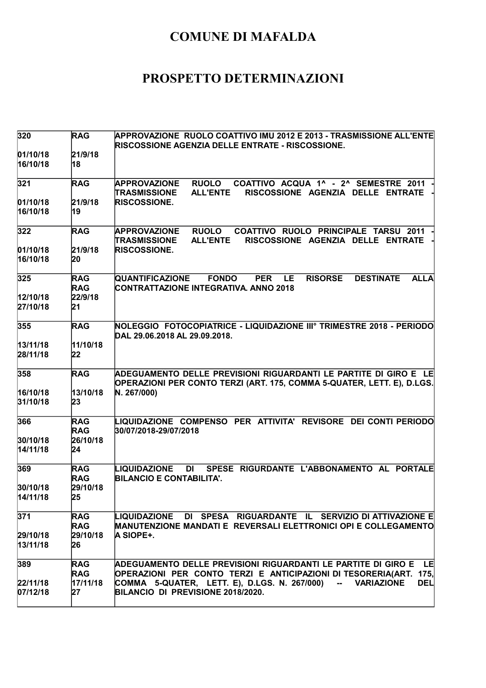| 320                  | <b>RAG</b>               | APPROVAZIONE RUOLO COATTIVO IMU 2012 E 2013 - TRASMISSIONE ALL'ENTE<br><b>RISCOSSIONE AGENZIA DELLE ENTRATE - RISCOSSIONE.</b>                             |
|----------------------|--------------------------|------------------------------------------------------------------------------------------------------------------------------------------------------------|
| 01/10/18<br>16/10/18 | 21/9/18<br>18            |                                                                                                                                                            |
| 321                  | <b>RAG</b>               | <b>RUOLO</b><br>COATTIVO ACQUA 1^ - 2^ SEMESTRE 2011<br><b>APPROVAZIONE</b><br><b>ALL'ENTE</b><br>RISCOSSIONE AGENZIA DELLE ENTRATE<br><b>TRASMISSIONE</b> |
| 01/10/18<br>16/10/18 | 21/9/18<br>19            | <b>RISCOSSIONE.</b>                                                                                                                                        |
| 322                  | <b>RAG</b>               | <b>APPROVAZIONE</b><br><b>RUOLO</b><br>COATTIVO RUOLO PRINCIPALE TARSU 2011<br><b>TRASMISSIONE</b><br><b>ALL'ENTE</b><br>RISCOSSIONE AGENZIA DELLE ENTRATE |
| 01/10/18<br>16/10/18 | 21/9/18<br>20            | <b>RISCOSSIONE.</b>                                                                                                                                        |
| 325                  | <b>RAG</b><br><b>RAG</b> | <b>DESTINATE</b><br><b>QUANTIFICAZIONE</b><br><b>FONDO</b><br><b>PER</b><br>LE.<br><b>RISORSE</b><br><b>ALLA</b><br>CONTRATTAZIONE INTEGRATIVA. ANNO 2018  |
| 12/10/18<br>27/10/18 | 22/9/18<br>21            |                                                                                                                                                            |
| 355                  | <b>RAG</b>               | NOLEGGIO FOTOCOPIATRICE - LIQUIDAZIONE IIIº TRIMESTRE 2018 - PERIODO<br>DAL 29.06.2018 AL 29.09.2018.                                                      |
| 13/11/18<br>28/11/18 | 11/10/18<br>22           |                                                                                                                                                            |
| 358                  | <b>RAG</b>               | ADEGUAMENTO DELLE PREVISIONI RIGUARDANTI LE PARTITE DI GIRO E LE<br>OPERAZIONI PER CONTO TERZI (ART. 175, COMMA 5-QUATER, LETT. E), D.LGS.                 |
| 16/10/18<br>31/10/18 | 13/10/18<br>23           | N. 267/000)                                                                                                                                                |
| 366                  | <b>RAG</b><br><b>RAG</b> | LIQUIDAZIONE COMPENSO PER ATTIVITA' REVISORE DEI CONTI PERIODO<br>30/07/2018-29/07/2018                                                                    |
| 30/10/18<br>14/11/18 | 26/10/18<br>24           |                                                                                                                                                            |
| 369                  | <b>RAG</b><br><b>RAG</b> | <b>LIQUIDAZIONE</b><br>SPESE RIGURDANTE L'ABBONAMENTO AL PORTALE<br>DI<br><b>BILANCIO E CONTABILITA'.</b>                                                  |
| 30/10/18<br>14/11/18 | 29/10/18<br>25           |                                                                                                                                                            |
| 371                  | <b>RAG</b><br><b>RAG</b> | LIQUIDAZIONE DI SPESA RIGUARDANTE IL SERVIZIO DI ATTIVAZIONE E<br>MANUTENZIONE MANDATI E REVERSALI ELETTRONICI OPI E COLLEGAMENTO                          |
| 29/10/18<br>13/11/18 | 29/10/18<br>26           | A SIOPE+.                                                                                                                                                  |
| 389                  | <b>RAG</b><br><b>RAG</b> | ADEGUAMENTO DELLE PREVISIONI RIGUARDANTI LE PARTITE DI GIRO E<br>LE<br>OPERAZIONI PER CONTO TERZI E ANTICIPAZIONI DI TESORERIA(ART.<br>175,                |
| 22/11/18<br>07/12/18 | 17/11/18<br>27           | COMMA 5-QUATER, LETT. E), D.LGS. N. 267/000)<br><b>VARIAZIONE</b><br><b>DEL</b><br>$\mathbf{m} = 0$<br>BILANCIO DI PREVISIONE 2018/2020.                   |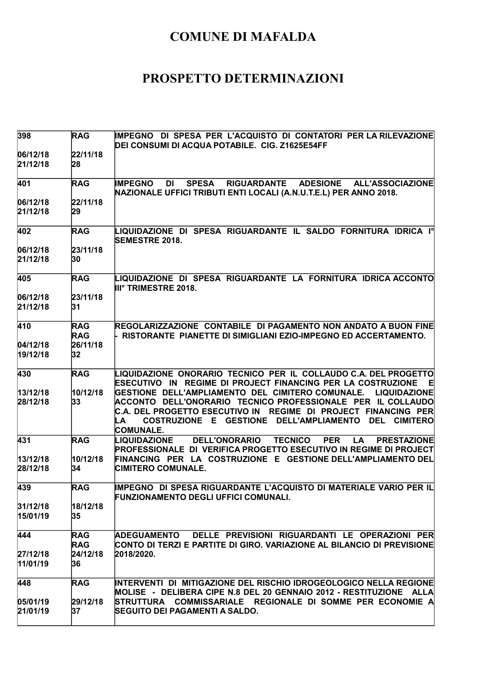| 398                  | <b>RAG</b>               | IMPEGNO DI SPESA PER L'ACQUISTO DI CONTATORI PER LA RILEVAZIONE<br>DEI CONSUMI DI ACQUA POTABILE. CIG. Z1625E54FF                                                                                                    |
|----------------------|--------------------------|----------------------------------------------------------------------------------------------------------------------------------------------------------------------------------------------------------------------|
| 06/12/18             | 22/11/18                 |                                                                                                                                                                                                                      |
| 21/12/18             | 28                       |                                                                                                                                                                                                                      |
| 401                  | <b>RAG</b>               | <b>SPESA</b><br>RIGUARDANTE ADESIONE ALL'ASSOCIAZIONE<br><b>IMPEGNO</b><br><b>DI</b><br>NAZIONALE UFFICI TRIBUTI ENTI LOCALI (A.N.U.T.E.L) PER ANNO 2018.                                                            |
| 06/12/18             | 22/11/18                 |                                                                                                                                                                                                                      |
| 21/12/18             | 29                       |                                                                                                                                                                                                                      |
| 402                  | <b>RAG</b>               | LIQUIDAZIONE DI SPESA RIGUARDANTE IL SALDO FORNITURA IDRICA Iº<br><b>SEMESTRE 2018.</b>                                                                                                                              |
| 06/12/18             | 23/11/18                 |                                                                                                                                                                                                                      |
| 21/12/18             | 30                       |                                                                                                                                                                                                                      |
| 405                  | <b>RAG</b>               | LIQUIDAZIONE DI SPESA RIGUARDANTE LA FORNITURA IDRICA ACCONTO<br><b>III° TRIMESTRE 2018.</b>                                                                                                                         |
| 06/12/18<br>21/12/18 | 23/11/18<br>31           |                                                                                                                                                                                                                      |
| 410                  | <b>RAG</b><br><b>RAG</b> | REGOLARIZZAZIONE CONTABILE DI PAGAMENTO NON ANDATO A BUON FINE<br>RISTORANTE PIANETTE DI SIMIGLIANI EZIO-IMPEGNO ED ACCERTAMENTO.                                                                                    |
| 04/12/18             | 26/11/18                 |                                                                                                                                                                                                                      |
| 19/12/18             | 32                       |                                                                                                                                                                                                                      |
| 430                  | <b>RAG</b>               | LIQUIDAZIONE ONORARIO TECNICO PER IL COLLAUDO C.A. DEL PROGETTO<br>ESECUTIVO IN REGIME DI PROJECT FINANCING PER LA COSTRUZIONE<br>티                                                                                  |
| 13/12/18             | 10/12/18                 | <b>LIQUIDAZIONE</b><br>GESTIONE DELL'AMPLIAMENTO DEL CIMITERO COMUNALE.                                                                                                                                              |
| 28/12/18             | 33                       | ACCONTO DELL'ONORARIO TECNICO PROFESSIONALE PER IL COLLAUDO<br>C.A. DEL PROGETTO ESECUTIVO IN REGIME DI PROJECT FINANCING PER<br>COSTRUZIONE E GESTIONE<br><b>DELL'AMPLIAMENTO</b><br>DEL<br><b>CIMITERO</b><br>ILA. |
|                      |                          | <b>COMUNALE.</b><br><b>DELL'ONORARIO</b><br>LIQUIDAZIONE                                                                                                                                                             |
| 431                  | <b>RAG</b>               | <b>TECNICO</b><br><b>PER</b><br><b>LA</b><br><b>PRESTAZIONE</b><br><b>PROFESSIONALE DI VERIFICA PROGETTO ESECUTIVO IN REGIME DI PROJECT</b>                                                                          |
| 13/12/18<br>28/12/18 | 10/12/18<br>34           | FINANCING PER LA COSTRUZIONE E GESTIONE DELL'AMPLIAMENTO DEL<br><b>CIMITERO COMUNALE.</b>                                                                                                                            |
| 439                  | <b>RAG</b>               | IMPEGNO DI SPESA RIGUARDANTE L'ACQUISTO DI MATERIALE VARIO PER IL<br><b>FUNZIONAMENTO DEGLI UFFICI COMUNALI.</b>                                                                                                     |
| 31/12/18             | 18/12/18                 |                                                                                                                                                                                                                      |
| 15/01/19             | 35                       |                                                                                                                                                                                                                      |
| 444                  | <b>RAG</b><br><b>RAG</b> | DELLE PREVISIONI RIGUARDANTI LE OPERAZIONI PER<br><b>ADEGUAMENTO</b><br>CONTO DI TERZI E PARTITE DI GIRO. VARIAZIONE AL BILANCIO DI PREVISIONE                                                                       |
| 27/12/18             | 24/12/18                 | 2018/2020.                                                                                                                                                                                                           |
| 11/01/19             | 36                       |                                                                                                                                                                                                                      |
| 448                  | <b>RAG</b>               | INTERVENTI DI MITIGAZIONE DEL RISCHIO IDROGEOLOGICO NELLA REGIONE                                                                                                                                                    |
| 05/01/19             | 29/12/18                 | MOLISE - DELIBERA CIPE N.8 DEL 20 GENNAIO 2012 - RESTITUZIONE ALLA<br>STRUTTURA COMMISSARIALE REGIONALE DI SOMME PER ECONOMIE A                                                                                      |
| 21/01/19             | 37                       | SEGUITO DEI PAGAMENTI A SALDO.                                                                                                                                                                                       |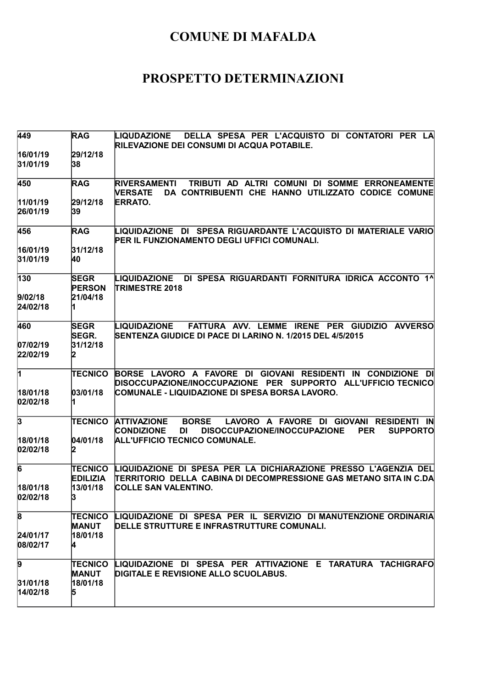| 449                                             | <b>RAG</b>                                  | LIQUDAZIONE<br>DELLA SPESA PER L'ACQUISTO DI CONTATORI PER LA<br>RILEVAZIONE DEI CONSUMI DI ACQUA POTABILE.                                                                                                       |
|-------------------------------------------------|---------------------------------------------|-------------------------------------------------------------------------------------------------------------------------------------------------------------------------------------------------------------------|
| 16/01/19<br>31/01/19                            | 29/12/18<br>38                              |                                                                                                                                                                                                                   |
| 450                                             | <b>RAG</b>                                  | TRIBUTI AD ALTRI COMUNI DI SOMME ERRONEAMENTE<br><b>RIVERSAMENTI</b><br>DA CONTRIBUENTI CHE HANNO UTILIZZATO CODICE COMUNE<br><b>NERSATE</b>                                                                      |
| 11/01/19<br>26/01/19                            | 29/12/18<br>39                              | <b>ERRATO.</b>                                                                                                                                                                                                    |
| 456                                             | <b>RAG</b>                                  | LIQUIDAZIONE DI SPESA RIGUARDANTE L'ACQUISTO DI MATERIALE VARIO<br>PER IL FUNZIONAMENTO DEGLI UFFICI COMUNALI.                                                                                                    |
| 16/01/19<br>31/01/19                            | 31/12/18<br>40                              |                                                                                                                                                                                                                   |
| 130<br>9/02/18<br>24/02/18                      | <b>SEGR</b><br><b>PERSON</b><br>21/04/18    | DI SPESA RIGUARDANTI FORNITURA IDRICA ACCONTO 1^<br>LIQUIDAZIONE<br><b>TRIMESTRE 2018</b>                                                                                                                         |
| 460<br>07/02/19<br>22/02/19                     | <b>SEGR</b><br>SEGR.<br>31/12/18            | LIQUIDAZIONE<br>FATTURA AVV. LEMME IRENE PER GIUDIZIO AVVERSO<br>SENTENZA GIUDICE DI PACE DI LARINO N. 1/2015 DEL 4/5/2015                                                                                        |
| $\overline{1}$<br>18/01/18<br>02/02/18          | <b>TECNICO</b><br>03/01/18                  | BORSE LAVORO A FAVORE DI GIOVANI RESIDENTI<br>IN CONDIZIONE DI<br>DISOCCUPAZIONE/INOCCUPAZIONE PER SUPPORTO ALL'UFFICIO TECNICO<br>COMUNALE - LIQUIDAZIONE DI SPESA BORSA LAVORO.                                 |
| $\overline{3}$<br>18/01/18<br>02/02/18          | <b>TECNICO</b><br>04/01/18                  | <b>ATTIVAZIONE</b><br><b>BORSE</b><br>LAVORO A FAVORE DI GIOVANI RESIDENTI IN<br><b>CONDIZIONE</b><br>DISOCCUPAZIONE/INOCCUPAZIONE<br>DI<br><b>PER</b><br><b>SUPPORTO</b><br><b>ALL'UFFICIO TECNICO COMUNALE.</b> |
| 6<br>18/01/18<br>02/02/18                       | TECNICO<br><b>EDILIZIA</b><br>13/01/18<br>p | LIQUIDAZIONE DI SPESA PER LA DICHIARAZIONE PRESSO L'AGENZIA DEL<br>ITERRITORIO  DELLA  CABINA DI DECOMPRESSIONE GAS METANO SITA IN C.DA<br><b>COLLE SAN VALENTINO.</b>                                            |
| $\overline{\mathbf{8}}$<br>24/01/17<br>08/02/17 | TECNICO<br>MANUT<br>18/01/18<br>14          | LIQUIDAZIONE DI SPESA PER IL SERVIZIO DI MANUTENZIONE ORDINARIA<br>DELLE STRUTTURE E INFRASTRUTTURE COMUNALI.                                                                                                     |
| 9<br>31/01/18<br>14/02/18                       | TECNICO<br><b>MANUT</b><br>18/01/18<br>15   | LIQUIDAZIONE DI SPESA PER ATTIVAZIONE E TARATURA TACHIGRAFO<br><b>DIGITALE E REVISIONE ALLO SCUOLABUS.</b>                                                                                                        |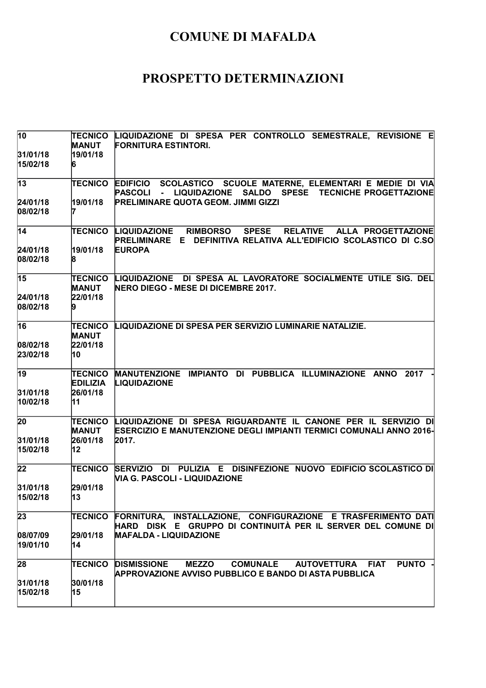| $\overline{10}$             | <b>TECNICO</b><br><b>MANUT</b> | LIQUIDAZIONE DI SPESA PER CONTROLLO SEMESTRALE, REVISIONE E<br><b>FORNITURA ESTINTORI.</b>                                                                              |
|-----------------------------|--------------------------------|-------------------------------------------------------------------------------------------------------------------------------------------------------------------------|
| 31/01/18<br>15/02/18        | 19/01/18<br>6                  |                                                                                                                                                                         |
| $\overline{13}$             | TECNICO                        | EDIFICIO SCOLASTICO SCUOLE MATERNE, ELEMENTARI E MEDIE DI VIA<br>- LIQUIDAZIONE SALDO SPESE TECNICHE PROGETTAZIONE<br><b>PASCOLI</b>                                    |
| 24/01/18<br>08/02/18        | 19/01/18                       | <b>PRELIMINARE QUOTA GEOM. JIMMI GIZZI</b>                                                                                                                              |
| $\overline{14}$             | TECNICO                        | <b>RELATIVE</b><br>LIQUIDAZIONE<br><b>RIMBORSO</b><br><b>SPESE</b><br>ALLA PROGETTAZIONE<br>DEFINITIVA RELATIVA ALL'EDIFICIO SCOLASTICO DI C.SO<br><b>PRELIMINARE E</b> |
| 24/01/18<br>08/02/18        | 19/01/18<br>8                  | <b>EUROPA</b>                                                                                                                                                           |
| $\overline{15}$<br>24/01/18 | TECNICO<br>MANUT<br>22/01/18   | LIQUIDAZIONE DI SPESA AL LAVORATORE SOCIALMENTE UTILE SIG. DEL<br><b>NERO DIEGO - MESE DI DICEMBRE 2017.</b>                                                            |
| 08/02/18                    |                                |                                                                                                                                                                         |
| $\overline{16}$             | TECNICO<br>MANUT               | LIQUIDAZIONE DI SPESA PER SERVIZIO LUMINARIE NATALIZIE.                                                                                                                 |
| 08/02/18<br>23/02/18        | 22/01/18<br>10                 |                                                                                                                                                                         |
| $\overline{19}$             | TECNICO<br><b>EDILIZIA</b>     | MANUTENZIONE IMPIANTO DI PUBBLICA ILLUMINAZIONE ANNO 2017<br><b>LIQUIDAZIONE</b>                                                                                        |
| 31/01/18<br>10/02/18        | 26/01/18<br>11                 |                                                                                                                                                                         |
| $\overline{2}0$             | <b>TECNICO</b><br>MANUT        | LIQUIDAZIONE DI SPESA RIGUARDANTE IL CANONE PER IL SERVIZIO DI<br><b>ESERCIZIO E MANUTENZIONE DEGLI IMPIANTI TERMICI COMUNALI ANNO 2016-</b>                            |
| 31/01/18<br>15/02/18        | 26/01/18<br>12                 | 2017.                                                                                                                                                                   |
| 22                          | TECNICO                        | DI PULIZIA E DISINFEZIONE NUOVO EDIFICIO SCOLASTICO DI<br><b>SERVIZIO</b><br><b>VIA G. PASCOLI - LIQUIDAZIONE</b>                                                       |
| 31/01/18<br>15/02/18        | 29/01/18<br>13                 |                                                                                                                                                                         |
| 23                          | TECNICO                        | FORNITURA, INSTALLAZIONE, CONFIGURAZIONE E TRASFERIMENTO DATI<br>HARD DISK E GRUPPO DI CONTINUITÀ PER IL SERVER DEL COMUNE DI                                           |
| 08/07/09<br>19/01/10        | 29/01/18<br>14                 | <b>MAFALDA - LIQUIDAZIONE</b>                                                                                                                                           |
| 28                          | TECNICO                        | <b>DISMISSIONE</b><br><b>MEZZO</b><br><b>COMUNALE</b><br><b>PUNTO</b><br>AUTOVETTURA FIAT<br><b>APPROVAZIONE AVVISO PUBBLICO E BANDO DI ASTA PUBBLICA</b>               |
| 31/01/18<br>15/02/18        | 30/01/18<br>15                 |                                                                                                                                                                         |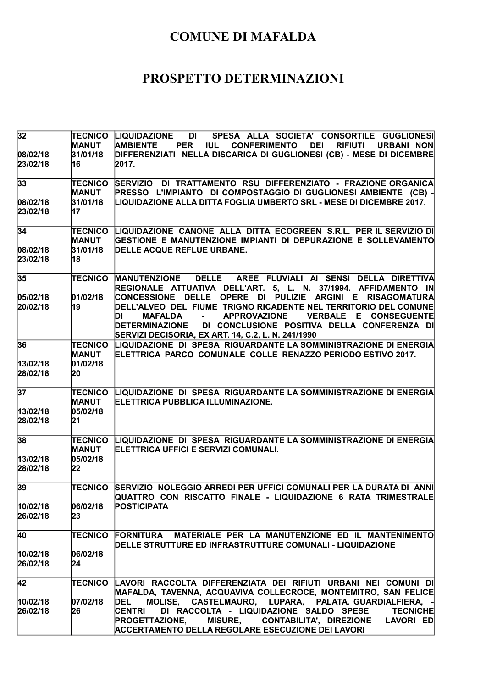| 32                         | TECNICO<br><b>MANUT</b>                          | DI SPESA ALLA SOCIETA' CONSORTILE GUGLIONESI<br><b>LIQUIDAZIONE</b><br><b>IUL CONFERIMENTO</b><br><b>RIFIUTI URBANI NON</b><br><b>AMBIENTE</b><br><b>PER</b><br><b>DEI</b>                                                                                                                                                               |
|----------------------------|--------------------------------------------------|------------------------------------------------------------------------------------------------------------------------------------------------------------------------------------------------------------------------------------------------------------------------------------------------------------------------------------------|
| 08/02/18<br>23/02/18       | 31/01/18<br>16                                   | DIFFERENZIATI NELLA DISCARICA DI GUGLIONESI (CB) - MESE DI DICEMBRE<br>2017.                                                                                                                                                                                                                                                             |
| 33                         | <b>TECNICO</b><br><b>MANUT</b>                   | SERVIZIO DI TRATTAMENTO RSU DIFFERENZIATO - FRAZIONE ORGANICA<br>PRESSO L'IMPIANTO DI COMPOSTAGGIO DI GUGLIONESI AMBIENTE (CB) -                                                                                                                                                                                                         |
| 08/02/18<br>23/02/18       | 31/01/18<br><b>17</b>                            | LIQUIDAZIONE ALLA DITTA FOGLIA UMBERTO SRL - MESE DI DICEMBRE 2017.                                                                                                                                                                                                                                                                      |
| 34                         | <b>TECNICO</b><br><b>MANUT</b>                   | LIQUIDAZIONE CANONE ALLA DITTA ECOGREEN S.R.L. PER IL SERVIZIO DI<br>GESTIONE E MANUTENZIONE IMPIANTI DI DEPURAZIONE E SOLLEVAMENTO                                                                                                                                                                                                      |
| 08/02/18<br>23/02/18       | 31/01/18<br>18                                   | DELLE ACQUE REFLUE URBANE.                                                                                                                                                                                                                                                                                                               |
| 35                         | TECNICO                                          | MANUTENZIONE DELLE AREE FLUVIALI AI SENSI DELLA DIRETTIVA<br>REGIONALE ATTUATIVA DELL'ART. 5, L. N. 37/1994. AFFIDAMENTO IN                                                                                                                                                                                                              |
| 05/02/18<br>20/02/18       | 01/02/18<br>19                                   | CONCESSIONE DELLE OPERE DI PULIZIE ARGINI E RISAGOMATURA<br>DELL'ALVEO DEL FIUME TRIGNO RICADENTE NEL TERRITORIO DEL COMUNE<br><b>APPROVAZIONE</b><br>DI<br>VERBALE E CONSEGUENTE<br>MAFALDA<br>$\sim 100$<br><b>DETERMINAZIONE</b><br>DI CONCLUSIONE POSITIVA DELLA CONFERENZA DI<br>SERVIZI DECISORIA, EX ART. 14, C.2, L. N. 241/1990 |
| 36                         | <b>TECNICO</b><br><b>MANUT</b>                   | LIQUIDAZIONE DI SPESA RIGUARDANTE LA SOMMINISTRAZIONE DI ENERGIA<br>ELETTRICA PARCO COMUNALE COLLE RENAZZO PERIODO ESTIVO 2017.                                                                                                                                                                                                          |
| 13/02/18<br>28/02/18       | 01/02/18<br>20                                   |                                                                                                                                                                                                                                                                                                                                          |
| 37<br>13/02/18<br>28/02/18 | <b>TECNICO</b><br><b>MANUT</b><br>05/02/18<br>21 | LIQUIDAZIONE DI SPESA RIGUARDANTE LA SOMMINISTRAZIONE DI ENERGIA<br><b>ELETTRICA PUBBLICA ILLUMINAZIONE.</b>                                                                                                                                                                                                                             |
| 38<br>13/02/18<br>28/02/18 | <b>TECNICO</b><br><b>MANUT</b><br>05/02/18<br>22 | LIQUIDAZIONE DI SPESA RIGUARDANTE LA SOMMINISTRAZIONE DI ENERGIA<br>ELETTRICA UFFICI E SERVIZI COMUNALI.                                                                                                                                                                                                                                 |
| 39                         | <b>TECNICO</b>                                   | SERVIZIO NOLEGGIO ARREDI PER UFFICI COMUNALI PER LA DURATA DI ANNI<br>QUATTRO CON RISCATTO FINALE - LIQUIDAZIONE 6 RATA TRIMESTRALE                                                                                                                                                                                                      |
| 10/02/18<br>26/02/18       | 06/02/18<br>23                                   | <b>POSTICIPATA</b>                                                                                                                                                                                                                                                                                                                       |
| 40                         | TECNICO                                          | FORNITURA MATERIALE PER LA MANUTENZIONE ED IL MANTENIMENTO<br>DELLE STRUTTURE ED INFRASTRUTTURE COMUNALI - LIQUIDAZIONE                                                                                                                                                                                                                  |
| 10/02/18<br>26/02/18       | 06/02/18<br>24                                   |                                                                                                                                                                                                                                                                                                                                          |
| 42                         | TECNICO                                          | LAVORI RACCOLTA DIFFERENZIATA DEI RIFIUTI URBANI NEI COMUNI DI<br>MAFALDA, TAVENNA, ACQUAVIVA COLLECROCE, MONTEMITRO, SAN FELICE                                                                                                                                                                                                         |
| 10/02/18<br>26/02/18       | 07/02/18<br>26                                   | MOLISE, CASTELMAURO, LUPARA, PALATA, GUARDIALFIERA,<br><b>DEL</b><br>DI RACCOLTA - LIQUIDAZIONE SALDO SPESE<br><b>CENTRI</b><br><b>TECNICHE</b><br>PROGETTAZIONE, MISURE, CONTABILITA', DIREZIONE<br>LAVORI ED<br><b>ACCERTAMENTO DELLA REGOLARE ESECUZIONE DEI LAVORI</b>                                                               |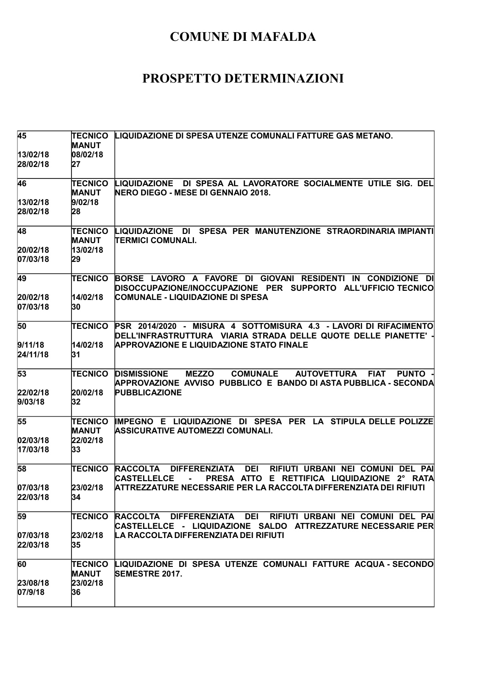| 45                    | TECNICO<br>MANUT        | LIQUIDAZIONE DI SPESA UTENZE COMUNALI FATTURE GAS METANO.                                                                                                                                                 |
|-----------------------|-------------------------|-----------------------------------------------------------------------------------------------------------------------------------------------------------------------------------------------------------|
| 13/02/18<br>28/02/18  | 08/02/18<br>27          |                                                                                                                                                                                                           |
| 46                    | <b>TECNICO</b><br>MANUT | LIQUIDAZIONE DI SPESA AL LAVORATORE SOCIALMENTE UTILE SIG. DEL<br><b>NERO DIEGO - MESE DI GENNAIO 2018.</b>                                                                                               |
| 13/02/18<br>28/02/18  | 9/02/18<br>28           |                                                                                                                                                                                                           |
| 48                    | <b>TECNICO</b><br>MANUT | LIQUIDAZIONE DI SPESA PER MANUTENZIONE STRAORDINARIA IMPIANTI<br><b>TERMICI COMUNALI.</b>                                                                                                                 |
| 20/02/18<br>07/03/18  | 13/02/18<br>29          |                                                                                                                                                                                                           |
| 49                    | <b>TECNICO</b>          | BORSE LAVORO A FAVORE DI GIOVANI RESIDENTI IN CONDIZIONE DI<br>DISOCCUPAZIONE/INOCCUPAZIONE PER SUPPORTO ALL'UFFICIO TECNICO                                                                              |
| 20/02/18<br>07/03/18  | 14/02/18<br>30          | COMUNALE - LIQUIDAZIONE DI SPESA                                                                                                                                                                          |
| 50                    | <b>TECNICO</b>          | PSR 2014/2020 - MISURA 4 SOTTOMISURA 4.3 - LAVORI DI RIFACIMENTO<br>DELL'INFRASTRUTTURA VIARIA STRADA DELLE QUOTE DELLE PIANETTE' -                                                                       |
| 9/11/18<br>24/11/18   | 14/02/18<br>31          | <b>APPROVAZIONE E LIQUIDAZIONE STATO FINALE</b>                                                                                                                                                           |
| 53                    | <b>TECNICO</b>          | <b>MEZZO</b><br><b>COMUNALE</b><br><b>DISMISSIONE</b><br><b>AUTOVETTURA</b><br><b>FIAT</b><br><b>PUNTO</b><br>APPROVAZIONE AVVISO PUBBLICO E BANDO DI ASTA PUBBLICA - SECONDA                             |
| 22/02/18<br>9/03/18   | 20/02/18<br>32          | <b>PUBBLICAZIONE</b>                                                                                                                                                                                      |
| 55                    | <b>TECNICO</b><br>MANUT | IMPEGNO E LIQUIDAZIONE DI SPESA PER LA STIPULA DELLE POLIZZE<br>ASSICURATIVE AUTOMEZZI COMUNALI.                                                                                                          |
| 02/03/18 <br>17/03/18 | 22/02/18<br>33          |                                                                                                                                                                                                           |
| 58                    | <b>TECNICO</b>          | <b>RACCOLTA</b><br><b>DIFFERENZIATA</b><br><b>DEI</b><br><b>RIFIUTI URBANI NEI COMUNI</b><br><b>DEL PAI</b><br><b>CASTELLELCE</b><br>PRESA ATTO<br>$2^{\circ}$<br>E RETTIFICA LIQUIDAZIONE<br><b>RATA</b> |
| 07/03/18<br>22/03/18  | 23/02/18<br>54.         | ATTREZZATURE NECESSARIE PER LA RACCOLTA DIFFERENZIATA DEI RIFIUTI                                                                                                                                         |
| 59                    | TECNICO                 | RACCOLTA DIFFERENZIATA DEI RIFIUTI URBANI NEI COMUNI DEL PAI<br>CASTELLELCE - LIQUIDAZIONE SALDO ATTREZZATURE.NECESSARIE.PER                                                                              |
| 07/03/18<br>22/03/18  | 23/02/18<br>35          | LA RACCOLTA DIFFERENZIATA DEI RIFIUTI                                                                                                                                                                     |
| 60                    | TECNICO<br><b>MANUT</b> | LIQUIDAZIONE DI SPESA UTENZE COMUNALI FATTURE ACQUA-SECONDO<br><b>SEMESTRE 2017.</b>                                                                                                                      |
| 23/08/18<br>07/9/18   | 23/02/18<br>36          |                                                                                                                                                                                                           |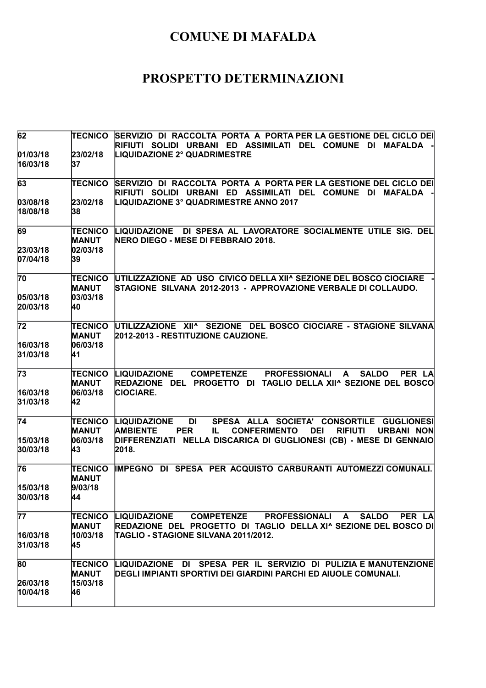| 62                                      | TECNICO                                          | SERVIZIO DI RACCOLTA PORTA A PORTA PER LA GESTIONE DEL CICLO DEI<br>RIFIUTI SOLIDI URBANI ED ASSIMILATI DEL COMUNE DI MAFALDA                                                                                                                                                    |
|-----------------------------------------|--------------------------------------------------|----------------------------------------------------------------------------------------------------------------------------------------------------------------------------------------------------------------------------------------------------------------------------------|
| 01/03/18<br>16/03/18                    | 23/02/18<br>37                                   | <b>LIQUIDAZIONE 2° QUADRIMESTRE</b>                                                                                                                                                                                                                                              |
| 63                                      | <b>TECNICO</b>                                   | SERVIZIO DI RACCOLTA PORTA A PORTA PER LA GESTIONE DEL CICLO DEI<br>RIFIUTI SOLIDI URBANI ED ASSIMILATI DEL COMUNE DI MAFALDA                                                                                                                                                    |
| 03/08/18<br>18/08/18                    | 23/02/18<br>38                                   | LIQUIDAZIONE 3° QUADRIMESTRE ANNO 2017                                                                                                                                                                                                                                           |
| 69                                      | <b>TECNICO</b><br><b>MANUT</b>                   | LIQUIDAZIONE DI SPESA AL LAVORATORE SOCIALMENTE UTILE SIG. DEL<br>NERO DIEGO - MESE DI FEBBRAIO 2018.                                                                                                                                                                            |
| 23/03/18<br>07/04/18                    | 02/03/18<br>39                                   |                                                                                                                                                                                                                                                                                  |
| 70<br>05/03/18<br>20/03/18              | <b>TECNICO</b><br><b>MANUT</b><br>03/03/18<br>40 | UTILIZZAZIONE AD USO CIVICO DELLA XII^ SEZIONE DEL BOSCO CIOCIARE<br>STAGIONE SILVANA 2012-2013 - APPROVAZIONE VERBALE DI COLLAUDO.                                                                                                                                              |
| $\overline{72}$                         | <b>TECNICO</b><br><b>MANUT</b>                   | UTILIZZAZIONE XII^ SEZIONE DEL BOSCO CIOCIARE - STAGIONE SILVANA<br>2012-2013 - RESTITUZIONE CAUZIONE.                                                                                                                                                                           |
| 16/03/18<br>31/03/18                    | 06/03/18<br>41                                   |                                                                                                                                                                                                                                                                                  |
| 73<br>16/03/18<br>31/03/18              | <b>TECNICO</b><br><b>MANUT</b><br>06/03/18<br>42 | <b>PROFESSIONALI A</b><br><b>LIQUIDAZIONE</b><br><b>COMPETENZE</b><br><b>SALDO</b><br>PER LA<br>REDAZIONE DEL PROGETTO DI TAGLIO DELLA XII^ SEZIONE DEL BOSCO<br><b>CIOCIARE.</b>                                                                                                |
| $\overline{74}$<br>15/03/18<br>30/03/18 | <b>TECNICO</b><br><b>MANUT</b><br>06/03/18<br>43 | SPESA ALLA SOCIETA' CONSORTILE GUGLIONESI<br><b>LIQUIDAZIONE</b><br><b>DI</b><br><b>AMBIENTE</b><br><b>PER</b><br><b>CONFERIMENTO</b><br><b>DEI</b><br><b>RIFIUTI</b><br><b>URBANI NON</b><br>IL.<br>DIFFERENZIATI NELLA DISCARICA DI GUGLIONESI (CB) - MESE DI GENNAIO<br>2018. |
| 76<br>15/03/18<br>30/03/18              | <b>TECNICO</b><br><b>MANUT</b><br>9/03/18<br>44  | IMPEGNO DI SPESA PER ACQUISTO CARBURANTI AUTOMEZZI COMUNALI.                                                                                                                                                                                                                     |
| $\overline{77}$<br>16/03/18<br>31/03/18 | TECNICO<br><b>MANUT</b><br>10/03/18<br>45        | <b>LIQUIDAZIONE</b><br><b>COMPETENZE</b><br><b>PROFESSIONALI A</b><br><b>SALDO</b><br>PER LA<br>REDAZIONE DEL PROGETTO DI TAGLIO DELLA XI^ SEZIONE DEL BOSCO DI<br>TAGLIO - STAGIONE SILVANA 2011/2012.                                                                          |
| 80<br>26/03/18<br>10/04/18              | <b>TECNICO</b><br><b>MANUT</b><br>15/03/18<br>46 | LIQUIDAZIONE DI SPESA PER IL SERVIZIO DI PULIZIA E MANUTENZIONE<br>DEGLI IMPIANTI SPORTIVI DEI GIARDINI PARCHI ED AIUOLE COMUNALI.                                                                                                                                               |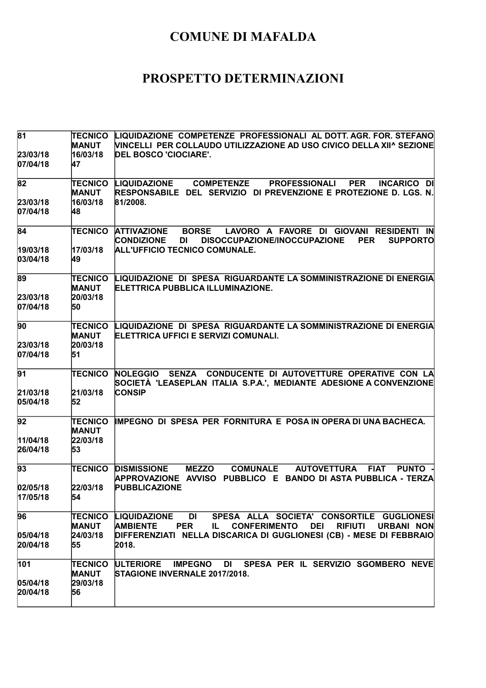| 81<br>23/03/18<br>07/04/18   | <b>TECNICO</b><br><b>MANUT</b><br>16/03/18<br>47 | LIQUIDAZIONE COMPETENZE PROFESSIONALI AL DOTT. AGR. FOR. STEFANO<br>VINCELLI PER COLLAUDO UTILIZZAZIONE AD USO CIVICO DELLA XII^ SEZIONE<br><b>DEL BOSCO 'CIOCIARE'.</b>                                                                                            |
|------------------------------|--------------------------------------------------|---------------------------------------------------------------------------------------------------------------------------------------------------------------------------------------------------------------------------------------------------------------------|
| 82<br>23/03/18<br>07/04/18   | <b>TECNICO</b><br><b>MANUT</b><br>16/03/18<br>48 | <b>COMPETENZE</b><br><b>PER</b><br><b>LIQUIDAZIONE</b><br><b>PROFESSIONALI</b><br><b>INCARICO DI</b><br>RESPONSABILE DEL SERVIZIO DI PREVENZIONE E PROTEZIONE D. LGS. N.<br>81/2008.                                                                                |
| 84<br>19/03/18<br>03/04/18   | <b>TECNICO</b><br>17/03/18<br>49                 | LAVORO A FAVORE DI GIOVANI<br><b>ATTIVAZIONE</b><br><b>BORSE</b><br><b>RESIDENTI</b><br><b>IN</b><br><b>CONDIZIONE</b><br>DISOCCUPAZIONE/INOCCUPAZIONE<br><b>PER</b><br><b>SUPPORTO</b><br>DI<br>ALL'UFFICIO TECNICO COMUNALE.                                      |
| 89<br>23/03/18<br>07/04/18   | <b>TECNICO</b><br><b>MANUT</b><br>20/03/18<br>50 | LIQUIDAZIONE DI SPESA RIGUARDANTE LA SOMMINISTRAZIONE DI ENERGIA<br><b>ELETTRICA PUBBLICA ILLUMINAZIONE.</b>                                                                                                                                                        |
| 90<br>23/03/18<br>07/04/18   | <b>TECNICO</b><br><b>MANUT</b><br>20/03/18<br>51 | LIQUIDAZIONE DI SPESA RIGUARDANTE LA SOMMINISTRAZIONE DI ENERGIA<br>ELETTRICA UFFICI E SERVIZI COMUNALI.                                                                                                                                                            |
| 91<br>21/03/18<br>05/04/18   | <b>TECNICO</b><br>21/03/18<br>52                 | SENZA CONDUCENTE DI AUTOVETTURE OPERATIVE CON LA<br><b>NOLEGGIO</b><br>SOCIETÀ 'LEASEPLAN ITALIA S.P.A.', MEDIANTE ADESIONE A CONVENZIONE<br><b>CONSIP</b>                                                                                                          |
| 92<br>11/04/18<br>26/04/18   | <b>TECNICO</b><br><b>MANUT</b><br>22/03/18<br>53 | IMPEGNO DI SPESA PER FORNITURA E POSA IN OPERA DI UNA BACHECA.                                                                                                                                                                                                      |
| 93<br> 02/05/18 <br>17/05/18 | <b>TECNICO</b><br>22/03/18<br>54                 | <b>MEZZO</b><br><b>COMUNALE</b><br><b>AUTOVETTURA</b><br><b>FIAT</b><br><b>PUNTO</b><br><b>DISMISSIONE</b><br>APPROVAZIONE AVVISO PUBBLICO E BANDO DI ASTA-PUBBLICA - TERZA<br><b>PUBBLICAZIONE</b>                                                                 |
| 96<br>05/04/18<br>20/04/18   | <b>TECNICO</b><br><b>MANUT</b><br>24/03/18<br>55 | SPESA ALLA SOCIETA' CONSORTILE GUGLIONESI<br><b>LIQUIDAZIONE</b><br>DI<br><b>PER</b><br><b>CONFERIMENTO</b><br><b>RIFIUTI</b><br><b>AMBIENTE</b><br>IL.<br><b>DEI</b><br>URBANI NON<br>DIFFERENZIATI NELLA DISCARICA DI GUGLIONESI (CB) - MESE DI FEBBRAIO<br>2018. |
| 101<br>05/04/18<br>20/04/18  | <b>TECNICO</b><br><b>MANUT</b><br>29/03/18<br>56 | SPESA PER IL SERVIZIO SGOMBERO NEVE<br>ULTERIORE<br><b>IMPEGNO</b><br><b>DI</b><br>STAGIONE INVERNALE 2017/2018.                                                                                                                                                    |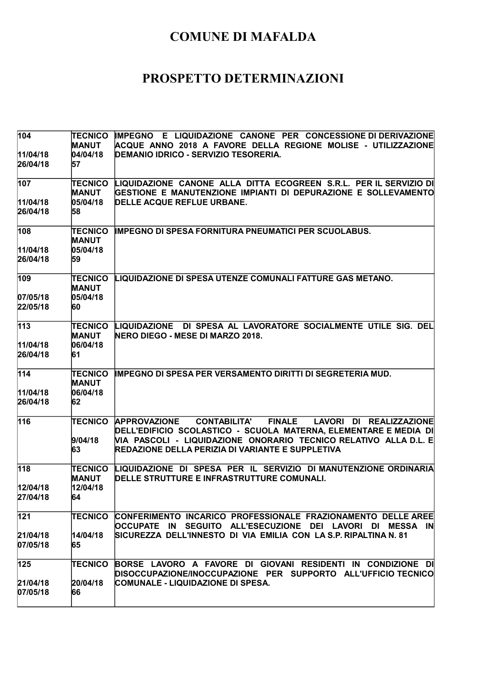| 104                  | TECNICO                        | IMPEGNO E LIQUIDAZIONE CANONE PER CONCESSIONE DI DERIVAZIONE                                                                                               |
|----------------------|--------------------------------|------------------------------------------------------------------------------------------------------------------------------------------------------------|
|                      | <b>MANUT</b>                   | ACQUE ANNO 2018 A FAVORE DELLA REGIONE MOLISE - UTILIZZAZIONE<br>DEMANIO IDRICO - SERVIZIO TESORERIA.                                                      |
| 11/04/18<br>26/04/18 | 04/04/18<br>57                 |                                                                                                                                                            |
| 107                  | TECNICO                        | LIQUIDAZIONE CANONE ALLA DITTA ECOGREEN S.R.L. PER IL SERVIZIO DI                                                                                          |
|                      | <b>MANUT</b>                   | GESTIONE E MANUTENZIONE IMPIANTI DI DEPURAZIONE E SOLLEVAMENTO                                                                                             |
| 11/04/18             | 05/04/18                       | DELLE ACQUE REFLUE URBANE.                                                                                                                                 |
| 26/04/18             | 58                             |                                                                                                                                                            |
| 108                  | <b>TECNICO</b><br><b>MANUT</b> | IMPEGNO DI SPESA FORNITURA PNEUMATICI PER SCUOLABUS.                                                                                                       |
| 11/04/18             | 05/04/18                       |                                                                                                                                                            |
| 26/04/18             | 59                             |                                                                                                                                                            |
| 109                  | <b>TECNICO</b><br><b>MANUT</b> | LIQUIDAZIONE DI SPESA UTENZE COMUNALI FATTURE GAS METANO.                                                                                                  |
| 07/05/18             | 05/04/18                       |                                                                                                                                                            |
| 22/05/18             | 60                             |                                                                                                                                                            |
| 113                  | <b>TECNICO</b><br><b>MANUT</b> | LIQUIDAZIONE DI SPESA AL LAVORATORE SOCIALMENTE UTILE SIG. DEL<br>NERO DIEGO - MESE DI MARZO 2018.                                                         |
| 11/04/18             | 06/04/18                       |                                                                                                                                                            |
| 26/04/18             | 61                             |                                                                                                                                                            |
| 114                  | <b>TECNICO</b><br><b>MANUT</b> | <b>IMPEGNO DI SPESA PER VERSAMENTO DIRITTI DI SEGRETERIA MUD.</b>                                                                                          |
| 11/04/18             | 06/04/18                       |                                                                                                                                                            |
| 26/04/18             | 62                             |                                                                                                                                                            |
| 116                  | <b>TECNICO</b>                 | <b>FINALE</b><br><b>APPROVAZIONE</b><br><b>CONTABILITA'</b><br>LAVORI DI REALIZZAZIONE<br>DELL'EDIFICIO SCOLASTICO - SCUOLA MATERNA, ELEMENTARE E MEDIA DI |
|                      | 9/04/18<br>63                  | VIA PASCOLI - LIQUIDAZIONE ONORARIO TECNICO RELATIVO ALLA D.L. E<br>REDAZIONE DELLA PERIZIA DI VARIANTE E SUPPLETIVA                                       |
| 118                  | <b>TECNICO</b><br><b>MANUT</b> | LIQUIDAZIONE DI SPESA PER IL SERVIZIO DI MANUTENZIONE ORDINARIA<br>DELLE STRUTTURE E INFRASTRUTTURE COMUNALI.                                              |
| 12/04/18             | 12/04/18                       |                                                                                                                                                            |
| 27/04/18             | 64                             |                                                                                                                                                            |
| 121                  | <b>TECNICO</b>                 | CONFERIMENTO INCARICO PROFESSIONALE FRAZIONAMENTO DELLE AREE<br>OCCUPATE IN SEGUITO ALL'ESECUZIONE DEI LAVORI DI MESSA IN                                  |
| 21/04/18             | 14/04/18                       | SICUREZZA DELL'INNESTO DI VIA EMILIA CON LA S.P. RIPALTINA N. 81                                                                                           |
| 07/05/18             | 65                             |                                                                                                                                                            |
| 125                  | <b>TECNICO</b>                 | BORSE LAVORO A FAVORE DI GIOVANI RESIDENTI IN CONDIZIONE DI                                                                                                |
|                      |                                | DISOCCUPAZIONE/INOCCUPAZIONE PER SUPPORTO ALL'UFFICIO TECNICO                                                                                              |
| 21/04/18<br>07/05/18 | 20/04/18<br>66                 | COMUNALE - LIQUIDAZIONE DI SPESA.                                                                                                                          |
|                      |                                |                                                                                                                                                            |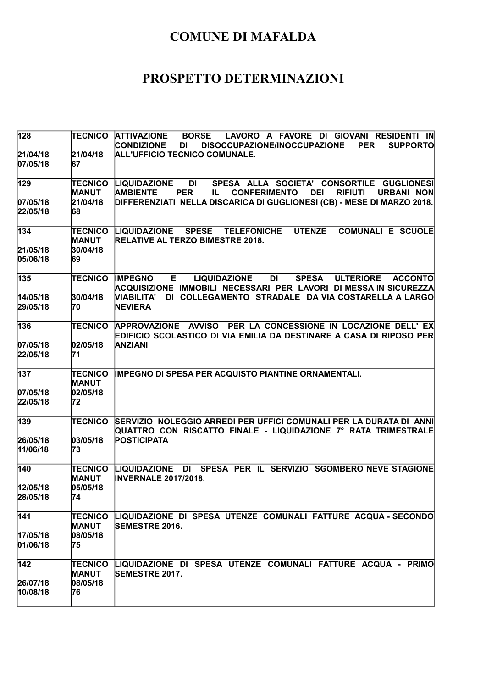| 128                  | TECNICO                        | <b>ATTIVAZIONE</b><br><b>BORSE</b><br>LAVORO A FAVORE DI GIOVANI RESIDENTI IN<br><b>CONDIZIONE</b><br><b>DI</b><br><b>DISOCCUPAZIONE/INOCCUPAZIONE</b><br><b>PER</b><br><b>SUPPORTO</b>    |
|----------------------|--------------------------------|--------------------------------------------------------------------------------------------------------------------------------------------------------------------------------------------|
| 21/04/18<br>07/05/18 | 21/04/18<br>67                 | <b>ALL'UFFICIO TECNICO COMUNALE.</b>                                                                                                                                                       |
| 129                  | TECNICO<br><b>MANUT</b>        | SPESA ALLA SOCIETA' CONSORTILE GUGLIONESI<br><b>LIQUIDAZIONE</b><br>DI<br><b>DEI</b><br><b>AMBIENTE</b><br><b>PER</b><br><b>CONFERIMENTO</b><br><b>RIFIUTI</b><br><b>URBANI NON</b><br>IL. |
| 07/05/18<br>22/05/18 | 21/04/18<br>68                 | DIFFERENZIATI NELLA DISCARICA DI GUGLIONESI (CB) - MESE DI MARZO 2018.                                                                                                                     |
| 134                  | TECNICO<br><b>MANUT</b>        | <b>UTENZE</b><br><b>COMUNALI E SCUOLE</b><br><b>LIQUIDAZIONE</b><br><b>SPESE</b><br><b>TELEFONICHE</b><br><b>RELATIVE AL TERZO BIMESTRE 2018.</b>                                          |
| 21/05/18<br>05/06/18 | 30/04/18<br>69                 |                                                                                                                                                                                            |
| 135                  | TECNICO                        | E<br><b>IMPEGNO</b><br><b>LIQUIDAZIONE</b><br>DI<br><b>SPESA</b><br><b>ULTERIORE</b><br><b>ACCONTO</b><br>ACQUISIZIONE IMMOBILI NECESSARI PER LAVORI DI MESSA IN SICUREZZA                 |
| 14/05/18<br>29/05/18 | 30/04/18<br>70                 | VIABILITA'<br>DI COLLEGAMENTO STRADALE DA VIA COSTARELLA A LARGO<br><b>NEVIERA</b>                                                                                                         |
| 136                  | <b>TECNICO</b>                 | APPROVAZIONE AVVISO PER LA CONCESSIONE IN LOCAZIONE DELL' EX<br>EDIFICIO SCOLASTICO DI VIA EMILIA DA DESTINARE A CASA DI RIPOSO PER                                                        |
| 07/05/18<br>22/05/18 | 02/05/18<br>71                 | <b>ANZIANI</b>                                                                                                                                                                             |
| 137                  | TECNICO<br><b>MANUT</b>        | <b>IMPEGNO DI SPESA PER ACQUISTO PIANTINE ORNAMENTALI.</b>                                                                                                                                 |
| 07/05/18<br>22/05/18 | 02/05/18<br>72                 |                                                                                                                                                                                            |
| 139                  | TECNICO                        | SERVIZIO NOLEGGIO ARREDI PER UFFICI COMUNALI PER LA DURATA DI ANNI<br>QUATTRO CON RISCATTO FINALE - LIQUIDAZIONE 7º RATA TRIMESTRALE                                                       |
| 26/05/18<br>11/06/18 | 03/05/18<br>73                 | <b>POSTICIPATA</b>                                                                                                                                                                         |
| 140                  | <b>TECNICO</b><br><b>MANUT</b> | SPESA PER IL SERVIZIO SGOMBERO NEVE STAGIONE<br><b>LIQUIDAZIONE</b><br>DI<br><b>INVERNALE 2017/2018.</b>                                                                                   |
| 12/05/18<br>28/05/18 | 05/05/18<br>74                 |                                                                                                                                                                                            |
| 141                  | TECNICO<br><b>MANUT</b>        | LIQUIDAZIONE DI SPESA UTENZE COMUNALI FATTURE ACQUA - SECONDO<br><b>SEMESTRE 2016.</b>                                                                                                     |
| 17/05/18<br>01/06/18 | 08/05/18<br>75                 |                                                                                                                                                                                            |
| 142                  | <b>TECNICO</b><br><b>MANUT</b> | LIQUIDAZIONE DI SPESA UTENZE COMUNALI FATTURE ACQUA - PRIMO<br><b>SEMESTRE 2017.</b>                                                                                                       |
| 26/07/18<br>10/08/18 | 08/05/18<br>76                 |                                                                                                                                                                                            |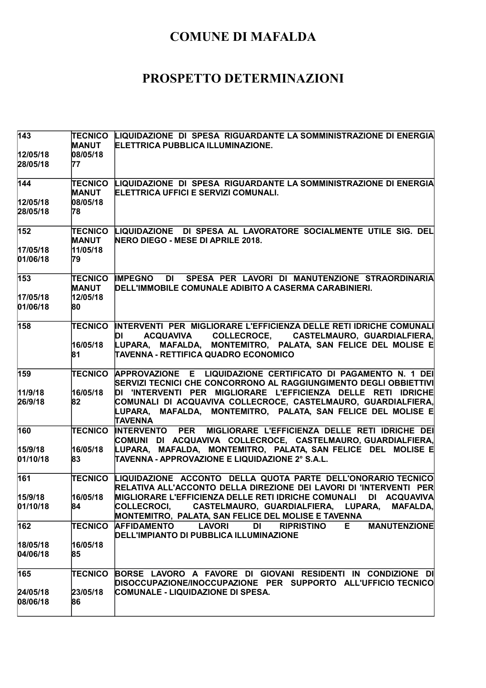| $\overline{143}$     | <b>TECNICO</b><br><b>MANUT</b> | LIQUIDAZIONE DI SPESA RIGUARDANTE LA SOMMINISTRAZIONE DI ENERGIA<br>ELETTRICA PUBBLICA ILLUMINAZIONE.                                                                                                               |
|----------------------|--------------------------------|---------------------------------------------------------------------------------------------------------------------------------------------------------------------------------------------------------------------|
| 12/05/18<br>28/05/18 | 08/05/18<br>77                 |                                                                                                                                                                                                                     |
| 144                  | <b>TECNICO</b><br><b>MANUT</b> | LIQUIDAZIONE DI SPESA RIGUARDANTE LA SOMMINISTRAZIONE DI ENERGIA<br>ELETTRICA UFFICI E SERVIZI COMUNALI.                                                                                                            |
| 12/05/18<br>28/05/18 | 08/05/18<br>78                 |                                                                                                                                                                                                                     |
| 152                  | <b>TECNICO</b><br><b>MANUT</b> | LIQUIDAZIONE DI SPESA AL LAVORATORE SOCIALMENTE UTILE SIG. DEL<br>NERO DIEGO - MESE DI APRILE 2018.                                                                                                                 |
| 17/05/18<br>01/06/18 | 11/05/18<br>79                 |                                                                                                                                                                                                                     |
| 153                  | TECNICO<br><b>MANUT</b>        | <b>IMPEGNO</b><br>DI SPESA PER LAVORI DI MANUTENZIONE STRAORDINARIA<br>DELL'IMMOBILE COMUNALE ADIBITO A CASERMA CARABINIERI.                                                                                        |
| 17/05/18<br>01/06/18 | 12/05/18<br>80                 |                                                                                                                                                                                                                     |
| 158                  | <b>TECNICO</b>                 | INTERVENTI PER MIGLIORARE L'EFFICIENZA DELLE RETI IDRICHE COMUNALI<br>ACQUAVIVA COLLECROCE, CASTELMAURO, GUARDIALFIERA,<br>DI                                                                                       |
|                      | 16/05/18<br>81                 | LUPARA, MAFALDA, MONTEMITRO, PALATA, SAN FELICE DEL MOLISE E<br>TAVENNA - RETTIFICA QUADRO ECONOMICO                                                                                                                |
| 159                  | <b>TECNICO</b>                 | APPROVAZIONE E LIQUIDAZIONE CERTIFICATO DI PAGAMENTO N. 1 DEI<br>SERVIZI TECNICI CHE CONCORRONO AL RAGGIUNGIMENTO DEGLI OBBIETTIVI                                                                                  |
| 11/9/18<br>26/9/18   | 16/05/18<br>82                 | DI 'INTERVENTI PER MIGLIORARE L'EFFICIENZA DELLE RETI IDRICHE<br>COMUNALI DI ACQUAVIVA COLLECROCE, CASTELMAURO, GUARDIALFIERA,<br>MAFALDA, MONTEMITRO, PALATA, SAN FELICE DEL MOLISE E<br>LUPARA,<br><b>TAVENNA</b> |
| 160                  | <b>TECNICO</b>                 | <b>INTERVENTO PER</b><br>MIGLIORARE L'EFFICIENZA DELLE RETI IDRICHE DEI<br>COMUNI DI ACQUAVIVA COLLECROCE, CASTELMAURO,GUARDIALFIERA,                                                                               |
| 15/9/18<br>01/10/18  | 16/05/18<br>83                 | LUPARA, MAFALDA, MONTEMITRO, PALATA, SAN-FELICE DEL MOLISE E<br>TAVENNA - APPROVAZIONE E LIQUIDAZIONE 2° S.A.L.                                                                                                     |
| 161                  | <b>TECNICO</b>                 | LIQUIDAZIONE ACCONTO DELLA QUOTA PARTE DELL'ONORARIO TECNICO<br>RELATIVA ALL'ACCONTO DELLA DIREZIONE DEI LAVORI DI 'INTERVENTI PER                                                                                  |
| 15/9/18<br>01/10/18  | 16/05/18<br>84                 | MIGLIORARE L'EFFICIENZA DELLE RETI IDRICHE COMUNALI DI ACQUAVIVA<br>CASTELMAURO, GUARDIALFIERA, LUPARA,<br>COLLECROCI,<br><b>MAFALDA,</b><br>MONTEMITRO, PALATA, SAN FELICE DEL MOLISE E TAVENNA                    |
| 162                  | TECNICO                        | <b>AFFIDAMENTO</b><br><b>LAVORI</b><br>DI<br><b>MANUTENZIONE</b><br><b>RIPRISTINO</b><br>E.<br>DELL'IMPIANTO DI PUBBLICA ILLUMINAZIONE                                                                              |
| 18/05/18<br>04/06/18 | 16/05/18<br>85                 |                                                                                                                                                                                                                     |
| 165                  | TECNICO                        | BORSE LAVORO A FAVORE DI GIOVANI RESIDENTI IN CONDIZIONE DI<br>DISOCCUPAZIONE/INOCCUPAZIONE PER SUPPORTO ALL'UFFICIO TECNICO                                                                                        |
| 24/05/18<br>08/06/18 | 23/05/18<br>86                 | COMUNALE - LIQUIDAZIONE DI SPESA.                                                                                                                                                                                   |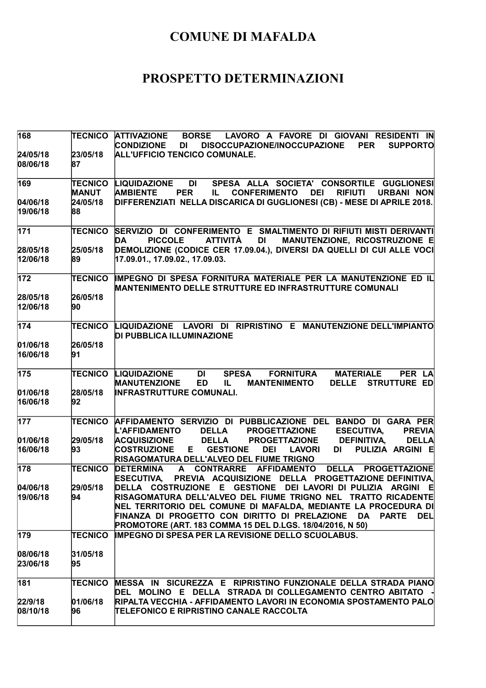| 168                  | TECNICO                 | LAVORO A FAVORE DI GIOVANI RESIDENTI IN<br><b>ATTIVAZIONE</b><br><b>BORSE</b><br><b>CONDIZIONE</b><br><b>SUPPORTO</b><br><b>DI</b><br>DISOCCUPAZIONE/INOCCUPAZIONE<br><b>PER</b>                                                                                                                                                                       |
|----------------------|-------------------------|--------------------------------------------------------------------------------------------------------------------------------------------------------------------------------------------------------------------------------------------------------------------------------------------------------------------------------------------------------|
| 24/05/18<br>08/06/18 | 23/05/18<br>87          | <b>ALL'UFFICIO TENCICO COMUNALE.</b>                                                                                                                                                                                                                                                                                                                   |
| 169                  | TECNICO<br><b>MANUT</b> | DI<br>SPESA ALLA SOCIETA' CONSORTILE GUGLIONESI<br>LIQUIDAZIONE<br><b>PER</b><br><b>DEI</b><br><b>RIFIUTI</b><br><b>AMBIENTE</b><br><b>CONFERIMENTO</b><br><b>URBANI NON</b><br>IL.                                                                                                                                                                    |
| 04/06/18<br>19/06/18 | 24/05/18<br>88          | DIFFERENZIATI NELLA DISCARICA DI GUGLIONESI (CB) - MESE DI APRILE 2018.                                                                                                                                                                                                                                                                                |
| 171                  | <b>TECNICO</b>          | SERVIZIO DI CONFERIMENTO E SMALTIMENTO DI RIFIUTI MISTI DERIVANTI<br><b>PICCOLE</b><br>MANUTENZIONE, RICOSTRUZIONE E<br><b>ATTIVITÀ</b><br>DI<br><b>DA</b>                                                                                                                                                                                             |
| 28/05/18<br>12/06/18 | 25/05/18<br>89          | DEMOLIZIONE (CODICE CER 17.09.04.), DIVERSI DA QUELLI DI CUI ALLE VOCI<br>17.09.01., 17.09.02., 17.09.03.                                                                                                                                                                                                                                              |
| 172                  | <b>TECNICO</b>          | IMPEGNO DI SPESA FORNITURA MATERIALE PER LA MANUTENZIONE ED IL<br>MANTENIMENTO DELLE STRUTTURE ED INFRASTRUTTURE COMUNALI                                                                                                                                                                                                                              |
| 28/05/18<br>12/06/18 | 26/05/18<br>90          |                                                                                                                                                                                                                                                                                                                                                        |
| 174                  | <b>TECNICO</b>          | LIQUIDAZIONE LAVORI DI RIPRISTINO E MANUTENZIONE DELL'IMPIANTO<br>DI PUBBLICA ILLUMINAZIONE                                                                                                                                                                                                                                                            |
| 01/06/18<br>16/06/18 | 26/05/18<br>91          |                                                                                                                                                                                                                                                                                                                                                        |
| 175                  | <b>TECNICO</b>          | LIQUIDAZIONE<br><b>DI</b><br><b>SPESA</b><br><b>FORNITURA</b><br><b>MATERIALE</b><br>PER LA<br><b>MANUTENZIONE</b><br><b>ED</b><br>DELLE STRUTTURE ED<br>IL.<br><b>MANTENIMENTO</b>                                                                                                                                                                    |
| 01/06/18<br>16/06/18 | 28/05/18<br>92          | <b>INFRASTRUTTURE COMUNALI.</b>                                                                                                                                                                                                                                                                                                                        |
| 177                  | TECNICO                 | AFFIDAMENTO SERVIZIO DI PUBBLICAZIONE DEL BANDO DI GARA PER<br><b>DELLA</b><br><b>PROGETTAZIONE</b><br><b>ESECUTIVA,</b><br><b>PREVIA</b><br><b>L'AFFIDAMENTO</b>                                                                                                                                                                                      |
| 01/06/18<br>16/06/18 | 29/05/18<br>93          | <b>ACQUISIZIONE</b><br><b>DELLA</b><br><b>PROGETTAZIONE</b><br><b>DEFINITIVA,</b><br><b>DELLA</b><br><b>COSTRUZIONE</b><br><b>GESTIONE</b><br><b>DEI</b><br><b>LAVORI</b><br>PULIZIA ARGINI E<br>E.<br>DI<br>RISAGOMATURA DELL'ALVEO DEL FIUME TRIGNO                                                                                                  |
| 178                  | <b>TECNICO</b>          | A CONTRARRE<br><b>DETERMINA</b><br><b>AFFIDAMENTO</b><br><b>DELLA</b><br><b>PROGETTAZIONE</b><br><b>ESECUTIVA,</b><br>PREVIA ACQUISIZIONE DELLA PROGETTAZIONE DEFINITIVA,                                                                                                                                                                              |
| 04/06/18<br>19/06/18 | 29/05/18<br>94          | DELLA COSTRUZIONE E GESTIONE DEI LAVORI DI PULIZIA ARGINI<br>- El<br>RISAGOMATURA DELL'ALVEO DEL FIUME TRIGNO NEL TRATTO RICADENTE<br>NEL TERRITORIO DEL COMUNE DI MAFALDA, MEDIANTE LA PROCEDURA DI<br>FINANZA DI PROGETTO CON DIRITTO DI PRELAZIONE<br><b>DEL</b><br>DA<br><b>PARTE</b><br>PROMOTORE (ART. 183 COMMA 15 DEL D.LGS. 18/04/2016, N 50) |
| 179                  | <b>TECNICO</b>          | <b>IMPEGNO DI SPESA PER LA REVISIONE DELLO SCUOLABUS.</b>                                                                                                                                                                                                                                                                                              |
| 08/06/18<br>23/06/18 | 31/05/18<br>95          |                                                                                                                                                                                                                                                                                                                                                        |
| 181                  | TECNICO                 | MESSA IN SICUREZZA E RIPRISTINO FUNZIONALE DELLA STRADA PIANO<br>DEL MOLINO E DELLA STRADA DI COLLEGAMENTO CENTRO ABITATO                                                                                                                                                                                                                              |
| 22/9/18<br>08/10/18  | 01/06/18<br>96          | RIPALTA VECCHIA - AFFIDAMENTO LAVORI IN ECONOMIA SPOSTAMENTO PALO<br>TELEFONICO E RIPRISTINO CANALE RACCOLTA                                                                                                                                                                                                                                           |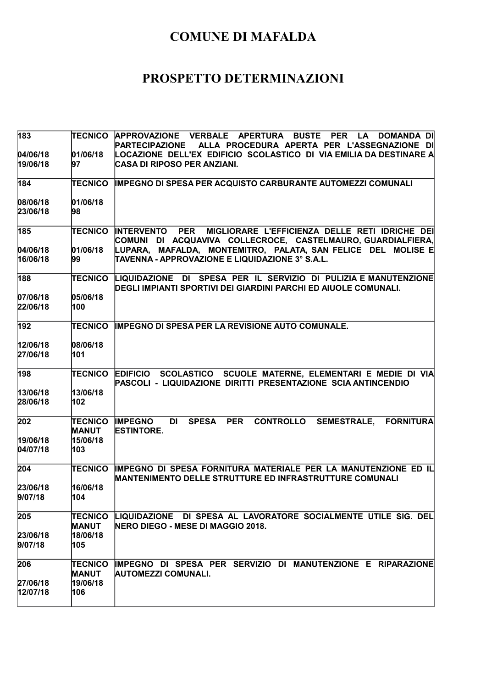| 183                  | TECNICO                        | APPROVAZIONE VERBALE APERTURA BUSTE PER<br><b>LA</b><br><b>DOMANDA DI</b><br><b>PARTECIPAZIONE</b><br>ALLA PROCEDURA APERTA PER L'ASSEGNAZIONE DI |
|----------------------|--------------------------------|---------------------------------------------------------------------------------------------------------------------------------------------------|
| 04/06/18<br>19/06/18 | 01/06/18<br>97                 | LOCAZIONE DELL'EX EDIFICIO SCOLASTICO DI VIA EMILIA DA DESTINARE A<br>CASA DI RIPOSO PER ANZIANI.                                                 |
| 184                  | <b>TECNICO</b>                 | <b>IMPEGNO DI SPESA PER ACQUISTO CARBURANTE AUTOMEZZI COMUNALI</b>                                                                                |
| 08/06/18<br>23/06/18 | 01/06/18<br>98                 |                                                                                                                                                   |
| 185                  | <b>TECNICO</b>                 | <b>PER</b><br>MIGLIORARE L'EFFICIENZA DELLE RETI IDRICHE DEI<br><b>INTERVENTO</b><br>COMUNI DI ACQUAVIVA COLLECROCE, CASTELMAURO, GUARDIALFIERA,  |
| 04/06/18<br>16/06/18 | 01/06/18<br>99                 | LUPARA, MAFALDA, MONTEMITRO, PALATA, SAN FELICE DEL MOLISE E<br>TAVENNA - APPROVAZIONE E LIQUIDAZIONE 3° S.A.L.                                   |
| 188                  | <b>TECNICO</b>                 | LIQUIDAZIONE DI SPESA PER IL SERVIZIO DI PULIZIA E MANUTENZIONE<br>DEGLI IMPIANTI SPORTIVI DEI GIARDINI PARCHI ED AIUOLE COMUNALI.                |
| 07/06/18<br>22/06/18 | 05/06/18<br>100                |                                                                                                                                                   |
| 192                  | <b>TECNICO</b>                 | IMPEGNO DI SPESA PER LA REVISIONE AUTO COMUNALE.                                                                                                  |
| 12/06/18<br>27/06/18 | 08/06/18<br>101                |                                                                                                                                                   |
| 198                  | <b>TECNICO</b>                 | SCOLASTICO SCUOLE MATERNE, ELEMENTARI E MEDIE DI VIA<br><b>EDIFICIO</b><br>PASCOLI - LIQUIDAZIONE DIRITTI PRESENTAZIONE SCIA ANTINCENDIO          |
| 13/06/18<br>28/06/18 | 13/06/18<br>102                |                                                                                                                                                   |
| 202                  | <b>TECNICO</b><br><b>MANUT</b> | <b>PER</b><br><b>CONTROLLO</b><br><b>IMPEGNO</b><br>DI<br><b>SPESA</b><br><b>SEMESTRALE,</b><br><b>FORNITURA</b><br><b>ESTINTORE.</b>             |
| 19/06/18<br>04/07/18 | 15/06/18<br>103                |                                                                                                                                                   |
| 204                  | <b>TECNICO</b>                 | IMPEGNO DI SPESA FORNITURA MATERIALE PER LA MANUTENZIONE ED IL<br><b>MANTENIMENTO DELLE STRUTTURE ED INFRASTRUTTURE COMUNALI</b>                  |
| 23/06/18<br>9/07/18  | 16/06/18<br>104                |                                                                                                                                                   |
| 205                  | <b>TECNICO</b><br><b>MANUT</b> | LIQUIDAZIONE DI SPESA AL LAVORATORE SOCIALMENTE UTILE SIG. DEL<br>NERO DIEGO - MESE DI MAGGIO 2018.                                               |
| 23/06/18<br>9/07/18  | 18/06/18<br>105                |                                                                                                                                                   |
| 206                  | <b>TECNICO</b><br><b>MANUT</b> | IMPEGNO DI SPESA PER SERVIZIO DI MANUTENZIONE E RIPARAZIONE<br>AUTOMEZZI COMUNALI.                                                                |
| 27/06/18<br>12/07/18 | 19/06/18<br>106                |                                                                                                                                                   |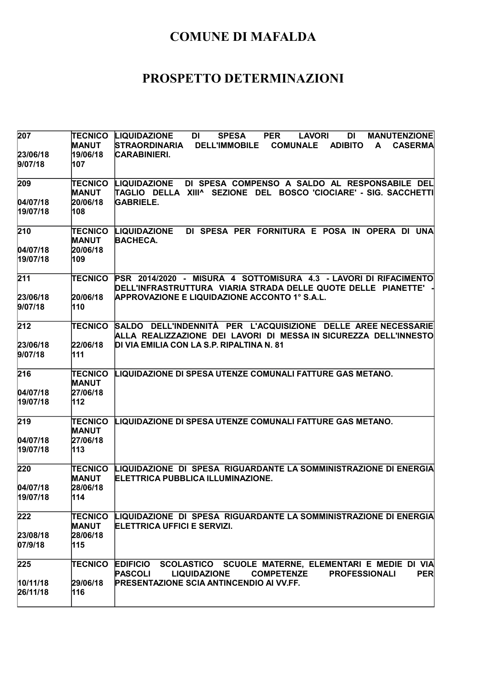| 207                 | <b>TECNICO</b><br><b>MANUT</b> | <b>LIQUIDAZIONE</b><br><b>DI</b><br><b>SPESA</b><br><b>PER</b><br><b>LAVORI</b><br><b>DI</b><br><b>MANUTENZIONE</b><br><b>STRAORDINARIA</b><br><b>DELL'IMMOBILE</b><br><b>COMUNALE</b><br><b>ADIBITO</b><br>A<br><b>CASERMA</b> |
|---------------------|--------------------------------|---------------------------------------------------------------------------------------------------------------------------------------------------------------------------------------------------------------------------------|
| 23/06/18<br>9/07/18 | 19/06/18<br>107                | CARABINIERI.                                                                                                                                                                                                                    |
| 209                 | TECNICO<br><b>MANUT</b>        | DI SPESA COMPENSO A SALDO AL RESPONSABILE DEL<br><b>LIQUIDAZIONE</b><br> TAGLIO DELLA XIII^ SEZIONE DEL BOSCO CIOCIARE' - SIG. SACCHETTI                                                                                        |
| 04/07/18            | 20/06/18                       | <b>GABRIELE.</b>                                                                                                                                                                                                                |
| 19/07/18            | 108                            |                                                                                                                                                                                                                                 |
| 210                 | TECNICO<br><b>MANUT</b>        | DI SPESA PER FORNITURA E POSA IN OPERA DI UNA<br><b>LIQUIDAZIONE</b><br><b>BACHECA.</b>                                                                                                                                         |
| 04/07/18            | 20/06/18                       |                                                                                                                                                                                                                                 |
| 19/07/18            | 109                            |                                                                                                                                                                                                                                 |
| 211                 | <b>TECNICO</b>                 | PSR 2014/2020 - MISURA 4 SOTTOMISURA 4.3 - LAVORI DI RIFACIMENTO<br>DELL'INFRASTRUTTURA VIARIA STRADA DELLE QUOTE DELLE PIANETTE'                                                                                               |
| 23/06/18            | 20/06/18                       | <b>APPROVAZIONE E LIQUIDAZIONE ACCONTO 1° S.A.L.</b>                                                                                                                                                                            |
| 9/07/18             | 110                            |                                                                                                                                                                                                                                 |
| 212                 | <b>TECNICO</b>                 | SALDO DELL'INDENNITÀ PER L'ACQUISIZIONE DELLE AREE NECESSARIE<br>ALLA REALIZZAZIONE DEI LAVORI DI MESSAIN SICUREZZA DELL'INNESTO                                                                                                |
| 23/06/18            | 22/06/18                       | DI VIA EMILIA CON LA S.P. RIPALTINA N. 81                                                                                                                                                                                       |
| 9/07/18             | 111                            |                                                                                                                                                                                                                                 |
| 216                 | TECNICO<br><b>MANUT</b>        | LIQUIDAZIONE DI SPESA UTENZE COMUNALI FATTURE GAS METANO.                                                                                                                                                                       |
| 04/07/18            | 27/06/18                       |                                                                                                                                                                                                                                 |
| 19/07/18            | 112                            |                                                                                                                                                                                                                                 |
| 219                 | <b>TECNICO</b><br><b>MANUT</b> | LIQUIDAZIONE DI SPESA UTENZE COMUNALI FATTURE GAS METANO.                                                                                                                                                                       |
| 04/07/18            | 27/06/18                       |                                                                                                                                                                                                                                 |
| 19/07/18            | 113                            |                                                                                                                                                                                                                                 |
| 220                 | TECNICO<br>MANUT               | LIQUIDAZIONE DI SPESA RIGUARDANTE LA SOMMINISTRAZIONE DI ENERGIA<br><b> ELETTRICA PUBBLICA ILLUMINAZIONE.</b>                                                                                                                   |
| 04/07/18            | 28/06/18                       |                                                                                                                                                                                                                                 |
| 19/07/18            | 114                            |                                                                                                                                                                                                                                 |
| 222                 | <b>TECNICO</b><br><b>MANUT</b> | LIQUIDAZIONE DI SPESA RIGUARDANTE LA SOMMINISTRAZIONE DI ENERGIA<br>ELETTRICA UFFICI E SERVIZI.                                                                                                                                 |
| 23/08/18            | 28/06/18                       |                                                                                                                                                                                                                                 |
| 07/9/18             | 115                            |                                                                                                                                                                                                                                 |
| 225                 | <b>TECNICO</b>                 | <b>EDIFICIO</b><br>SCOLASTICO SCUOLE MATERNE, ELEMENTARI E MEDIE DI VIA<br><b>PASCOLI</b><br><b>LIQUIDAZIONE</b><br><b>COMPETENZE</b><br><b>PROFESSIONALI</b><br><b>PER</b>                                                     |
| 10/11/18            | 29/06/18                       | <b>PRESENTAZIONE SCIA ANTINCENDIO AI VV.FF.</b>                                                                                                                                                                                 |
| 26/11/18            | 116                            |                                                                                                                                                                                                                                 |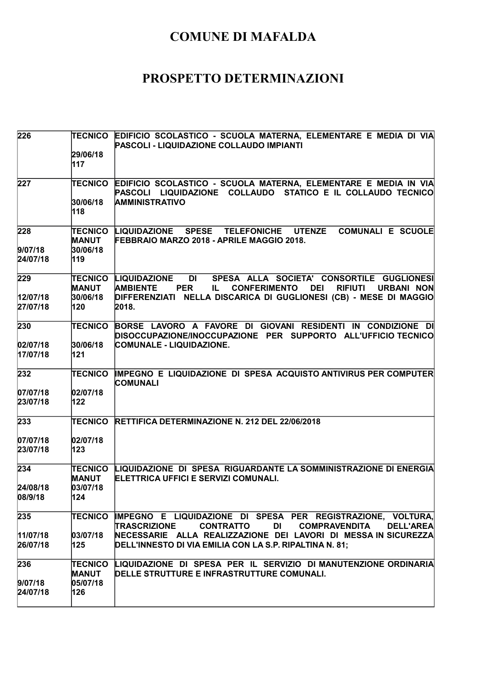| 226                  | <b>TECNICO</b><br>29/06/18     | EDIFICIO SCOLASTICO - SCUOLA MATERNA, ELEMENTARE E MEDIA DI VIA<br>PASCOLI - LIQUIDAZIONE COLLAUDO IMPIANTI                                                                                        |
|----------------------|--------------------------------|----------------------------------------------------------------------------------------------------------------------------------------------------------------------------------------------------|
|                      | 117                            |                                                                                                                                                                                                    |
| 227                  |                                | TECNICO EDIFICIO SCOLASTICO - SCUOLA MATERNA, ELEMENTARE E MEDIA IN VIA<br>PASCOLI LIQUIDAZIONE COLLAUDO STATICO E IL COLLAUDO TECNICO                                                             |
|                      | 30/06/18<br>118                | <b>AMMINISTRATIVO</b>                                                                                                                                                                              |
| 228                  | TECNICO<br><b>MANUT</b>        | <b>LIQUIDAZIONE SPESE</b><br><b>TELEFONICHE</b><br><b>UTENZE</b><br><b>COMUNALI E SCUOLE</b><br><b>FEBBRAIO MARZO 2018 - APRILE MAGGIO 2018.</b>                                                   |
| 9/07/18<br>24/07/18  | 30/06/18<br>119                |                                                                                                                                                                                                    |
| 229                  | <b>MANUT</b>                   | SPESA ALLA SOCIETA' CONSORTILE GUGLIONESI<br>TECNICO LIQUIDAZIONE<br><b>DI</b><br><b>AMBIENTE</b><br><b>CONFERIMENTO</b><br><b>PER</b><br><b>DEI</b><br><b>RIFIUTI</b><br><b>URBANI NON</b><br>IL. |
| 12/07/18<br>27/07/18 | 30/06/18<br>120                | DIFFERENZIATI NELLA DISCARICA DI GUGLIONESI (CB) - MESE DI MAGGIO<br>2018.                                                                                                                         |
| 230                  | TECNICO                        | BORSE LAVORO A FAVORE DI GIOVANI RESIDENTI IN CONDIZIONE DI<br>DISOCCUPAZIONE/INOCCUPAZIONE PER SUPPORTO ALL'UFFICIO TECNICO                                                                       |
| 02/07/18<br>17/07/18 | 30/06/18<br>121                | COMUNALE - LIQUIDAZIONE.                                                                                                                                                                           |
| 232                  | <b>TECNICO</b>                 | IMPEGNO E LIQUIDAZIONE DI SPESA ACQUISTO ANTIVIRUS PER COMPUTER<br><b>COMUNALI</b>                                                                                                                 |
| 07/07/18<br>23/07/18 | 02/07/18<br>122                |                                                                                                                                                                                                    |
| 233                  | <b>TECNICO</b>                 | <b>RETTIFICA DETERMINAZIONE N. 212 DEL 22/06/2018</b>                                                                                                                                              |
| 07/07/18<br>23/07/18 | 02/07/18<br>123                |                                                                                                                                                                                                    |
| 234                  | <b>TECNICO</b><br><b>MANUT</b> | LIQUIDAZIONE DI SPESA RIGUARDANTE LA SOMMINISTRAZIONE DI ENERGIA<br>ELETTRICA UFFICI E SERVIZI COMUNALI.                                                                                           |
| 24/08/18<br>08/9/18  | 03/07/18<br>124                |                                                                                                                                                                                                    |
| 235                  | <b>TECNICO</b>                 | IMPEGNO E LIQUIDAZIONE DI SPESA PER REGISTRAZIONE, VOLTURA,<br><b>TRASCRIZIONE</b><br><b>CONTRATTO</b><br>DI<br><b>COMPRAVENDITA</b><br><b>DELL'AREA</b>                                           |
| 11/07/18<br>26/07/18 | 03/07/18<br>125                | NECESSARIE ALLA REALIZZAZIONE DEI LAVORI DI MESSA IN SICUREZZA<br>DELL'INNESTO DI VIA EMILIA CON LA S.P. RIPALTINA N. 81;                                                                          |
| 236                  | <b>TECNICO</b><br><b>MANUT</b> | LIQUIDAZIONE DI SPESA PER IL SERVIZIO DI MANUTENZIONE ORDINARIA<br>DELLE STRUTTURE E INFRASTRUTTURE COMUNALI.                                                                                      |
| 9/07/18<br>24/07/18  | 05/07/18<br>126                |                                                                                                                                                                                                    |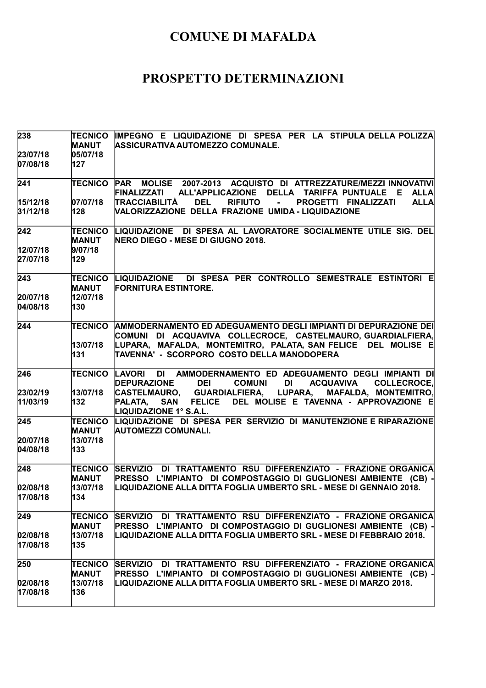| 238                  | <b>TECNICO</b><br><b>MANUT</b> | IMPEGNO E LIQUIDAZIONE DI SPESA PER LA STIPULA DELLA POLIZZA<br><b>ASSICURATIVA AUTOMEZZO COMUNALE.</b>                                                                  |
|----------------------|--------------------------------|--------------------------------------------------------------------------------------------------------------------------------------------------------------------------|
| 23/07/18             | 05/07/18                       |                                                                                                                                                                          |
| 07/08/18             | 127                            |                                                                                                                                                                          |
| 241                  | TECNICO                        | MOLISE 2007-2013 ACQUISTO DI ATTREZZATURE/MEZZI INNOVATIVI<br><b>PAR</b><br>FINALIZZATI ALL'APPLICAZIONE DELLA TARIFFA PUNTUALE<br>E ALLA                                |
| 15/12/18             | 07/07/18                       | <b>TRACCIABILITÀ</b><br><b>DEL</b><br><b>RIFIUTO</b><br>PROGETTI FINALIZZATI<br><b>ALLA</b><br>$\sim$                                                                    |
| 31/12/18             | 128                            | VALORIZZAZIONE DELLA FRAZIONE UMIDA - LIQUIDAZIONE                                                                                                                       |
| 242                  | <b>TECNICO</b><br><b>MANUT</b> | LIQUIDAZIONE DI SPESA AL LAVORATORE SOCIALMENTE UTILE SIG. DEL<br><b>NERO DIEGO - MESE DI GIUGNO 2018.</b>                                                               |
| 12/07/18             | 9/07/18                        |                                                                                                                                                                          |
| 27/07/18             | 129                            |                                                                                                                                                                          |
| 243                  | <b>TECNICO</b><br><b>MANUT</b> | LIQUIDAZIONE DI SPESA PER CONTROLLO SEMESTRALE ESTINTORI E<br><b>FORNITURA ESTINTORE.</b>                                                                                |
| 20/07/18             | 12/07/18                       |                                                                                                                                                                          |
| 04/08/18             | 130                            |                                                                                                                                                                          |
| 244                  | TECNICO                        | AMMODERNAMENTO ED ADEGUAMENTO DEGLI IMPIANTI DI DEPURAZIONE DEI<br>COMUNI DI ACQUAVIVA COLLECROCE, CASTELMAURO,GUARDIALFIERA,                                            |
|                      | 13/07/18                       | LUPARA, MAFALDA, MONTEMITRO, PALATA, SAN FELICE DEL MOLISE E                                                                                                             |
|                      | 131                            | TAVENNA' - SCORPORO COSTO DELLA MANODOPERA                                                                                                                               |
| 246                  | <b>TECNICO</b>                 | DI AMMODERNAMENTO ED ADEGUAMENTO DEGLI IMPIANTI DI<br><b>LAVORI</b><br><b>DEPURAZIONE</b><br><b>DEI</b><br><b>COMUNI</b><br>DI<br><b>ACQUAVIVA</b><br><b>COLLECROCE,</b> |
| 23/02/19             | 13/07/18                       | CASTELMAURO, GUARDIALFIERA, LUPARA, MAFALDA, MONTEMITRO,                                                                                                                 |
| 11/03/19             | 132                            | SAN FELICE DEL MOLISE E TAVENNA - APPROVAZIONE E<br>PALATA,<br>LIQUIDAZIONE 1° S.A.L.                                                                                    |
| 245                  | <b>TECNICO</b><br><b>MANUT</b> | LIQUIDAZIONE DI SPESA PER SERVIZIO DI MANUTENZIONE E RIPARAZIONE<br>AUTOMEZZI COMUNALI.                                                                                  |
| 20/07/18             | 13/07/18                       |                                                                                                                                                                          |
| 04/08/18             | 133                            |                                                                                                                                                                          |
| 248                  | <b>TECNICO</b><br><b>MANUT</b> | <b>SERVIZIO</b><br>DI TRATTAMENTO RSU DIFFERENZIATO - FRAZIONE ORGANICA<br>PRESSO L'IMPIANTO DI COMPOSTAGGIO DI GUGLIONESI AMBIENTE (CB) -                               |
| 02/08/18             | 13/07/18                       | LIQUIDAZIONE ALLA DITTA FOGLIA UMBERTO SRL - MESE DI GENNAIO 2018.                                                                                                       |
| 17/08/18             | 134                            |                                                                                                                                                                          |
| 249                  | TECNICO                        | SERVIZIO DI TRATTAMENTO RSU DIFFERENZIATO - FRAZIONE ORGANICA                                                                                                            |
|                      | <b>MANUT</b>                   | PRESSO L'IMPIANTO DI COMPOSTAGGIO DI GUGLIONESI AMBIENTE (CB) -                                                                                                          |
| 02/08/18<br>17/08/18 | 13/07/18<br>135                | LIQUIDAZIONE ALLA DITTA FOGLIA UMBERTO SRL - MESE DI FEBBRAIO 2018.                                                                                                      |
| 250                  | TECNICO                        | SERVIZIO DI TRATTAMENTO RSU DIFFERENZIATO - FRAZIONE ORGANICA                                                                                                            |
|                      | <b>MANUT</b>                   | PRESSO L'IMPIANTO DI COMPOSTAGGIO DI GUGLIONESI AMBIENTE (CB) -                                                                                                          |
| 02/08/18<br>17/08/18 | 13/07/18<br>136                | LIQUIDAZIONE ALLA DITTA FOGLIA UMBERTO SRL - MESE DI MARZO 2018.                                                                                                         |
|                      |                                |                                                                                                                                                                          |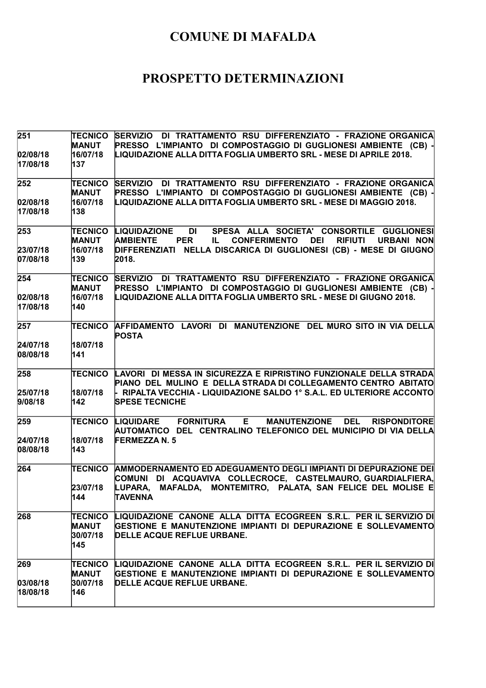| 251                  | <b>TECNICO</b><br><b>MANUT</b>                    | SERVIZIO DI TRATTAMENTO RSU DIFFERENZIATO - FRAZIONE ORGANICA<br>PRESSO L'IMPIANTO DI COMPOSTAGGIO DI GUGLIONESI AMBIENTE (CB) -                                                      |
|----------------------|---------------------------------------------------|---------------------------------------------------------------------------------------------------------------------------------------------------------------------------------------|
| 02/08/18<br>17/08/18 | 16/07/18<br>137                                   | LIQUIDAZIONE ALLA DITTA FOGLIA UMBERTO SRL - MESE DI APRILE 2018.                                                                                                                     |
| 252                  | <b>TECNICO</b><br><b>MANUT</b>                    | SERVIZIO DI TRATTAMENTO RSU DIFFERENZIATO - FRAZIONE ORGANICA<br>PRESSO L'IMPIANTO DI COMPOSTAGGIO DI GUGLIONESI AMBIENTE (CB) -                                                      |
| 02/08/18<br>17/08/18 | 16/07/18<br>138                                   | LIQUIDAZIONE ALLA DITTA FOGLIA UMBERTO SRL - MESE DI MAGGIO 2018.                                                                                                                     |
| 253<br>23/07/18      | <b>TECNICO</b><br><b>MANUT</b><br>16/07/18        | LIQUIDAZIONE<br>DI L<br>SPESA ALLA SOCIETA' CONSORTILE GUGLIONESI<br><b>AMBIENTE</b><br><b>PER</b><br><b>CONFERIMENTO</b><br><b>DEI</b><br><b>RIFIUTI</b><br><b>URBANI NON</b><br>IL. |
| 07/08/18             | 139                                               | DIFFERENZIATI NELLA DISCARICA DI GUGLIONESI (CB) - MESE DI GIUGNO<br>2018.                                                                                                            |
| 254                  | <b>TECNICO</b><br><b>MANUT</b>                    | SERVIZIO DI TRATTAMENTO RSU DIFFERENZIATO - FRAZIONE ORGANICA<br>PRESSO L'IMPIANTO DI COMPOSTAGGIO DI GUGLIONESI AMBIENTE (CB) -                                                      |
| 02/08/18<br>17/08/18 | 16/07/18<br>140                                   | LIQUIDAZIONE ALLA DITTA FOGLIA UMBERTO SRL - MESE DI GIUGNO 2018.                                                                                                                     |
| 257                  | <b>TECNICO</b>                                    | AFFIDAMENTO LAVORI DI MANUTENZIONE DEL MURO SITO IN VIA DELLA<br><b>POSTA</b>                                                                                                         |
| 24/07/18<br>08/08/18 | 18/07/18<br>141                                   |                                                                                                                                                                                       |
| 258                  | TECNICO                                           | LAVORI DI MESSA IN SICUREZZA E RIPRISTINO FUNZIONALE DELLA STRADA<br>PIANO DEL MULINO E DELLA STRADA DI COLLEGAMENTO CENTRO ABITATO                                                   |
| 25/07/18<br>9/08/18  | 18/07/18<br>142                                   | $\vdash$ RIPALTA VECCHIA - LIQUIDAZIONE SALDO 1° S.A.L. ED ULTERIORE ACCONTO<br><b>SPESE TECNICHE</b>                                                                                 |
| 259                  | <b>TECNICO</b>                                    | <b>FORNITURA E</b><br><b>MANUTENZIONE</b><br>LIQUIDARE<br><b>DEL</b><br><b>RISPONDITORE</b><br>AUTOMATICO DEL CENTRALINO TELEFONICO DEL MUNICIPIO DI VIA DELLA                        |
| 24/07/18<br>08/08/18 | 18/07/18<br>143                                   | <b>FERMEZZA N. 5</b>                                                                                                                                                                  |
| 264                  | <b>TECNICO</b>                                    | AMMODERNAMENTO ED ADEGUAMENTO DEGLI IMPIANTI DI DEPURAZIONE DEI<br>COMUNI DI ACQUAVIVA COLLECROCE, CASTELMAURO,GUARDIALFIERA,                                                         |
|                      | 23/07/18<br> 144                                  | LUPARA, MAFALDA, MONTEMITRO, PALATA, SAN FELICE DEL MOLISE E<br>TAVENNA                                                                                                               |
| 268                  | <b>TECNICO</b><br><b>MANUT</b><br>30/07/18<br>145 | LIQUIDAZIONE CANONE ALLA DITTA ECOGREEN S.R.L. PER IL SERVIZIO DI<br>GESTIONE E MANUTENZIONE IMPIANTI DI DEPURAZIONE E SOLLEVAMENTO<br>DELLE ACQUE REFLUE URBANE.                     |
| 269                  | TECNICO<br><b>MANUT</b>                           | LIQUIDAZIONE CANONE ALLA DITTA ECOGREEN S.R.L. PER IL SERVIZIO DI<br>GESTIONE E MANUTENZIONE IMPIANTI DI DEPURAZIONE E SOLLEVAMENTO                                                   |
| 03/08/18<br>18/08/18 | 30/07/18<br>146                                   | DELLE ACQUE REFLUE URBANE.                                                                                                                                                            |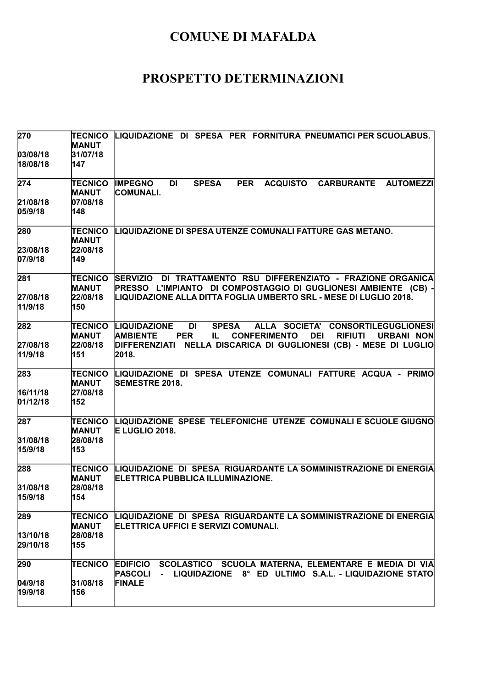| 270                  | <b>TECNICO</b><br>MANUT        | LIQUIDAZIONE DI SPESA PER FORNITURA PNEUMATICI PER SCUOLABUS.                                                                                                                                |
|----------------------|--------------------------------|----------------------------------------------------------------------------------------------------------------------------------------------------------------------------------------------|
| 03/08/18<br>18/08/18 | 31/07/18<br>147                |                                                                                                                                                                                              |
| 274                  | <b>TECNICO</b><br><b>MANUT</b> | <b>IMPEGNO</b><br><b>PER</b><br><b>ACQUISTO</b><br><b>CARBURANTE</b><br><b>AUTOMEZZI</b><br>DI<br><b>SPESA</b><br><b>COMUNALI.</b>                                                           |
| 21/08/18<br>05/9/18  | 07/08/18<br>148                |                                                                                                                                                                                              |
| 280                  | <b>TECNICO</b><br><b>MANUT</b> | LIQUIDAZIONE DI SPESA UTENZE COMUNALI FATTURE GAS METANO.                                                                                                                                    |
| 23/08/18<br>07/9/18  | 22/08/18<br>149                |                                                                                                                                                                                              |
| 281                  | TECNICO<br>MANUT               | SERVIZIO DI TRATTAMENTO RSU DIFFERENZIATO - FRAZIONE ORGANICA<br>PRESSO L'IMPIANTO DI COMPOSTAGGIO DI GUGLIONESI AMBIENTE (CB) -                                                             |
| 27/08/18<br>11/9/18  | 22/08/18<br>150                | LIQUIDAZIONE ALLA DITTA FOGLIA UMBERTO SRL - MESE DI LUGLIO 2018.                                                                                                                            |
| 282                  | TECNICO<br><b>MANUT</b>        | ALLA SOCIETA' CONSORTILEGUGLIONESI<br>LIQUIDAZIONE<br>DI<br><b>SPESA</b><br><b>AMBIENTE</b><br><b>CONFERIMENTO</b><br><b>DEI</b><br><b>RIFIUTI</b><br><b>URBANI NON</b><br><b>PER</b><br>IL. |
| 27/08/18<br>11/9/18  | 22/08/18<br>151                | DIFFERENZIATI NELLA DISCARICA DI GUGLIONESI (CB) - MESE DI LUGLIO<br>2018.                                                                                                                   |
| 283                  | TECNICO<br><b>MANUT</b>        | LIQUIDAZIONE DI SPESA UTENZE COMUNALI FATTURE ACQUA - PRIMO<br><b>SEMESTRE 2018.</b>                                                                                                         |
| 16/11/18<br>01/12/18 | 27/08/18<br>152                |                                                                                                                                                                                              |
| 287                  | TECNICO<br><b>MANUT</b>        | LIQUIDAZIONE SPESE TELEFONICHE UTENZE COMUNALI E SCUOLE GIUGNO<br>E LUGLIO 2018.                                                                                                             |
| 31/08/18<br>15/9/18  | 28/08/18<br>153                |                                                                                                                                                                                              |
| 288                  | <b>TECNICO</b><br>MANUT        | LIQUIDAZIONE DI SPESA RIGUARDANTE LA SOMMINISTRAZIONE DI ENERGIA<br>ELETTRICA PUBBLICA ILLUMINAZIONE.                                                                                        |
| 31/08/18<br>15/9/18  | 28/08/18<br>154                |                                                                                                                                                                                              |
| 289                  | TECNICO<br>MANUT               | LIQUIDAZIONE DI SPESA RIGUARDANTE LA SOMMINISTRAZIONE DI ENERGIA<br>ELETTRICA UFFICI E SERVIZI COMUNALI.                                                                                     |
| 13/10/18<br>29/10/18 | 28/08/18<br>155                |                                                                                                                                                                                              |
| 290                  | TECNICO                        | <b>EDIFICIO</b><br>SCOLASTICO SCUOLA MATERNA, ELEMENTARE E MEDIA DI VIA<br>LIQUIDAZIONE 8° ED ULTIMO S.A.L. - LIQUIDAZIONE STATO<br><b>PASCOLI</b><br>$\blacksquare$                         |
| 04/9/18 <br>19/9/18  | 31/08/18<br>156                | <b>FINALE</b>                                                                                                                                                                                |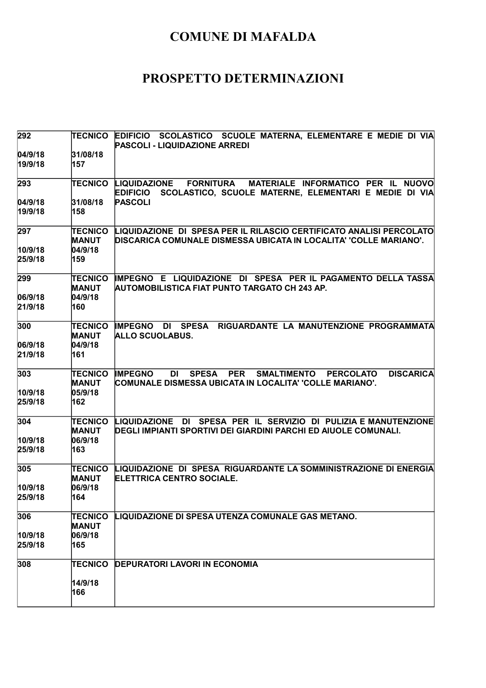| 292                | TECNICO                        | EDIFICIO SCOLASTICO SCUOLE MATERNA, ELEMENTARE E MEDIE DI VIA<br>PASCOLI - LIQUIDAZIONE ARREDI                                                                                     |
|--------------------|--------------------------------|------------------------------------------------------------------------------------------------------------------------------------------------------------------------------------|
| 04/9/18<br>19/9/18 | 31/08/18<br>157                |                                                                                                                                                                                    |
| 293                | <b>TECNICO</b>                 | <b>FORNITURA</b><br>MATERIALE INFORMATICO PER IL NUOVO<br><b>LIQUIDAZIONE</b><br>SCOLASTICO, SCUOLE MATERNE, ELEMENTARI E MEDIE DI VIA<br><b>EDIFICIO</b>                          |
| 04/9/18            | 31/08/18                       | <b>PASCOLI</b>                                                                                                                                                                     |
| 19/9/18            | 158                            |                                                                                                                                                                                    |
| 297                | TECNICO<br><b>MANUT</b>        | LIQUIDAZIONE DI SPESA PER IL RILASCIO CERTIFICATO ANALISI PERCOLATO<br>DISCARICA COMUNALE DISMESSA UBICATA IN LOCALITA' 'COLLE MARIANO'.                                           |
| 10/9/18            | 04/9/18                        |                                                                                                                                                                                    |
| 25/9/18            | 159                            |                                                                                                                                                                                    |
| 299                | <b>TECNICO</b><br><b>MANUT</b> | IMPEGNO E LIQUIDAZIONE DI SPESA PER IL PAGAMENTO DELLA TASSA<br>AUTOMOBILISTICA FIAT PUNTO TARGATO CH 243 AP.                                                                      |
| 06/9/18            | 04/9/18                        |                                                                                                                                                                                    |
| 21/9/18            | 160                            |                                                                                                                                                                                    |
| 300                | <b>TECNICO</b><br><b>MANUT</b> | IMPEGNO DI SPESA<br>RIGUARDANTE LA MANUTENZIONE PROGRAMMATA<br>ALLO SCUOLABUS.                                                                                                     |
| 06/9/18            | 04/9/18                        |                                                                                                                                                                                    |
| 21/9/18            | 161                            |                                                                                                                                                                                    |
| 303                | TECNICO<br><b>MANUT</b>        | <b>PER</b><br><b>IMPEGNO</b><br><b>DI</b><br><b>SPESA</b><br><b>SMALTIMENTO</b><br><b>PERCOLATO</b><br><b>DISCARICA</b><br>COMUNALE DISMESSA UBICATA IN LOCALITA' 'COLLE MARIANO'. |
| 10/9/18            | 05/9/18                        |                                                                                                                                                                                    |
| 25/9/18            | 162                            |                                                                                                                                                                                    |
| 304                | TECNICO<br><b>MANUT</b>        | LIQUIDAZIONE DI SPESA PER IL SERVIZIO DI PULIZIA E MANUTENZIONE<br>DEGLI IMPIANTI SPORTIVI DEI GIARDINI PARCHI ED AIUOLE COMUNALI.                                                 |
| 10/9/18            | 06/9/18                        |                                                                                                                                                                                    |
| 25/9/18            | 163                            |                                                                                                                                                                                    |
| 305                | TECNICO<br>MANUT               | LIQUIDAZIONE DI SPESA RIGUARDANTE LA SOMMINISTRAZIONE DI ENERGIA<br><b>ELETTRICA CENTRO SOCIALE.</b>                                                                               |
| 10/9/18            | 06/9/18                        |                                                                                                                                                                                    |
| 25/9/18            | 164                            |                                                                                                                                                                                    |
| 306                | TECNICO                        | LIQUIDAZIONE DI SPESA UTENZA COMUNALE GAS METANO.                                                                                                                                  |
|                    | MANUT<br>06/9/18               |                                                                                                                                                                                    |
| 10/9/18<br>25/9/18 | 165                            |                                                                                                                                                                                    |
|                    |                                |                                                                                                                                                                                    |
| 308                | <b>TECNICO</b>                 | <b>DEPURATORI LAVORI IN ECONOMIA</b>                                                                                                                                               |
|                    | 14/9/18                        |                                                                                                                                                                                    |
|                    | 166                            |                                                                                                                                                                                    |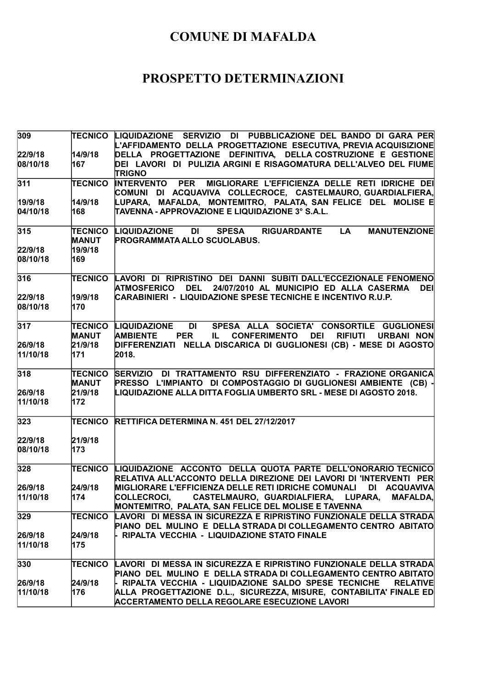| 309                 | TECNICO                        | LIQUIDAZIONE SERVIZIO DI PUBBLICAZIONE DEL BANDO DI GARA PER<br>L'AFFIDAMENTO DELLA PROGETTAZIONE ESECUTIVA, PREVIA ACQUISIZIONE                                                           |
|---------------------|--------------------------------|--------------------------------------------------------------------------------------------------------------------------------------------------------------------------------------------|
| 22/9/18             | 14/9/18                        | DELLA PROGETTAZIONE DEFINITIVA, DELLA COSTRUZIONE E GESTIONE                                                                                                                               |
| 08/10/18            | 167                            | DEI LAVORI DI PULIZIA ARGINI E RISAGOMATURA DELL'ALVEO DEL FIUME<br><b>TRIGNO</b>                                                                                                          |
| 311                 | <b>TECNICO</b>                 | <b>INTERVENTO PER</b><br>MIGLIORARE L'EFFICIENZA DELLE RETI IDRICHE DEI<br>COMUNI DI ACQUAVIVA COLLECROCE, CASTELMAURO,GUARDIALFIERA,                                                      |
| 19/9/18             | 14/9/18                        | LUPARA, MAFALDA, MONTEMITRO, PALATA, SAN-FELICE DEL MOLISE E                                                                                                                               |
| 04/10/18            | 168                            | TAVENNA - APPROVAZIONE E LIQUIDAZIONE 3° S.A.L.                                                                                                                                            |
| 315                 | <b>TECNICO</b>                 | <b>LA</b><br><b>MANUTENZIONE</b><br>LIQUIDAZIONE<br>DI L<br><b>SPESA</b><br><b>RIGUARDANTE</b>                                                                                             |
|                     | <b>MANUT</b><br>19/9/18        | <b>PROGRAMMATA ALLO SCUOLABUS.</b>                                                                                                                                                         |
| 22/9/18<br>08/10/18 | 169                            |                                                                                                                                                                                            |
| 316                 | <b>TECNICO</b>                 | LAVORI DI RIPRISTINO DEI DANNI SUBITI DALL'ECCEZIONALE FENOMENO<br>DEL 24/07/2010 AL MUNICIPIO ED ALLA CASERMA<br><b>ATMOSFERICO</b><br><b>DEI</b>                                         |
| 22/9/18<br>08/10/18 | 19/9/18<br>170                 | CARABINIERI - LIQUIDAZIONE SPESE TECNICHE E INCENTIVO R.U.P.                                                                                                                               |
| 317                 | <b>TECNICO</b><br><b>MANUT</b> | LIQUIDAZIONE<br><b>DI</b><br>SPESA ALLA SOCIETA' CONSORTILE GUGLIONESI<br><b>AMBIENTE</b><br><b>PER</b><br><b>RIFIUTI</b><br><b>CONFERIMENTO</b><br><b>DEI</b><br><b>URBANI NON</b><br>IL. |
| 26/9/18             | 21/9/18                        | DIFFERENZIATI NELLA DISCARICA DI GUGLIONESI (CB) - MESE DI AGOSTO                                                                                                                          |
| 11/10/18            | 171                            | 2018.                                                                                                                                                                                      |
| 318                 | <b>TECNICO</b><br><b>MANUT</b> | SERVIZIO DI TRATTAMENTO RSU DIFFERENZIATO - FRAZIONE ORGANICA<br>PRESSO L'IMPIANTO DI COMPOSTAGGIO DI GUGLIONESI AMBIENTE (CB) -                                                           |
| 26/9/18             | 21/9/18                        | LIQUIDAZIONE ALLA DITTA FOGLIA UMBERTO SRL - MESE DI AGOSTO 2018.                                                                                                                          |
| 11/10/18            | 172                            |                                                                                                                                                                                            |
| 323                 | <b>TECNICO</b>                 | RETTIFICA DETERMINA N. 451 DEL 27/12/2017                                                                                                                                                  |
| 22/9/18             | 21/9/18                        |                                                                                                                                                                                            |
| 08/10/18            | 173                            |                                                                                                                                                                                            |
| 328                 | TECNICO                        | LIQUIDAZIONE ACCONTO DELLA QUOTA PARTE DELL'ONORARIO TECNICO<br>RELATIVA ALL'ACCONTO DELLA DIREZIONE DEI LAVORI DI 'INTERVENTI PER                                                         |
| 26/9/18             | 24/9/18                        | <b>MIGLIORARE L'EFFICIENZA DELLE RETI IDRICHE COMUNALI</b><br>DI ACQUAVIVA                                                                                                                 |
| 11/10/18            | 174                            | COLLECROCI, CASTELMAURO, GUARDIALFIERA, LUPARA,<br><b>MAFALDA,</b><br>MONTEMITRO, PALATA, SAN FELICE DEL MOLISE E TAVENNA                                                                  |
| 329                 | <b>TECNICO</b>                 | LAVORI DI MESSA IN SICUREZZA E RIPRISTINO FUNZIONALE DELLA STRADA<br>PIANO DEL MULINO E DELLA STRADA DI COLLEGAMENTO CENTRO ABITATO                                                        |
| 26/9/18             | 24/9/18                        | RIPALTA VECCHIA - LIQUIDAZIONE STATO FINALE                                                                                                                                                |
| 11/10/18            | 175                            |                                                                                                                                                                                            |
| 330                 | TECNICO                        | LAVORI DI MESSA IN SICUREZZA E RIPRISTINO FUNZIONALE DELLA STRADA                                                                                                                          |
|                     | 24/9/18                        | PIANO DEL MULINO E DELLA STRADA DI COLLEGAMENTO CENTRO ABITATO<br>- RIPALTA VECCHIA - LIQUIDAZIONE SALDO SPESE TECNICHE<br><b>RELATIVE</b>                                                 |
| 26/9/18<br>11/10/18 | 176                            | ALLA PROGETTAZIONE D.L., SICUREZZA, MISURE, CONTABILITA' FINALE ED                                                                                                                         |
|                     |                                | <b>ACCERTAMENTO DELLA REGOLARE ESECUZIONE LAVORI</b>                                                                                                                                       |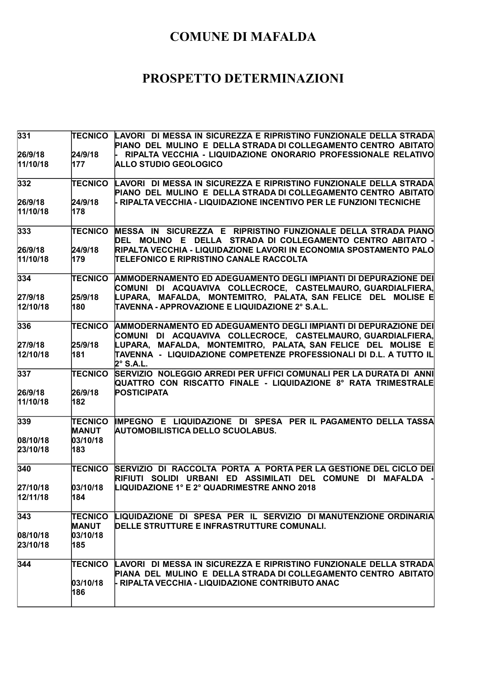| 331                   |                                | TECNICO LAVORI DI MESSA IN SICUREZZA E RIPRISTINO FUNZIONALE DELLA STRADA                                                            |
|-----------------------|--------------------------------|--------------------------------------------------------------------------------------------------------------------------------------|
|                       |                                | PIANO DEL MULINO E DELLA STRADA DI COLLEGAMENTO CENTRO ABITATO                                                                       |
| 26/9/18               | 24/9/18                        | RIPALTA VECCHIA - LIQUIDAZIONE ONORARIO PROFESSIONALE RELATIVO                                                                       |
| 11/10/18              | 177                            | <b>ALLO STUDIO GEOLOGICO</b>                                                                                                         |
| 332                   | <b>TECNICO</b>                 | LAVORI DI MESSA IN SICUREZZA E RIPRISTINO FUNZIONALE DELLA STRADA                                                                    |
|                       |                                | PIANO DEL MULINO E DELLA STRADA DI COLLEGAMENTO CENTRO ABITATO                                                                       |
| 26/9/18               | 24/9/18                        | - RIPALTA VECCHIA - LIQUIDAZIONE INCENTIVO PER LE FUNZIONI TECNICHE                                                                  |
| 11/10/18              | 178                            |                                                                                                                                      |
| 333                   | <b>TECNICO</b>                 | MESSA IN SICUREZZA E RIPRISTINO FUNZIONALE DELLA STRADA PIANO<br>DEL MOLINO E DELLA STRADA DI COLLEGAMENTO CENTRO ABITATO -          |
| 26/9/18               | 24/9/18                        | RIPALTA VECCHIA - LIQUIDAZIONE LAVORI IN ECONOMIA SPOSTAMENTO PALO                                                                   |
| 11/10/18              |                                |                                                                                                                                      |
|                       | 179                            | ITELEFONICO E RIPRISTINO CANALE RACCOLTA                                                                                             |
| 334                   | <b>TECNICO</b>                 | AMMODERNAMENTO ED ADEGUAMENTO DEGLI IMPIANTI DI DEPURAZIONE DEI                                                                      |
|                       |                                | COMUNI DI ACQUAVIVA COLLECROCE, CASTELMAURO,GUARDIALFIERA,                                                                           |
| 27/9/18               | 25/9/18                        | LUPARA, MAFALDA, MONTEMITRO, PALATA, SAN FELICE DEL MOLISE E                                                                         |
| 12/10/18              | 180                            | TAVENNA - APPROVAZIONE E LIQUIDAZIONE 2° S.A.L.                                                                                      |
| 336                   | <b>TECNICO</b>                 | AMMODERNAMENTO ED ADEGUAMENTO DEGLI IMPIANTI DI DEPURAZIONE DEI                                                                      |
|                       |                                | COMUNI DI ACQUAVIVA COLLECROCE, CASTELMAURO,GUARDIALFIERA,                                                                           |
| 27/9/18               | 25/9/18                        | LUPARA, MAFALDA, MONTEMITRO, PALATA, SAN FELICE DEL MOLISE E                                                                         |
| 12/10/18              | 181                            | ITAVENNA  -  LIQUIDAZIONE COMPETENZE PROFESSIONALI DI D.L. A TUTTO IL<br>$2^\circ$ S.A.L.                                            |
| 337                   | <b>TECNICO</b>                 | SERVIZIO NOLEGGIO ARREDI PER UFFICI COMUNALI PER LA DURATA DI ANNI<br>QUATTRO CON RISCATTO FINALE - LIQUIDAZIONE 8° RATA TRIMESTRALE |
| 26/9/18               | 26/9/18                        | <b>POSTICIPATA</b>                                                                                                                   |
| 11/10/18              | 182                            |                                                                                                                                      |
|                       |                                |                                                                                                                                      |
| 339                   | <b>TECNICO</b><br><b>MANUT</b> | IMPEGNO E LIQUIDAZIONE DI SPESA PER IL PAGAMENTO DELLA TASSA<br><b>AUTOMOBILISTICA DELLO SCUOLABUS.</b>                              |
|                       | 03/10/18                       |                                                                                                                                      |
| 08/10/18              |                                |                                                                                                                                      |
| 23/10/18              | 183                            |                                                                                                                                      |
| 340                   | TECNICO                        | SERVIZIO DI RACCOLTA PORTA A PORTA PER LA GESTIONE DEL CICLO DEI<br>RIFIUTI SOLIDI URBANI ED ASSIMILATI DEL COMUNE DI MAFALDA        |
| 27/10/18              | 03/10/18                       | LIQUIDAZIONE 1° E 2° QUADRIMESTRE ANNO 2018                                                                                          |
| 12/11/18              | 184                            |                                                                                                                                      |
|                       |                                |                                                                                                                                      |
| 343                   | TECNICO<br><b>MANUT</b>        | LIQUIDAZIONE DI SPESA PER IL SERVIZIO DI MANUTENZIONE ORDINARIA<br>DELLE STRUTTURE E INFRASTRUTTURE COMUNALI.                        |
|                       | 03/10/18                       |                                                                                                                                      |
| 08/10/18 <br>23/10/18 | 185                            |                                                                                                                                      |
|                       |                                |                                                                                                                                      |
| 344                   | TECNICO                        | LAVORI DI MESSA IN SICUREZZA E RIPRISTINO FUNZIONALE DELLA STRADA                                                                    |
|                       |                                | PIANA DEL MULINO E DELLA STRADA DI COLLEGAMENTO CENTRO ABITATO                                                                       |
|                       | 03/10/18                       | - RIPALTA VECCHIA - LIQUIDAZIONE CONTRIBUTO ANAC                                                                                     |
|                       | 186                            |                                                                                                                                      |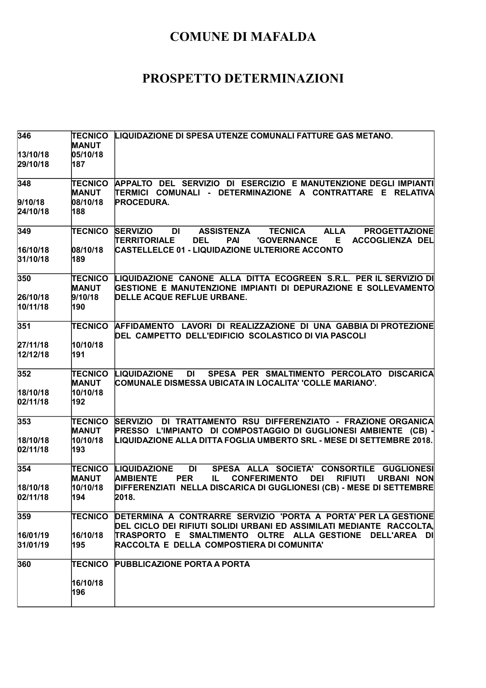| 346                  | <b>TECNICO</b>  | LIQUIDAZIONE DI SPESA UTENZE COMUNALI FATTURE GAS METANO.                                                        |
|----------------------|-----------------|------------------------------------------------------------------------------------------------------------------|
|                      | <b>MANUT</b>    |                                                                                                                  |
| 13/10/18<br>29/10/18 | 05/10/18<br>187 |                                                                                                                  |
|                      |                 |                                                                                                                  |
| 348                  | <b>TECNICO</b>  | APPALTO DEL SERVIZIO DI ESERCIZIO E MANUTENZIONE DEGLI IMPIANTI                                                  |
|                      | <b>MANUT</b>    | TERMICI COMUNALI - DETERMINAZIONE A CONTRATTARE E RELATIVA                                                       |
| 9/10/18              | 08/10/18        | <b>PROCEDURA.</b>                                                                                                |
| 24/10/18             | 188             |                                                                                                                  |
| 349                  | <b>TECNICO</b>  | <b>TECNICA</b><br><b>ALLA</b><br><b>PROGETTAZIONE</b><br><b>SERVIZIO</b><br>DI<br><b>ASSISTENZA</b>              |
|                      |                 | <b>'GOVERNANCE</b><br><b>TERRITORIALE</b><br><b>DEL</b><br><b>PAI</b><br>E.<br>ACCOGLIENZA DEL                   |
| 16/10/18             | 08/10/18        | CASTELLELCE 01 - LIQUIDAZIONE ULTERIORE ACCONTO                                                                  |
| 31/10/18             | 189             |                                                                                                                  |
| 350                  | <b>TECNICO</b>  | LIQUIDAZIONE CANONE ALLA DITTA ECOGREEN S.R.L. PER IL SERVIZIO DI                                                |
|                      | <b>MANUT</b>    | GESTIONE E MANUTENZIONE IMPIANTI DI DEPURAZIONE E SOLLEVAMENTO                                                   |
| 26/10/18             | 9/10/18         | DELLE ACQUE REFLUE URBANE.                                                                                       |
| 10/11/18             | 190             |                                                                                                                  |
| 351                  | <b>TECNICO</b>  | AFFIDAMENTO LAVORI DI REALIZZAZIONE DI UNA GABBIA DI PROTEZIONE                                                  |
|                      |                 | DEL CAMPETTO DELL'EDIFICIO SCOLASTICO DI VIA PASCOLI                                                             |
| 27/11/18             | 10/10/18        |                                                                                                                  |
| 12/12/18             | 191             |                                                                                                                  |
| 352                  | <b>TECNICO</b>  | <b>DI</b><br>SPESA PER SMALTIMENTO PERCOLATO DISCARICA<br>LIQUIDAZIONE                                           |
|                      | <b>MANUT</b>    | COMUNALE DISMESSA UBICATA IN LOCALITA' 'COLLE MARIANO'.                                                          |
| 18/10/18             | 10/10/18        |                                                                                                                  |
| 02/11/18             | 192             |                                                                                                                  |
| 353                  | TECNICO         | SERVIZIO DI TRATTAMENTO RSU DIFFERENZIATO - FRAZIONE ORGANICA                                                    |
|                      | <b>MANUT</b>    | PRESSO L'IMPIANTO DI COMPOSTAGGIO DI GUGLIONESI AMBIENTE (CB) -                                                  |
| 18/10/18             | 10/10/18        | LIQUIDAZIONE ALLA DITTA FOGLIA UMBERTO SRL - MESE DI SETTEMBRE 2018.                                             |
| 02/11/18             | 193             |                                                                                                                  |
| 354                  | <b>TECNICO</b>  | SPESA ALLA SOCIETA' CONSORTILE GUGLIONESI<br><b>LIQUIDAZIONE</b><br><b>DI</b>                                    |
|                      | <b>MANUT</b>    | <b>CONFERIMENTO</b><br><b>DEI</b><br><b>URBANI NON</b><br><b>AMBIENTE</b><br><b>PER</b><br>IL.<br><b>RIFIUTI</b> |
| 18/10/18             | 10/10/18        | DIFFERENZIATI NELLA DISCARICA DI GUGLIONESI (CB) - MESE DI SETTEMBRE                                             |
| 02/11/18             | 194             | 2018.                                                                                                            |
| 359                  | <b>TECNICO</b>  | DETERMINA A CONTRARRE SERVIZIO 'PORTA A PORTA' PER LA GESTIONE                                                   |
|                      |                 | DEL CICLO DEI RIFIUTI SOLIDI URBANI ED ASSIMILATI MEDIANTE RACCOLTA.                                             |
| 16/01/19             | 16/10/18        | TRASPORTO E SMALTIMENTO OLTRE ALLA-GESTIONE DELL'AREA DI                                                         |
| 31/01/19             | 195             | RACCOLTA E DELLA COMPOSTIERA DI COMUNITA'                                                                        |
| 360                  | <b>TECNICO</b>  | <b>PUBBLICAZIONE PORTA A PORTA</b>                                                                               |
|                      | 16/10/18        |                                                                                                                  |
|                      | 196             |                                                                                                                  |
|                      |                 |                                                                                                                  |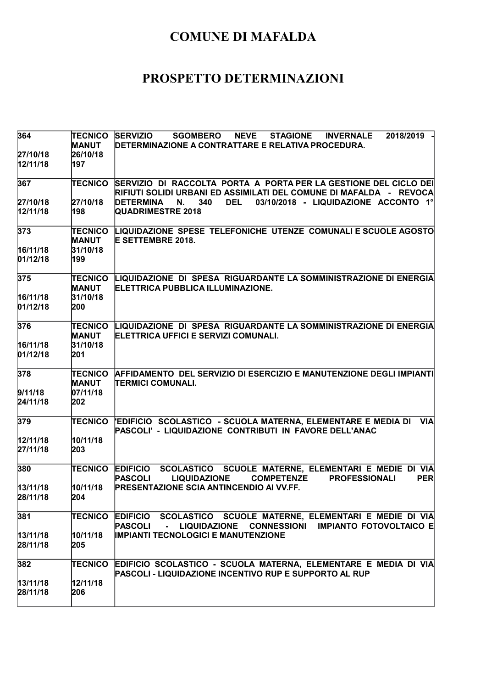| 364                  | <b>TECNICO</b><br><b>MANUT</b> | <b>SERVIZIO</b><br><b>SGOMBERO</b><br><b>NEVE</b><br><b>INVERNALE</b><br>2018/2019<br><b>STAGIONE</b><br>DETERMINAZIONE A CONTRATTARE E RELATIVA PROCEDURA.                 |
|----------------------|--------------------------------|-----------------------------------------------------------------------------------------------------------------------------------------------------------------------------|
| 27/10/18<br>12/11/18 | 26/10/18<br>197                |                                                                                                                                                                             |
| 367                  | TECNICO                        | SERVIZIO DI RACCOLTA PORTA A PORTA PER LA GESTIONE DEL CICLO DEI<br>RIFIUTI SOLIDI URBANI ED ASSIMILATI DEL COMUNE DI MAFALDA   -   REVOCA                                  |
| 27/10/18             | 27/10/18                       | <b>DETERMINA</b><br>340<br><b>DEL</b><br>03/10/2018 - LIQUIDAZIONE ACCONTO 1°<br>N.                                                                                         |
| 12/11/18             | 198                            | <b>QUADRIMESTRE 2018</b>                                                                                                                                                    |
| 373                  | TECNICO<br><b>MANUT</b>        | LIQUIDAZIONE SPESE TELEFONICHE UTENZE COMUNALI E SCUOLE AGOSTO<br><b>E SETTEMBRE 2018.</b>                                                                                  |
| 16/11/18<br>01/12/18 | 31/10/18<br>199                |                                                                                                                                                                             |
| 375                  | TECNICO<br><b>MANUT</b>        | LIQUIDAZIONE DI SPESA RIGUARDANTE LA SOMMINISTRAZIONE DI ENERGIA<br>ELETTRICA PUBBLICA ILLUMINAZIONE.                                                                       |
| 16/11/18             | 31/10/18                       |                                                                                                                                                                             |
| 01/12/18             | 200                            |                                                                                                                                                                             |
| 376                  | TECNICO<br><b>MANUT</b>        | LIQUIDAZIONE DI SPESA RIGUARDANTE LA SOMMINISTRAZIONE DI ENERGIA<br>ELETTRICA UFFICI E SERVIZI COMUNALI.                                                                    |
| 16/11/18             | 31/10/18                       |                                                                                                                                                                             |
| 01/12/18             | 201                            |                                                                                                                                                                             |
| 378                  | <b>TECNICO</b><br><b>MANUT</b> | AFFIDAMENTO DEL SERVIZIO DI ESERCIZIO E MANUTENZIONE DEGLI IMPIANTI<br><b>ITERMICI COMUNALI.</b>                                                                            |
| 9/11/18              | 07/11/18                       |                                                                                                                                                                             |
| 24/11/18             | 202                            |                                                                                                                                                                             |
| 379                  | TECNICO                        | 'EDIFICIO SCOLASTICO - SCUOLA MATERNA, ELEMENTARE E MEDIA DI<br><b>VIA</b><br>PASCOLI' - LIQUIDAZIONE CONTRIBUTI IN FAVORE DELL'ANAC                                        |
| 12/11/18             | 10/11/18                       |                                                                                                                                                                             |
| 27/11/18             | 203                            |                                                                                                                                                                             |
| 380                  | TECNICO                        | <b>EDIFICIO</b><br>SCOLASTICO SCUOLE MATERNE, ELEMENTARI E MEDIE DI VIA<br><b>PER</b><br><b>PASCOLI</b><br><b>LIQUIDAZIONE</b><br><b>COMPETENZE</b><br><b>PROFESSIONALI</b> |
| 13/11/18             | 10/11/18                       | <b>PRESENTAZIONE SCIA ANTINCENDIO AI VV.FF.</b>                                                                                                                             |
| 28/11/18             | 204                            |                                                                                                                                                                             |
| 381                  | TECNICO                        | EDIFICIO SCOLASTICO SCUOLE MATERNE, ELEMENTARI E MEDIE DI VIA<br>PASCOLI<br><b>CONNESSIONI IMPIANTO FOTOVOLTAICO E</b><br><b>LIQUIDAZIONE</b><br>$\sim$                     |
| 13/11/18             | 10/11/18                       | <b>IMPIANTI TECNOLOGICI E MANUTENZIONE</b>                                                                                                                                  |
| 28/11/18             | 205                            |                                                                                                                                                                             |
| 382                  | TECNICO                        | <b>EDIFICIO SCOLASTICO - SCUOLA MATERNA, ELEMENTARE E MEDIA DI VIA</b><br>PASCOLI - LIQUIDAZIONE INCENTIVO RUP E SUPPORTO AL RUP                                            |
| 13/11/18             | 12/11/18                       |                                                                                                                                                                             |
| 28/11/18             | 206                            |                                                                                                                                                                             |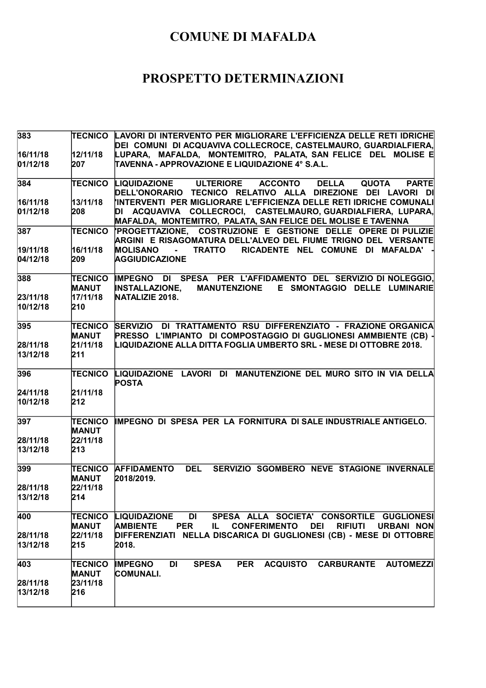| 383      |                                | (TECNICO   LAVORI DI INTERVENTO PER MIGLIORARE L'EFFICIENZA DELLE RETI IDRICHE<br>DEI COMUNI DI ACQUAVIVA COLLECROCE, CASTELMAURO, GUARDIALFIERA, |
|----------|--------------------------------|---------------------------------------------------------------------------------------------------------------------------------------------------|
| 16/11/18 | 12/11/18                       | LUPARA, MAFALDA, MONTEMITRO, PALATA, SAN FELICE DEL MOLISE E                                                                                      |
| 01/12/18 | 207                            | TAVENNA - APPROVAZIONE E LIQUIDAZIONE 4° S.A.L.                                                                                                   |
| 384      | <b>TECNICO</b>                 | <b>LIQUIDAZIONE</b><br><b>DELLA</b><br><b>ULTERIORE</b><br><b>ACCONTO</b><br><b>QUOTA</b><br><b>PARTE</b>                                         |
|          |                                | DELL'ONORARIO TECNICO RELATIVO ALLA DIREZIONE DEI LAVORI DI<br>INTERVENTI PER MIGLIORARE L'EFFICIENZA DELLE RETI IDRICHE COMUNALI                 |
| 16/11/18 | 13/11/18                       | DI ACQUAVIVA COLLECROCI, CASTELMAURO, GUARDIALFIERA, LUPARA,                                                                                      |
| 01/12/18 | 208                            | MAFALDA, MONTEMITRO, PALATA, SAN FELICE DEL MOLISE E TAVENNA                                                                                      |
| 387      | TECNICO                        | PROGETTAZIONE, COSTRUZIONE E GESTIONE DELLE OPERE DI PULIZIE<br>ARGINI E RISAGOMATURA DELL'ALVEO DEL FIUME TRIGNO DEL VERSANTE                    |
| 19/11/18 | 16/11/18                       | <b>MOLISANO</b><br><b>TRATTO</b><br>RICADENTE NEL COMUNE DI MAFALDA'                                                                              |
| 04/12/18 | 209                            | <b>AGGIUDICAZIONE</b>                                                                                                                             |
| 388      | <b>TECNICO</b>                 | IMPEGNO DI SPESA PER L'AFFIDAMENTO DEL SERVIZIO DI NOLEGGIO,                                                                                      |
|          | <b>MANUT</b>                   | <b>INSTALLAZIONE,</b><br>MANUTENZIONE E SMONTAGGIO DELLE LUMINARIE                                                                                |
| 23/11/18 | 17/11/18                       | NATALIZIE 2018.                                                                                                                                   |
| 10/12/18 | 210                            |                                                                                                                                                   |
| 395      | <b>TECNICO</b>                 | DI TRATTAMENTO RSU DIFFERENZIATO - FRAZIONE ORGANICA<br><b>SERVIZIO</b>                                                                           |
|          | <b>MANUT</b>                   | PRESSO L'IMPIANTO DI COMPOSTAGGIO DI GUGLIONESI AMMBIENTE (CB) -                                                                                  |
| 28/11/18 | 21/11/18                       | LIQUIDAZIONE ALLA DITTA FOGLIA UMBERTO SRL - MESE DI OTTOBRE 2018.                                                                                |
| 13/12/18 | 211                            |                                                                                                                                                   |
| 396      | <b>TECNICO</b>                 | LIQUIDAZIONE LAVORI DI MANUTENZIONE DEL MURO SITO IN VIA DELLA<br><b>POSTA</b>                                                                    |
| 24/11/18 | 21/11/18                       |                                                                                                                                                   |
| 10/12/18 | 212                            |                                                                                                                                                   |
| 397      | <b>TECNICO</b><br><b>MANUT</b> | IMPEGNO DI SPESA PER LA FORNITURA DI SALE INDUSTRIALE ANTIGELO.                                                                                   |
| 28/11/18 | 22/11/18                       |                                                                                                                                                   |
| 13/12/18 | 213                            |                                                                                                                                                   |
| 399      | <b>TECNICO</b><br><b>MANUT</b> | <b>DEL</b><br><b>AFFIDAMENTO</b><br>SERVIZIO SGOMBERO NEVE STAGIONE INVERNALE<br>2018/2019.                                                       |
| 28/11/18 | 22/11/18                       |                                                                                                                                                   |
| 13/12/18 | 214                            |                                                                                                                                                   |
| 400      | <b>TECNICO</b>                 | <b>LIQUIDAZIONE</b><br>DI<br>SPESA ALLA SOCIETA' CONSORTILE GUGLIONESI                                                                            |
|          | <b>MANUT</b>                   | <b>AMBIENTE</b><br><b>PER</b><br><b>CONFERIMENTO</b><br><b>DEI</b><br><b>RIFIUTI</b><br><b>URBANI NON</b><br>IL.                                  |
| 28/11/18 | 22/11/18                       | DIFFERENZIATI NELLA DISCARICA DI GUGLIONESI (CB) - MESE DI OTTOBRE                                                                                |
| 13/12/18 | 215                            | 2018.                                                                                                                                             |
| 403      | <b>TECNICO</b>                 | PER ACQUISTO<br>DI<br><b>SPESA</b><br>CARBURANTE AUTOMEZZI<br><b>IMPEGNO</b>                                                                      |
|          | <b>MANUT</b>                   | <b>COMUNALI.</b>                                                                                                                                  |
| 28/11/18 | 23/11/18                       |                                                                                                                                                   |
| 13/12/18 | 216                            |                                                                                                                                                   |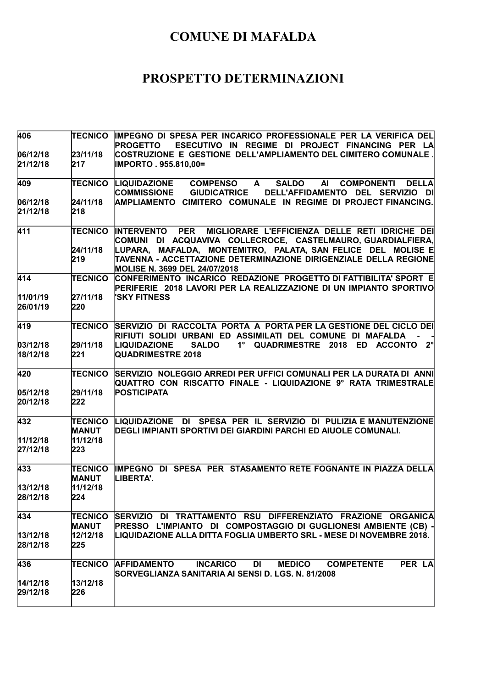| TECNICO                        | IMPEGNO DI SPESA PER INCARICO PROFESSIONALE PER LA VERIFICA DEL<br><b>PROGETTO</b><br>ESECUTIVO IN REGIME DI PROJECT FINANCING PER LA                                                              |
|--------------------------------|----------------------------------------------------------------------------------------------------------------------------------------------------------------------------------------------------|
|                                | COSTRUZIONE E GESTIONE DELL'AMPLIAMENTO DEL CIMITERO COMUNALE .                                                                                                                                    |
| 217                            | IMPORTO . 955.810,00=                                                                                                                                                                              |
| <b>TECNICO</b>                 | LIQUIDAZIONE<br><b>DELLA</b><br><b>COMPENSO</b><br>$\mathsf{A}$<br><b>SALDO</b><br><b>AI</b><br><b>COMPONENTI</b><br><b>COMMISSIONE</b><br><b>GIUDICATRICE</b><br>DELL'AFFIDAMENTO DEL SERVIZIO DI |
| 24/11/18                       | CIMITERO COMUNALE IN REGIME DI PROJECT FINANCING.<br><b>AMPLIAMENTO</b>                                                                                                                            |
| 218                            |                                                                                                                                                                                                    |
| <b>TECNICO</b>                 | <b>INTERVENTO PER</b><br>MIGLIORARE L'EFFICIENZA DELLE RETI IDRICHE DEI<br>COMUNI DI ACQUAVIVA COLLECROCE, CASTELMAURO,GUARDIALFIERA,                                                              |
| 24/11/18<br>219                | LUPARA, MAFALDA, MONTEMITRO, PALATA, SAN-FELICE DEL MOLISE E<br>TAVENNA - ACCETTAZIONE DETERMINAZIONE DIRIGENZIALE DELLA REGIONE<br><b>MOLISE N. 3699 DEL 24/07/2018</b>                           |
| <b>TECNICO</b>                 | CONFERIMENTO INCARICO REDAZIONE PROGETTO DI FATTIBILITA' SPORT E<br>PERIFERIE 2018 LAVORI PER LA REALIZZAZIONE DI UN IMPIANTO SPORTIVO                                                             |
|                                | <b>'SKY FITNESS</b>                                                                                                                                                                                |
| 220                            |                                                                                                                                                                                                    |
| <b>TECNICO</b>                 | SERVIZIO DI RACCOLTA PORTA A PORTA PER LA GESTIONE DEL CICLO DEI<br>RIFIUTI SOLIDI URBANI ED ASSIMILATI DEL COMUNE DI MAFALDA                                                                      |
| 29/11/18                       | _2°<br><b>LIQUIDAZIONE</b><br><b>SALDO</b><br>$1^{\circ}$<br>QUADRIMESTRE 2018 ED ACCONTO                                                                                                          |
| 221                            | <b>QUADRIMESTRE 2018</b>                                                                                                                                                                           |
| <b>TECNICO</b>                 | SERVIZIO NOLEGGIO ARREDI PER UFFICI COMUNALI PER LA DURATA DI ANNI<br>QUATTRO CON RISCATTO FINALE - LIQUIDAZIONE 9º RATA TRIMESTRALE                                                               |
|                                | <b>POSTICIPATA</b>                                                                                                                                                                                 |
|                                |                                                                                                                                                                                                    |
| <b>TECNICO</b><br><b>MANUT</b> | LIQUIDAZIONE DI SPESA PER IL SERVIZIO DI PULIZIA E MANUTENZIONE<br>DEGLI IMPIANTI SPORTIVI DEI GIARDINI PARCHI ED AIUOLE COMUNALI.                                                                 |
|                                |                                                                                                                                                                                                    |
| 223                            |                                                                                                                                                                                                    |
| <b>TECNICO</b><br><b>MANUT</b> | IMPEGNO DI SPESA PER STASAMENTO RETE FOGNANTE IN PIAZZA DELLA<br>LIBERTA'.                                                                                                                         |
| 11/12/18                       |                                                                                                                                                                                                    |
|                                |                                                                                                                                                                                                    |
| <b>TECNICO</b>                 | SERVIZIO DI TRATTAMENTO RSU DIFFERENZIATO FRAZIONE ORGANICA<br>PRESSO L'IMPIANTO DI COMPOSTAGGIO DI GUGLIONESI AMBIENTE (CB) -                                                                     |
|                                | LIQUIDAZIONE ALLA DITTA FOGLIA UMBERTO SRL - MESE DI NOVEMBRE 2018.                                                                                                                                |
| 225                            |                                                                                                                                                                                                    |
| <b>TECNICO</b>                 | <b>INCARICO</b><br><b>MEDICO</b><br>PER LA<br><b>AFFIDAMENTO</b><br>DI<br><b>COMPETENTE</b>                                                                                                        |
|                                | SORVEGLIANZA SANITARIA AI SENSI D. LGS. N. 81/2008                                                                                                                                                 |
| 226                            |                                                                                                                                                                                                    |
|                                | 23/11/18<br>27/11/18<br>29/11/18<br>222<br>11/12/18<br>224<br><b>MANUT</b><br>12/12/18<br>13/12/18                                                                                                 |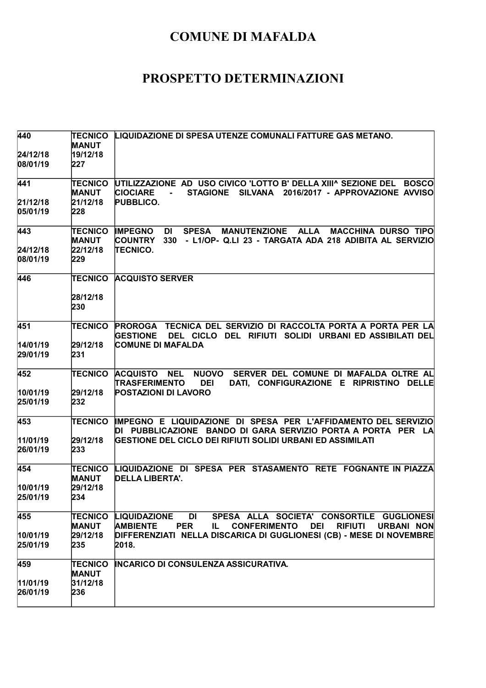| 440                  | <b>TECNICO</b><br><b>MANUT</b> | LIQUIDAZIONE DI SPESA UTENZE COMUNALI FATTURE GAS METANO.                                                                                                                                         |
|----------------------|--------------------------------|---------------------------------------------------------------------------------------------------------------------------------------------------------------------------------------------------|
| 24/12/18             | 19/12/18                       |                                                                                                                                                                                                   |
| 08/01/19             | 227                            |                                                                                                                                                                                                   |
| 441                  | TECNICO<br><b>MANUT</b>        | UTILIZZAZIONE AD USO CIVICO 'LOTTO B' DELLA XIII^ SEZIONE DEL<br><b>BOSCO</b><br><b>CIOCIARE</b><br><b>STAGIONE</b><br>SILVANA 2016/2017 - APPROVAZIONE AVVISO                                    |
| 21/12/18             | 21/12/18                       | <b>PUBBLICO.</b>                                                                                                                                                                                  |
| 05/01/19             | 228                            |                                                                                                                                                                                                   |
| 443                  | <b>TECNICO</b><br><b>MANUT</b> | <b>IMPEGNO</b><br><b>SPESA</b><br><b>MANUTENZIONE</b><br><b>ALLA</b><br><b>MACCHINA DURSO TIPO</b><br>DI<br><b>COUNTRY</b><br>- L1/OP- Q.LI 23 - TARGATA ADA 218 ADIBITA AL SERVIZIO<br>330       |
| 24/12/18<br>08/01/19 | 22/12/18<br>229                | <b>TECNICO.</b>                                                                                                                                                                                   |
| 446                  | <b>TECNICO</b>                 | <b>ACQUISTO SERVER</b>                                                                                                                                                                            |
|                      | 28/12/18<br>230                |                                                                                                                                                                                                   |
| 451                  | <b>TECNICO</b>                 | PROROGA TECNICA DEL SERVIZIO DI RACCOLTA PORTA A PORTA PER LA<br>DEL CICLO DEL RIFIUTI SOLIDI URBANI ED ASSIBILATI DEL<br><b>GESTIONE</b>                                                         |
| 14/01/19             | 29/12/18                       | <b>COMUNE DI MAFALDA</b>                                                                                                                                                                          |
| 29/01/19             | 231                            |                                                                                                                                                                                                   |
| 452                  | TECNICO                        | NUOVO SERVER DEL COMUNE DI MAFALDA OLTRE AL<br><b>ACQUISTO</b><br><b>NEL</b><br>TRASFERIMENTO<br><b>DEI</b><br>DATI, CONFIGURAZIONE E RIPRISTINO DELLE                                            |
| 10/01/19<br>25/01/19 | 29/12/18<br>232                | <b>POSTAZIONI DI LAVORO</b>                                                                                                                                                                       |
| 453                  | TECNICO                        | IMPEGNO E LIQUIDAZIONE DI SPESA PER L'AFFIDAMENTO DEL SERVIZIO<br>DI PUBBLICAZIONE BANDO DI GARA SERVIZIO PORTA A PORTA PER LA                                                                    |
| 11/01/19             | 29/12/18                       | GESTIONE DEL CICLO DEI RIFIUTI SOLIDI URBANI ED ASSIMILATI                                                                                                                                        |
| 26/01/19             | 233                            |                                                                                                                                                                                                   |
| 454                  | <b>TECNICO</b><br><b>MANUT</b> | LIQUIDAZIONE DI SPESA PER STASAMENTO RETE FOGNANTE IN PIAZZA<br>DELLA LIBERTA'.                                                                                                                   |
| 10/01/19             | 29/12/18                       |                                                                                                                                                                                                   |
| 25/01/19             | 234                            |                                                                                                                                                                                                   |
| 455                  | TECNICO<br><b>MANUT</b>        | <b>LIQUIDAZIONE</b><br><b>DI</b><br>SPESA ALLA SOCIETA' CONSORTILE GUGLIONESI<br><b>PER</b><br><b>AMBIENTE</b><br><b>CONFERIMENTO</b><br><b>DEI</b><br><b>RIFIUTI</b><br><b>URBANI NON</b><br>IL. |
| 10/01/19             | 29/12/18                       | DIFFERENZIATI NELLA DISCARICA DI GUGLIONESI (CB) - MESE DI NOVEMBRE                                                                                                                               |
| 25/01/19             | 235                            | 2018.                                                                                                                                                                                             |
| 459                  | <b>TECNICO</b><br><b>MANUT</b> | INCARICO DI CONSULENZA ASSICURATIVA.                                                                                                                                                              |
|                      | 31/12/18                       |                                                                                                                                                                                                   |
| 11/01/19<br>26/01/19 | 236                            |                                                                                                                                                                                                   |
|                      |                                |                                                                                                                                                                                                   |